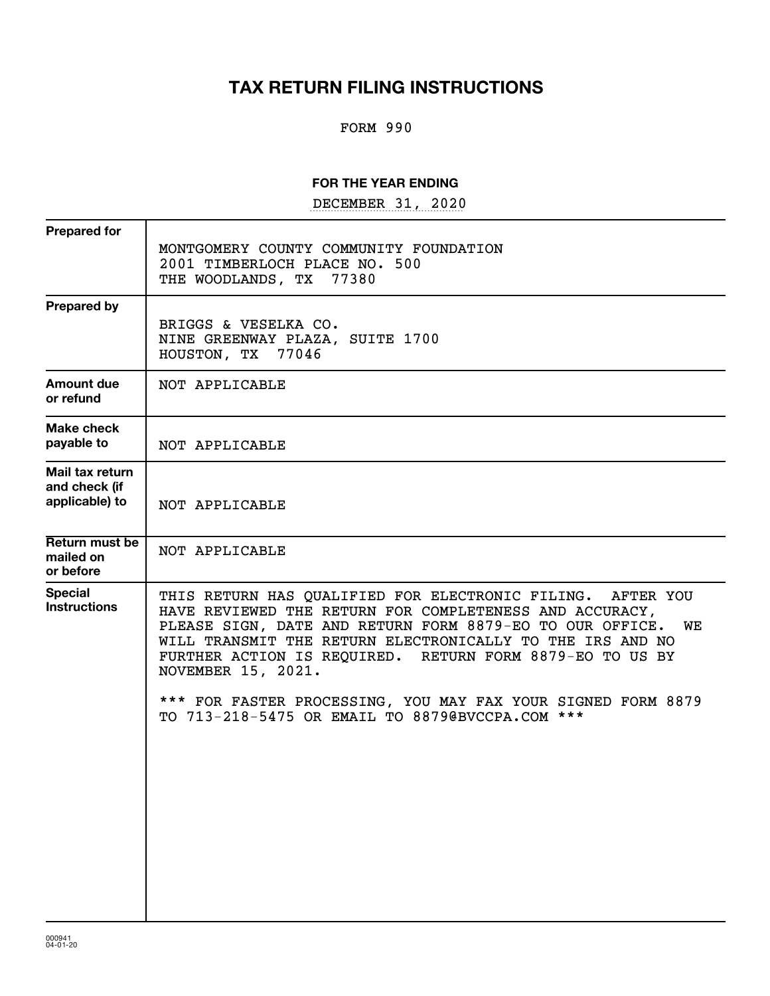## **TAX RETURN FILING INSTRUCTIONS**

### FORM 990

### **FOR THE YEAR ENDING**

DECEMBER 31, 2020

| <b>Prepared for</b>                                |                                                                                                                                                                                                                                                                                                                                                                                                        |
|----------------------------------------------------|--------------------------------------------------------------------------------------------------------------------------------------------------------------------------------------------------------------------------------------------------------------------------------------------------------------------------------------------------------------------------------------------------------|
|                                                    | MONTGOMERY COUNTY COMMUNITY FOUNDATION<br>2001 TIMBERLOCH PLACE NO. 500<br>THE WOODLANDS, TX<br>77380                                                                                                                                                                                                                                                                                                  |
| <b>Prepared by</b>                                 | BRIGGS & VESELKA CO.<br>NINE GREENWAY PLAZA, SUITE 1700<br>HOUSTON, TX 77046                                                                                                                                                                                                                                                                                                                           |
| Amount due<br>or refund                            | NOT APPLICABLE                                                                                                                                                                                                                                                                                                                                                                                         |
| Make check<br>payable to                           | NOT APPLICABLE                                                                                                                                                                                                                                                                                                                                                                                         |
| Mail tax return<br>and check (if<br>applicable) to | NOT APPLICABLE                                                                                                                                                                                                                                                                                                                                                                                         |
| Return must be<br>mailed on<br>or before           | NOT APPLICABLE                                                                                                                                                                                                                                                                                                                                                                                         |
| <b>Special</b><br><b>Instructions</b>              | THIS RETURN HAS QUALIFIED FOR ELECTRONIC FILING. AFTER YOU<br>HAVE REVIEWED THE RETURN FOR COMPLETENESS AND ACCURACY,<br>PLEASE SIGN, DATE AND RETURN FORM 8879-EO TO OUR OFFICE.<br>WE<br>WILL TRANSMIT THE RETURN ELECTRONICALLY TO THE IRS AND NO<br>FURTHER ACTION IS REQUIRED. RETURN FORM 8879-EO TO US BY<br>NOVEMBER 15, 2021.<br>*** FOR FASTER PROCESSING, YOU MAY FAX YOUR SIGNED FORM 8879 |
|                                                    | TO 713-218-5475 OR EMAIL TO 8879@BVCCPA.COM ***                                                                                                                                                                                                                                                                                                                                                        |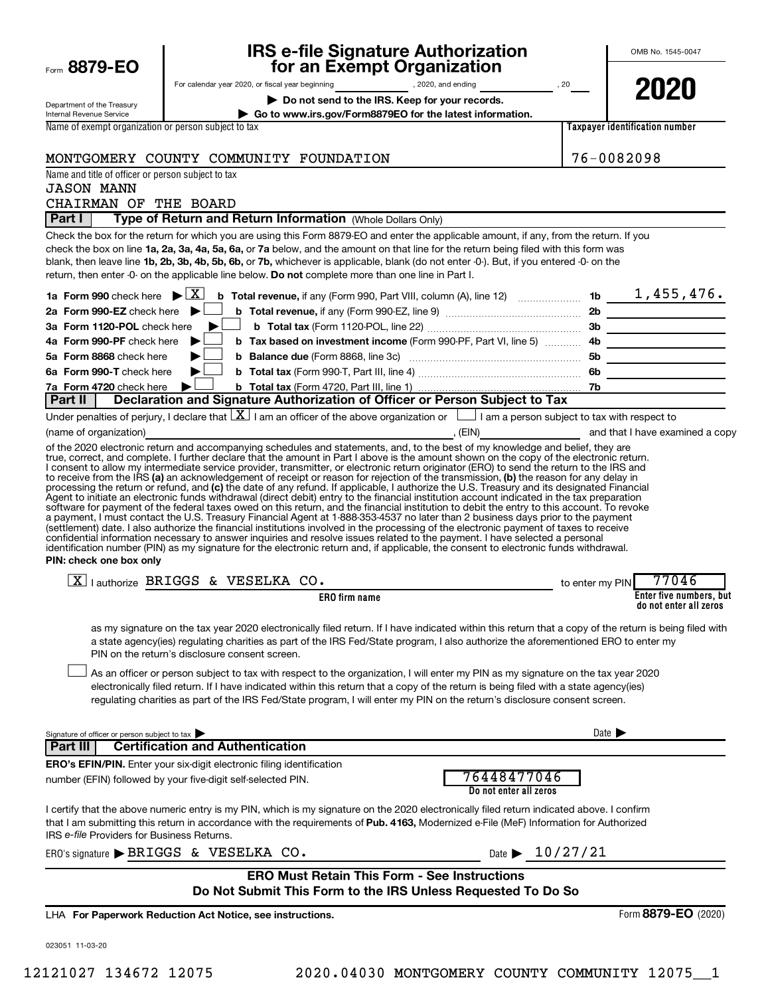|                                                        | <b>IRS e-file Signature Authorization</b>                                                                                                                                                                                                                                                                                                                                                                                                                                                                                                                                                                                                                                                                                                                 | OMB No. 1545-0047          |                                                   |  |  |
|--------------------------------------------------------|-----------------------------------------------------------------------------------------------------------------------------------------------------------------------------------------------------------------------------------------------------------------------------------------------------------------------------------------------------------------------------------------------------------------------------------------------------------------------------------------------------------------------------------------------------------------------------------------------------------------------------------------------------------------------------------------------------------------------------------------------------------|----------------------------|---------------------------------------------------|--|--|
| Form 8879-EO                                           | for an Exempt Organization                                                                                                                                                                                                                                                                                                                                                                                                                                                                                                                                                                                                                                                                                                                                |                            |                                                   |  |  |
| Department of the Treasury                             | Do not send to the IRS. Keep for your records.                                                                                                                                                                                                                                                                                                                                                                                                                                                                                                                                                                                                                                                                                                            |                            | 2020                                              |  |  |
| Internal Revenue Service                               | Go to www.irs.gov/Form8879EO for the latest information.                                                                                                                                                                                                                                                                                                                                                                                                                                                                                                                                                                                                                                                                                                  |                            |                                                   |  |  |
| Name of exempt organization or person subject to tax   |                                                                                                                                                                                                                                                                                                                                                                                                                                                                                                                                                                                                                                                                                                                                                           |                            | Taxpayer identification number                    |  |  |
|                                                        | MONTGOMERY COUNTY COMMUNITY FOUNDATION                                                                                                                                                                                                                                                                                                                                                                                                                                                                                                                                                                                                                                                                                                                    |                            | 76-0082098                                        |  |  |
| Name and title of officer or person subject to tax     |                                                                                                                                                                                                                                                                                                                                                                                                                                                                                                                                                                                                                                                                                                                                                           |                            |                                                   |  |  |
| <b>JASON MANN</b>                                      |                                                                                                                                                                                                                                                                                                                                                                                                                                                                                                                                                                                                                                                                                                                                                           |                            |                                                   |  |  |
| CHAIRMAN OF THE BOARD                                  |                                                                                                                                                                                                                                                                                                                                                                                                                                                                                                                                                                                                                                                                                                                                                           |                            |                                                   |  |  |
| Part I                                                 | Type of Return and Return Information (Whole Dollars Only)                                                                                                                                                                                                                                                                                                                                                                                                                                                                                                                                                                                                                                                                                                |                            |                                                   |  |  |
|                                                        | Check the box for the return for which you are using this Form 8879-EO and enter the applicable amount, if any, from the return. If you<br>check the box on line 1a, 2a, 3a, 4a, 5a, 6a, or 7a below, and the amount on that line for the return being filed with this form was<br>blank, then leave line 1b, 2b, 3b, 4b, 5b, 6b, or 7b, whichever is applicable, blank (do not enter -0-). But, if you entered -0- on the<br>return, then enter -0- on the applicable line below. Do not complete more than one line in Part I.                                                                                                                                                                                                                          |                            |                                                   |  |  |
| 1a Form 990 check here $\blacktriangleright \boxed{X}$ |                                                                                                                                                                                                                                                                                                                                                                                                                                                                                                                                                                                                                                                                                                                                                           |                            |                                                   |  |  |
| 2a Form 990-EZ check here $\blacktriangleright$        |                                                                                                                                                                                                                                                                                                                                                                                                                                                                                                                                                                                                                                                                                                                                                           |                            |                                                   |  |  |
| 3a Form 1120-POL check here                            |                                                                                                                                                                                                                                                                                                                                                                                                                                                                                                                                                                                                                                                                                                                                                           |                            |                                                   |  |  |
| 4a Form 990-PF check here                              | b Tax based on investment income (Form 990-PF, Part VI, line 5)  4b                                                                                                                                                                                                                                                                                                                                                                                                                                                                                                                                                                                                                                                                                       |                            |                                                   |  |  |
| 5a Form 8868 check here<br>6a Form 990-T check here    |                                                                                                                                                                                                                                                                                                                                                                                                                                                                                                                                                                                                                                                                                                                                                           |                            |                                                   |  |  |
| 7a Form 4720 check here                                | ▶                                                                                                                                                                                                                                                                                                                                                                                                                                                                                                                                                                                                                                                                                                                                                         |                            |                                                   |  |  |
| Part II                                                | Declaration and Signature Authorization of Officer or Person Subject to Tax                                                                                                                                                                                                                                                                                                                                                                                                                                                                                                                                                                                                                                                                               |                            |                                                   |  |  |
|                                                        | Under penalties of perjury, I declare that $\boxed{\mathbf{X}}$ I am an officer of the above organization or $\boxed{\phantom{\mathbf{X}}\phantom{\mathbf{X}}}$ I am a person subject to tax with respect to                                                                                                                                                                                                                                                                                                                                                                                                                                                                                                                                              |                            |                                                   |  |  |
| (name of organization)                                 | of the 2020 electronic return and accompanying schedules and statements, and, to the best of my knowledge and belief, they are                                                                                                                                                                                                                                                                                                                                                                                                                                                                                                                                                                                                                            |                            |                                                   |  |  |
| PIN: check one box only                                | (settlement) date. I also authorize the financial institutions involved in the processing of the electronic payment of taxes to receive<br>confidential information necessary to answer inquiries and resolve issues related to the payment. I have selected a personal<br>identification number (PIN) as my signature for the electronic return and, if applicable, the consent to electronic funds withdrawal.                                                                                                                                                                                                                                                                                                                                          |                            |                                                   |  |  |
|                                                        | $\boxed{\text{X}}$   authorize BRIGGS & VESELKA CO.                                                                                                                                                                                                                                                                                                                                                                                                                                                                                                                                                                                                                                                                                                       | to enter my PIN            | 77046                                             |  |  |
|                                                        | <b>ERO</b> firm name                                                                                                                                                                                                                                                                                                                                                                                                                                                                                                                                                                                                                                                                                                                                      |                            | Enter five numbers, but<br>do not enter all zeros |  |  |
|                                                        | as my signature on the tax year 2020 electronically filed return. If I have indicated within this return that a copy of the return is being filed with<br>a state agency(ies) regulating charities as part of the IRS Fed/State program, I also authorize the aforementioned ERO to enter my<br>PIN on the return's disclosure consent screen.<br>As an officer or person subject to tax with respect to the organization, I will enter my PIN as my signature on the tax year 2020<br>electronically filed return. If I have indicated within this return that a copy of the return is being filed with a state agency(ies)<br>regulating charities as part of the IRS Fed/State program, I will enter my PIN on the return's disclosure consent screen. |                            |                                                   |  |  |
| Signature of officer or person subject to tax          |                                                                                                                                                                                                                                                                                                                                                                                                                                                                                                                                                                                                                                                                                                                                                           | Date $\blacktriangleright$ |                                                   |  |  |
| Part III                                               | <b>Certification and Authentication</b>                                                                                                                                                                                                                                                                                                                                                                                                                                                                                                                                                                                                                                                                                                                   |                            |                                                   |  |  |
|                                                        | <b>ERO's EFIN/PIN.</b> Enter your six-digit electronic filing identification<br>76448477046<br>number (EFIN) followed by your five-digit self-selected PIN.<br>Do not enter all zeros                                                                                                                                                                                                                                                                                                                                                                                                                                                                                                                                                                     |                            |                                                   |  |  |
| IRS e-file Providers for Business Returns.             | I certify that the above numeric entry is my PIN, which is my signature on the 2020 electronically filed return indicated above. I confirm<br>that I am submitting this return in accordance with the requirements of Pub. 4163, Modernized e-File (MeF) Information for Authorized                                                                                                                                                                                                                                                                                                                                                                                                                                                                       |                            |                                                   |  |  |
|                                                        | Date $\blacktriangleright$ 10/27/21<br>ERO's signature > BRIGGS & VESELKA CO.                                                                                                                                                                                                                                                                                                                                                                                                                                                                                                                                                                                                                                                                             |                            |                                                   |  |  |
|                                                        | <b>ERO Must Retain This Form - See Instructions</b><br>Do Not Submit This Form to the IRS Unless Requested To Do So                                                                                                                                                                                                                                                                                                                                                                                                                                                                                                                                                                                                                                       |                            |                                                   |  |  |
|                                                        | LHA For Paperwork Reduction Act Notice, see instructions.                                                                                                                                                                                                                                                                                                                                                                                                                                                                                                                                                                                                                                                                                                 |                            | Form 8879-EO (2020)                               |  |  |
|                                                        |                                                                                                                                                                                                                                                                                                                                                                                                                                                                                                                                                                                                                                                                                                                                                           |                            |                                                   |  |  |
| 023051 11-03-20                                        |                                                                                                                                                                                                                                                                                                                                                                                                                                                                                                                                                                                                                                                                                                                                                           |                            |                                                   |  |  |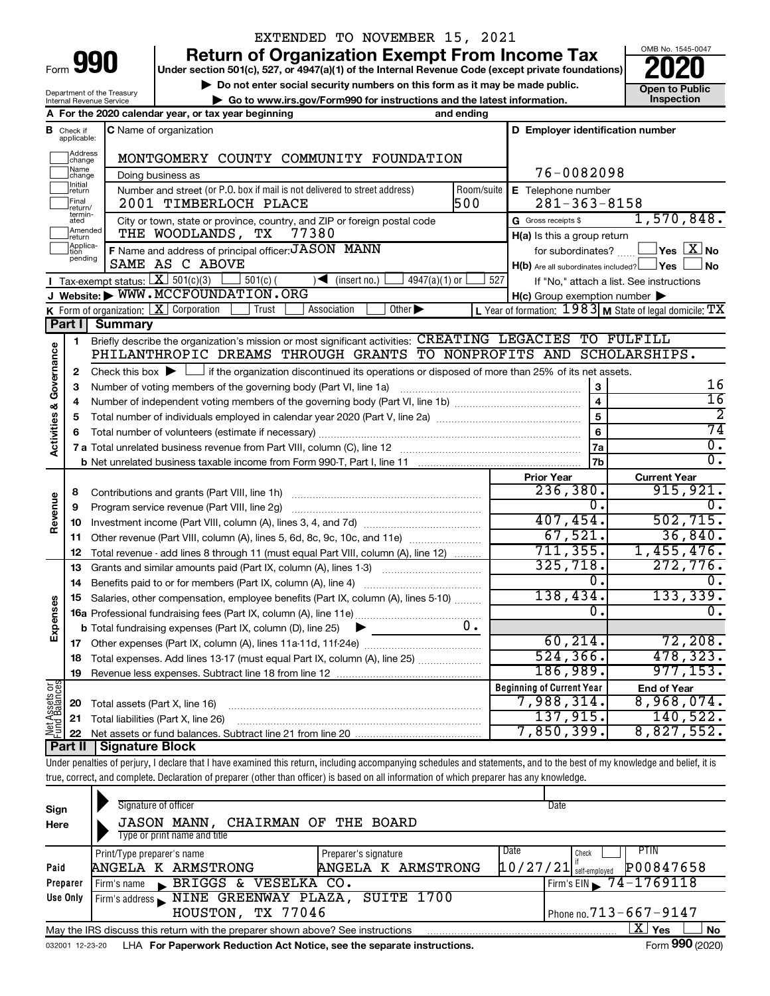## EXTENDED TO NOVEMBER 15, 2021

**990** Return of Organization Exempt From Income Tax <br>
Under section 501(c), 527, or 4947(a)(1) of the Internal Revenue Code (except private foundations)<br> **PO20** 

▶ Do not enter social security numbers on this form as it may be made public.<br>
▶ Go to www.irs.gov/Form990 for instructions and the latest information. **Department in the latest** information. **| Go to www.irs.gov/Form990 for instructions and the latest information. Inspection**



Department of the Treasury Internal Revenue Service

|                         |                               | A For the 2020 calendar year, or tax year beginning                                                                                                                        | and ending |                                                                                                                  |                                          |
|-------------------------|-------------------------------|----------------------------------------------------------------------------------------------------------------------------------------------------------------------------|------------|------------------------------------------------------------------------------------------------------------------|------------------------------------------|
|                         | <b>B</b> Check if applicable: | C Name of organization                                                                                                                                                     |            | D Employer identification number                                                                                 |                                          |
|                         | Address<br>change             | MONTGOMERY COUNTY COMMUNITY FOUNDATION                                                                                                                                     |            |                                                                                                                  |                                          |
|                         | Name<br>change                | Doing business as                                                                                                                                                          |            | 76-0082098                                                                                                       |                                          |
|                         | Initial<br>return             | Number and street (or P.O. box if mail is not delivered to street address)                                                                                                 | Room/suite | E Telephone number                                                                                               |                                          |
|                         | Final<br>return/              | 2001 TIMBERLOCH PLACE                                                                                                                                                      | 500        | $281 - 363 - 8158$                                                                                               |                                          |
|                         | termin-<br>ated               | City or town, state or province, country, and ZIP or foreign postal code                                                                                                   |            | G Gross receipts \$                                                                                              | 1,570,848.                               |
|                         | Amended<br>Ireturn            | THE WOODLANDS, TX<br>77380                                                                                                                                                 |            | H(a) Is this a group return                                                                                      |                                          |
|                         | Applica-<br>tion<br>pending   | F Name and address of principal officer: JASON MANN                                                                                                                        |            |                                                                                                                  | for subordinates? $\Box$ Yes $X$ No      |
|                         |                               | SAME AS C ABOVE                                                                                                                                                            |            | $H(b)$ Are all subordinates included? $\Box$ Yes                                                                 | No                                       |
|                         |                               | Tax-exempt status: $X \overline{3}$ 501(c)(3)<br>$501(c)$ (<br>$\sqrt{\frac{1}{1}}$ (insert no.)<br>$4947(a)(1)$ or<br>Website: WWW.MCCFOUNDATION.ORG                      | 527        |                                                                                                                  | If "No," attach a list. See instructions |
|                         |                               | K Form of organization: X Corporation<br>Trust<br>Association<br>Other $\blacktriangleright$                                                                               |            | $H(c)$ Group exemption number $\blacktriangleright$<br>L Year of formation: $1983$ M State of legal domicile: TX |                                          |
|                         | Part I                        | <b>Summary</b>                                                                                                                                                             |            |                                                                                                                  |                                          |
|                         | 1                             | Briefly describe the organization's mission or most significant activities: CREATING LEGACIES TO FULFILL                                                                   |            |                                                                                                                  |                                          |
|                         |                               | PHILANTHROPIC DREAMS THROUGH GRANTS TO NONPROFITS AND SCHOLARSHIPS.                                                                                                        |            |                                                                                                                  |                                          |
| Governance              | 2                             | Check this box $\blacktriangleright \Box$ if the organization discontinued its operations or disposed of more than 25% of its net assets.                                  |            |                                                                                                                  |                                          |
|                         | 3                             |                                                                                                                                                                            |            |                                                                                                                  | 16                                       |
|                         | 4                             |                                                                                                                                                                            |            |                                                                                                                  | $\overline{16}$                          |
| <b>Activities &amp;</b> | 5                             |                                                                                                                                                                            |            | 5                                                                                                                | 2                                        |
|                         | 6                             |                                                                                                                                                                            |            | 6                                                                                                                | 74                                       |
|                         |                               |                                                                                                                                                                            |            | 7a                                                                                                               | $\overline{0}$ .                         |
|                         |                               |                                                                                                                                                                            |            | 7 <sub>b</sub>                                                                                                   | $\overline{0}$ .                         |
|                         |                               |                                                                                                                                                                            |            | <b>Prior Year</b>                                                                                                | <b>Current Year</b>                      |
|                         | 8                             |                                                                                                                                                                            |            | 236,380.                                                                                                         | 915,921.                                 |
| Revenue                 | 9                             | Program service revenue (Part VIII, line 2g)                                                                                                                               |            | 0.                                                                                                               | $\mathbf 0$ .                            |
|                         | 10                            |                                                                                                                                                                            |            | 407, 454.                                                                                                        | 502, 715.                                |
|                         | 11                            | Other revenue (Part VIII, column (A), lines 5, 6d, 8c, 9c, 10c, and 11e)                                                                                                   |            | 67,521.<br>711, 355.                                                                                             | 36,840.                                  |
|                         | 12                            | Total revenue - add lines 8 through 11 (must equal Part VIII, column (A), line 12)                                                                                         |            | 325,718.                                                                                                         | 1,455,476.<br>272,776.                   |
|                         | 13                            | Grants and similar amounts paid (Part IX, column (A), lines 1-3) <i></i>                                                                                                   |            | 0.                                                                                                               | $\mathbf 0$ ,                            |
|                         | 14                            |                                                                                                                                                                            |            | 138,434.                                                                                                         | 133, 339.                                |
| Expenses                | 15                            | Salaries, other compensation, employee benefits (Part IX, column (A), lines 5-10)                                                                                          |            | 0.                                                                                                               | 0.                                       |
|                         |                               | <b>b</b> Total fundraising expenses (Part IX, column (D), line 25) $\triangleright$                                                                                        | $0$ .      |                                                                                                                  |                                          |
|                         | 17                            |                                                                                                                                                                            |            | 60, 214.                                                                                                         | 72,208.                                  |
|                         |                               | 18 Total expenses. Add lines 13-17 (must equal Part IX, column (A), line 25)                                                                                               |            | 524, 366.                                                                                                        | 478, 323.                                |
|                         | 19                            |                                                                                                                                                                            |            | 186,989.                                                                                                         | 977, 153.                                |
|                         |                               |                                                                                                                                                                            |            | <b>Beginning of Current Year</b>                                                                                 | <b>End of Year</b>                       |
|                         | 20                            | Total assets (Part X, line 16)                                                                                                                                             |            | 7,988,314.                                                                                                       | 8,968,074.                               |
|                         | 21                            | Total liabilities (Part X, line 26)                                                                                                                                        |            | 137,915 <b>.</b>                                                                                                 | 140,522.                                 |
| Net Assets or           | 22                            |                                                                                                                                                                            |            | 7,850,399.                                                                                                       | 8,827,552.                               |
|                         | <b>Part II</b>                | <b>Signature Block</b>                                                                                                                                                     |            |                                                                                                                  |                                          |
|                         |                               | Under penalties of perjury, I declare that I have examined this return, including accompanying schedules and statements, and to the best of my knowledge and belief, it is |            |                                                                                                                  |                                          |
|                         |                               | true, correct, and complete. Declaration of preparer (other than officer) is based on all information of which preparer has any knowledge.                                 |            |                                                                                                                  |                                          |
|                         |                               | Signature of officer                                                                                                                                                       |            | Date                                                                                                             |                                          |
| Sign                    |                               |                                                                                                                                                                            |            |                                                                                                                  |                                          |

| Sign            | <b>UNING OF UNION</b> |                              |    |                   |                                                                                 |                                                                        |             | <b>Daw</b>                   |                                |
|-----------------|-----------------------|------------------------------|----|-------------------|---------------------------------------------------------------------------------|------------------------------------------------------------------------|-------------|------------------------------|--------------------------------|
| Here            |                       |                              |    |                   | <b>JASON MANN, CHAIRMAN OF THE BOARD</b>                                        |                                                                        |             |                              |                                |
|                 |                       | Type or print name and title |    |                   |                                                                                 |                                                                        |             |                              |                                |
|                 |                       | Print/Type preparer's name   |    |                   | Preparer's signature                                                            |                                                                        | <b>Date</b> | Check                        | PTIN                           |
| Paid            |                       | ANGELA K ARMSTRONG           |    |                   |                                                                                 | ANGELA K ARMSTRONG                                                     |             | $10/27/21$ self-employed     | P00847658                      |
| Preparer        | Firm's name           | BRIGGS                       | &. | VESELKA CO.       |                                                                                 |                                                                        |             |                              | Firm's EIN $\sqrt{74-1769118}$ |
| Use Only        |                       |                              |    |                   |                                                                                 | Firm's address NINE GREENWAY PLAZA, SUITE 1700                         |             |                              |                                |
|                 |                       |                              |    | HOUSTON, TX 77046 |                                                                                 |                                                                        |             | Phone no. $713 - 667 - 9147$ |                                |
|                 |                       |                              |    |                   | May the IRS discuss this return with the preparer shown above? See instructions |                                                                        |             |                              | ΧI<br>Yes<br><b>No</b>         |
| 032001 12-23-20 |                       |                              |    |                   |                                                                                 | LHA For Paperwork Reduction Act Notice, see the separate instructions. |             |                              | Form 990 (2020)                |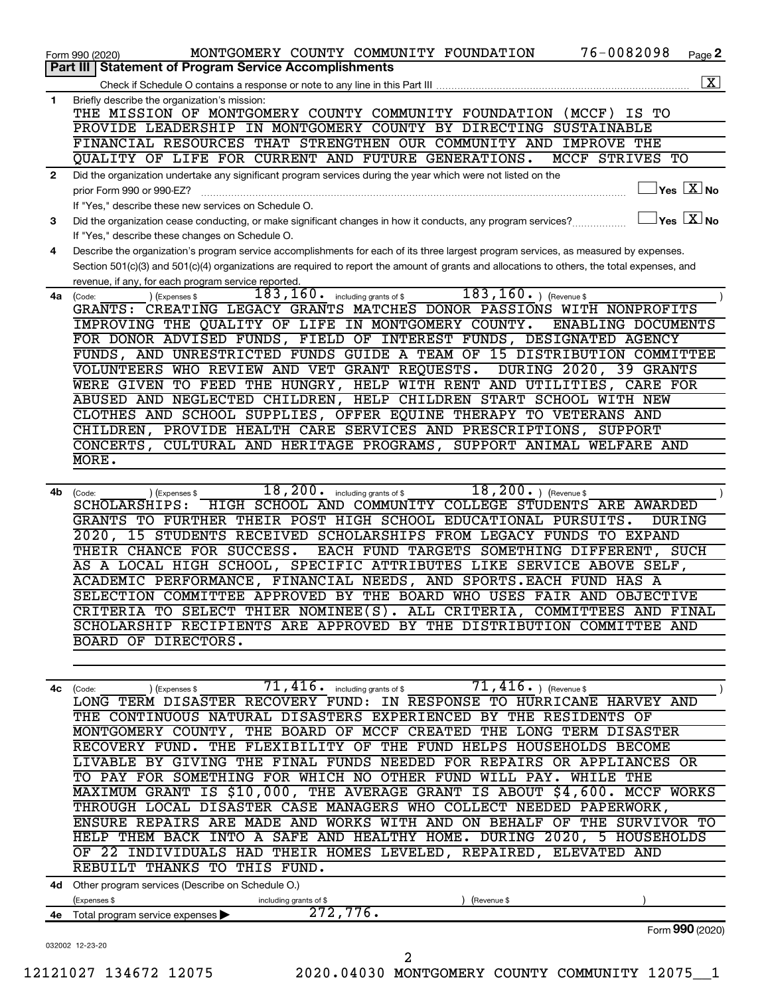|              | Part III   Statement of Program Service Accomplishments                                                                                        |
|--------------|------------------------------------------------------------------------------------------------------------------------------------------------|
|              | $\vert$ X $\vert$                                                                                                                              |
| 1            | Briefly describe the organization's mission:                                                                                                   |
|              | THE MISSION OF MONTGOMERY COUNTY COMMUNITY FOUNDATION (MCCF)<br>TО<br>IS.                                                                      |
|              | PROVIDE LEADERSHIP IN MONTGOMERY COUNTY BY DIRECTING SUSTAINABLE                                                                               |
|              | FINANCIAL RESOURCES THAT STRENGTHEN OUR COMMUNITY AND<br>IMPROVE<br>THE                                                                        |
|              | QUALITY OF LIFE FOR CURRENT AND FUTURE GENERATIONS.<br>MCCF STRIVES<br>TО                                                                      |
| $\mathbf{2}$ | Did the organization undertake any significant program services during the year which were not listed on the                                   |
|              | $\overline{\mathsf{Yes} \mathbb{X}}$ No<br>prior Form 990 or 990-EZ?                                                                           |
|              | If "Yes," describe these new services on Schedule O.                                                                                           |
| 3            | $\Box$ Yes $~\Box$ X $\Box$ No<br>Did the organization cease conducting, or make significant changes in how it conducts, any program services? |
|              | If "Yes," describe these changes on Schedule O.                                                                                                |
| 4            | Describe the organization's program service accomplishments for each of its three largest program services, as measured by expenses.           |
|              | Section 501(c)(3) and 501(c)(4) organizations are required to report the amount of grants and allocations to others, the total expenses, and   |
|              | revenue, if any, for each program service reported.<br>183,160.<br>$183, 160.$ (Revenue \$                                                     |
| 4a           | including grants of \$<br>(Code:<br>(Expenses \$<br>GRANTS:<br>CREATING LEGACY GRANTS MATCHES DONOR PASSIONS WITH NONPROFITS                   |
|              | IMPROVING THE QUALITY OF LIFE IN MONTGOMERY COUNTY.<br>ENABLING DOCUMENTS                                                                      |
|              | FOR DONOR ADVISED FUNDS, FIELD OF INTEREST FUNDS, DESIGNATED AGENCY                                                                            |
|              | FUNDS, AND UNRESTRICTED FUNDS GUIDE A TEAM OF 15 DISTRIBUTION COMMITTEE                                                                        |
|              | VOLUNTEERS WHO REVIEW AND VET GRANT REQUESTS.<br><b>DURING 2020,</b><br>39 GRANTS                                                              |
|              | TO FEED THE HUNGRY, HELP WITH RENT AND UTILITIES, CARE FOR<br><b>WERE GIVEN</b>                                                                |
|              | ABUSED AND NEGLECTED CHILDREN, HELP CHILDREN START SCHOOL WITH NEW                                                                             |
|              | CLOTHES AND SCHOOL SUPPLIES, OFFER EQUINE THERAPY TO VETERANS AND                                                                              |
|              | CHILDREN, PROVIDE HEALTH CARE SERVICES AND PRESCRIPTIONS, SUPPORT                                                                              |
|              | CONCERTS,<br>CULTURAL AND HERITAGE PROGRAMS, SUPPORT ANIMAL WELFARE AND                                                                        |
|              | MORE.                                                                                                                                          |
|              |                                                                                                                                                |
| 4b           | 18, 200.<br>$18, 200.$ (Revenue \$<br>including grants of \$<br>(Expenses \$<br>(Code:                                                         |
|              | HIGH SCHOOL AND COMMUNITY COLLEGE STUDENTS ARE AWARDED<br>SCHOLARSHIPS:                                                                        |
|              | GRANTS TO FURTHER THEIR POST HIGH SCHOOL EDUCATIONAL PURSUITS.<br><b>DURING</b>                                                                |
|              | 15 STUDENTS RECEIVED SCHOLARSHIPS FROM LEGACY FUNDS TO EXPAND<br>2020,                                                                         |
|              | EACH FUND TARGETS SOMETHING DIFFERENT, SUCH<br>THEIR CHANCE FOR SUCCESS.                                                                       |
|              | SPECIFIC ATTRIBUTES LIKE SERVICE ABOVE SELF,<br>AS A LOCAL HIGH SCHOOL,                                                                        |
|              | ACADEMIC PERFORMANCE, FINANCIAL NEEDS, AND SPORTS.EACH FUND HAS A                                                                              |
|              | SELECTION COMMITTEE APPROVED BY THE BOARD WHO USES FAIR AND OBJECTIVE                                                                          |
|              | CRITERIA TO SELECT THIER NOMINEE(S). ALL CRITERIA,<br>COMMITTEES AND FINAL                                                                     |
|              | SCHOLARSHIP RECIPIENTS ARE APPROVED BY THE DISTRIBUTION COMMITTEE AND                                                                          |
|              | BOARD OF DIRECTORS.                                                                                                                            |
|              |                                                                                                                                                |
|              |                                                                                                                                                |
|              | $71, 416.$ ) (Revenue \$<br>$\overline{71}$ , $\overline{416}$ $\cdot$ including grants of \$<br>4c (Code:<br>(Expenses \$                     |
|              | LONG TERM DISASTER RECOVERY FUND: IN RESPONSE TO HURRICANE HARVEY AND                                                                          |
|              | THE CONTINUOUS NATURAL DISASTERS EXPERIENCED BY THE RESIDENTS OF                                                                               |
|              | MONTGOMERY COUNTY, THE BOARD OF MCCF CREATED THE LONG TERM DISASTER                                                                            |
|              | RECOVERY FUND. THE FLEXIBILITY OF THE FUND HELPS HOUSEHOLDS BECOME                                                                             |
|              | LIVABLE BY GIVING THE FINAL FUNDS NEEDED FOR REPAIRS OR APPLIANCES OR                                                                          |
|              | TO PAY FOR SOMETHING FOR WHICH NO OTHER FUND WILL PAY. WHILE THE<br>MAXIMUM GRANT IS \$10,000, THE AVERAGE GRANT IS ABOUT \$4,600. MCCF WORKS  |
|              | THROUGH LOCAL DISASTER CASE MANAGERS WHO COLLECT NEEDED PAPERWORK,                                                                             |
|              | ENSURE REPAIRS ARE MADE AND WORKS WITH AND ON BEHALF OF THE SURVIVOR TO                                                                        |
|              | HELP THEM BACK INTO A SAFE AND HEALTHY HOME. DURING 2020, 5 HOUSEHOLDS                                                                         |
|              | OF 22 INDIVIDUALS HAD THEIR HOMES LEVELED, REPAIRED, ELEVATED AND                                                                              |
|              | REBUILT THANKS TO THIS FUND.                                                                                                                   |
|              |                                                                                                                                                |
|              | 4d Other program services (Describe on Schedule O.)                                                                                            |
| 4e           | (Expenses \$<br>including grants of \$<br>(Revenue \$<br>272,776.<br>Total program service expenses                                            |
|              | Form 990 (2020)                                                                                                                                |
|              | 032002 12-23-20                                                                                                                                |
|              | 2                                                                                                                                              |

Form 990 (2020) MONTGOMERY COUNTY COMMUNITY FOUNDATION 76-0082098 Page

76-0082098 Page 2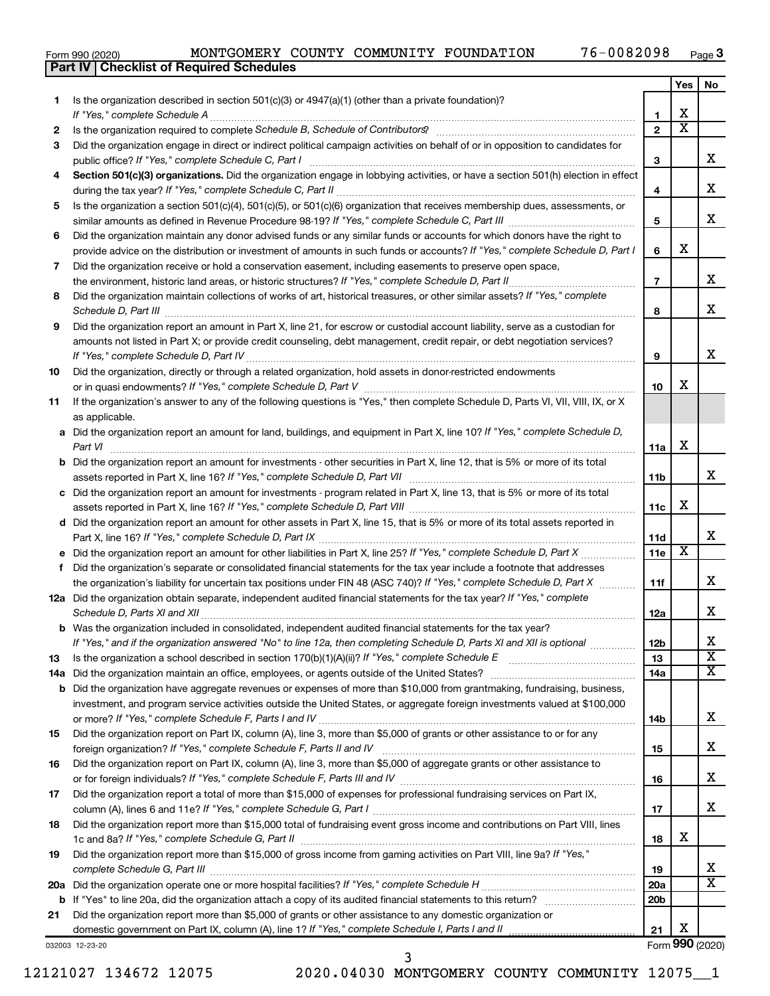**Part IV Checklist of Required Schedules**

### Form 990 (2020) MONTGOMERY COUNTY COMMUNITY FOUNDATION 76-0082098 Page

|     |                                                                                                                                                                                                                                                                |                 | Yes                     | No                      |
|-----|----------------------------------------------------------------------------------------------------------------------------------------------------------------------------------------------------------------------------------------------------------------|-----------------|-------------------------|-------------------------|
| 1.  | Is the organization described in section $501(c)(3)$ or $4947(a)(1)$ (other than a private foundation)?                                                                                                                                                        |                 |                         |                         |
|     | If "Yes," complete Schedule A                                                                                                                                                                                                                                  | 1               | X                       |                         |
| 2   |                                                                                                                                                                                                                                                                | $\mathbf{2}$    | $\overline{\textbf{x}}$ |                         |
| 3   | Did the organization engage in direct or indirect political campaign activities on behalf of or in opposition to candidates for                                                                                                                                |                 |                         |                         |
|     |                                                                                                                                                                                                                                                                | 3               |                         | x                       |
| 4   | Section 501(c)(3) organizations. Did the organization engage in lobbying activities, or have a section 501(h) election in effect                                                                                                                               |                 |                         |                         |
|     |                                                                                                                                                                                                                                                                | 4               |                         | х                       |
| 5   | Is the organization a section 501(c)(4), 501(c)(5), or 501(c)(6) organization that receives membership dues, assessments, or                                                                                                                                   |                 |                         |                         |
|     |                                                                                                                                                                                                                                                                | 5               |                         | x                       |
| 6   | Did the organization maintain any donor advised funds or any similar funds or accounts for which donors have the right to                                                                                                                                      |                 |                         |                         |
|     | provide advice on the distribution or investment of amounts in such funds or accounts? If "Yes," complete Schedule D, Part I                                                                                                                                   | 6               | X                       |                         |
| 7   | Did the organization receive or hold a conservation easement, including easements to preserve open space,                                                                                                                                                      |                 |                         |                         |
|     | the environment, historic land areas, or historic structures? If "Yes," complete Schedule D, Part II                                                                                                                                                           | $\overline{7}$  |                         | х                       |
| 8   | Did the organization maintain collections of works of art, historical treasures, or other similar assets? If "Yes," complete                                                                                                                                   |                 |                         |                         |
|     |                                                                                                                                                                                                                                                                | 8               |                         | x                       |
| 9   | Did the organization report an amount in Part X, line 21, for escrow or custodial account liability, serve as a custodian for                                                                                                                                  |                 |                         |                         |
|     | amounts not listed in Part X; or provide credit counseling, debt management, credit repair, or debt negotiation services?                                                                                                                                      |                 |                         |                         |
|     |                                                                                                                                                                                                                                                                | 9               |                         | x                       |
| 10  | Did the organization, directly or through a related organization, hold assets in donor-restricted endowments                                                                                                                                                   |                 |                         |                         |
|     |                                                                                                                                                                                                                                                                | 10              | х                       |                         |
| 11  | If the organization's answer to any of the following questions is "Yes," then complete Schedule D, Parts VI, VII, VIII, IX, or X                                                                                                                               |                 |                         |                         |
|     | as applicable.                                                                                                                                                                                                                                                 |                 |                         |                         |
| а   | Did the organization report an amount for land, buildings, and equipment in Part X, line 10? If "Yes," complete Schedule D,                                                                                                                                    |                 |                         |                         |
|     | Part VI                                                                                                                                                                                                                                                        | 11a             | X                       |                         |
| b   | Did the organization report an amount for investments - other securities in Part X, line 12, that is 5% or more of its total                                                                                                                                   |                 |                         |                         |
|     |                                                                                                                                                                                                                                                                | 11b             |                         | x                       |
| с   | Did the organization report an amount for investments - program related in Part X, line 13, that is 5% or more of its total                                                                                                                                    |                 |                         |                         |
|     |                                                                                                                                                                                                                                                                | 11с             | х                       |                         |
|     | d Did the organization report an amount for other assets in Part X, line 15, that is 5% or more of its total assets reported in                                                                                                                                |                 |                         |                         |
|     |                                                                                                                                                                                                                                                                | 11d             |                         | x                       |
|     | Did the organization report an amount for other liabilities in Part X, line 25? If "Yes," complete Schedule D, Part X                                                                                                                                          | 11e             | $\overline{\textbf{x}}$ |                         |
| f.  | Did the organization's separate or consolidated financial statements for the tax year include a footnote that addresses                                                                                                                                        |                 |                         |                         |
|     | the organization's liability for uncertain tax positions under FIN 48 (ASC 740)? If "Yes," complete Schedule D, Part X                                                                                                                                         | 11f             |                         | x                       |
|     | 12a Did the organization obtain separate, independent audited financial statements for the tax year? If "Yes," complete                                                                                                                                        |                 |                         |                         |
|     |                                                                                                                                                                                                                                                                | 12a             |                         | х                       |
|     | Was the organization included in consolidated, independent audited financial statements for the tax year?                                                                                                                                                      |                 |                         | Χ                       |
|     | If "Yes," and if the organization answered "No" to line 12a, then completing Schedule D, Parts XI and XII is optional                                                                                                                                          | 12b             |                         | $\overline{\mathbf{X}}$ |
| 13  |                                                                                                                                                                                                                                                                | 13              |                         | x                       |
| 14a | Did the organization maintain an office, employees, or agents outside of the United States?                                                                                                                                                                    | 14a             |                         |                         |
|     | <b>b</b> Did the organization have aggregate revenues or expenses of more than \$10,000 from grantmaking, fundraising, business,<br>investment, and program service activities outside the United States, or aggregate foreign investments valued at \$100,000 |                 |                         |                         |
|     |                                                                                                                                                                                                                                                                |                 |                         | х                       |
| 15  | Did the organization report on Part IX, column (A), line 3, more than \$5,000 of grants or other assistance to or for any                                                                                                                                      | 14b             |                         |                         |
|     |                                                                                                                                                                                                                                                                | 15              |                         | х                       |
| 16  | Did the organization report on Part IX, column (A), line 3, more than \$5,000 of aggregate grants or other assistance to                                                                                                                                       |                 |                         |                         |
|     |                                                                                                                                                                                                                                                                | 16              |                         | х                       |
| 17  | Did the organization report a total of more than \$15,000 of expenses for professional fundraising services on Part IX,                                                                                                                                        |                 |                         |                         |
|     |                                                                                                                                                                                                                                                                | 17              |                         | х                       |
| 18  | Did the organization report more than \$15,000 total of fundraising event gross income and contributions on Part VIII, lines                                                                                                                                   |                 |                         |                         |
|     |                                                                                                                                                                                                                                                                | 18              | X                       |                         |
| 19  | Did the organization report more than \$15,000 of gross income from gaming activities on Part VIII, line 9a? If "Yes,"                                                                                                                                         |                 |                         |                         |
|     |                                                                                                                                                                                                                                                                | 19              |                         | x                       |
| 20a |                                                                                                                                                                                                                                                                | <b>20a</b>      |                         | X                       |
| b   |                                                                                                                                                                                                                                                                | 20 <sub>b</sub> |                         |                         |
| 21  | Did the organization report more than \$5,000 of grants or other assistance to any domestic organization or                                                                                                                                                    |                 |                         |                         |
|     | domestic government on Part IX, column (A), line 1? If "Yes," complete Schedule I, Parts I and II                                                                                                                                                              | 21              | х                       |                         |
|     |                                                                                                                                                                                                                                                                |                 |                         |                         |

032003 12-23-20

12121027 134672 12075 2020.04030 MONTGOMERY COUNTY COMMUNITY 12075\_\_1

3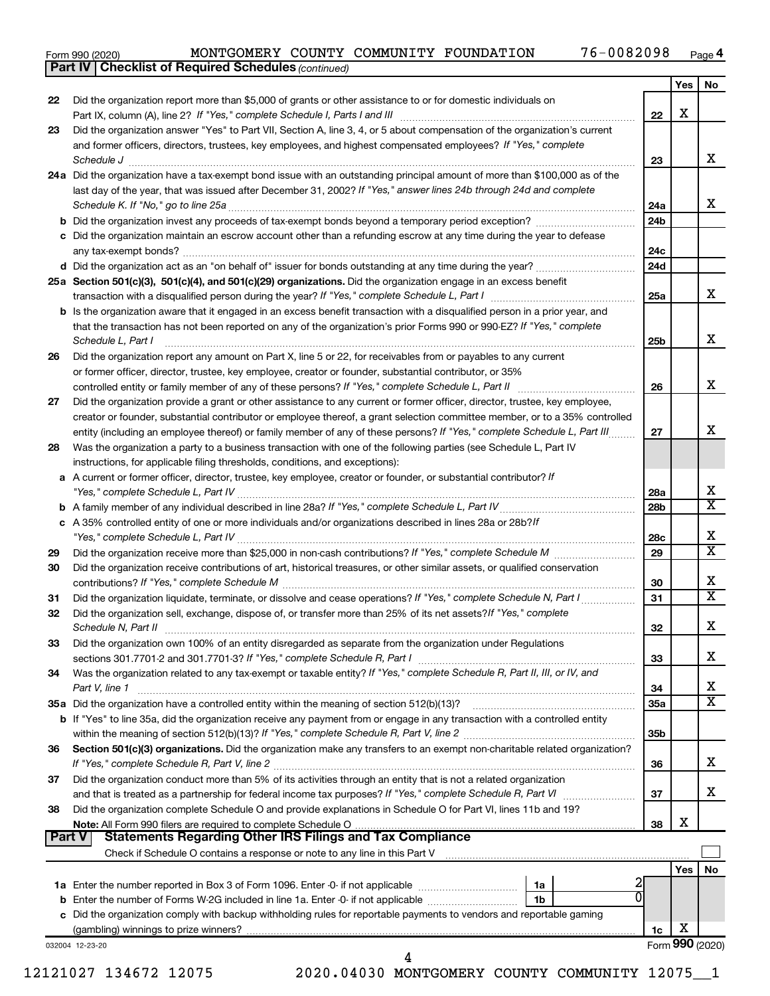Form 990 (2020) MONTGOMERY COUNTY COMMUNITY FOUNDATION 76-0082098 Page

*(continued)* **Part IV Checklist of Required Schedules**

|        |                                                                                                                                                                 |                 | Yes             | No                           |
|--------|-----------------------------------------------------------------------------------------------------------------------------------------------------------------|-----------------|-----------------|------------------------------|
| 22     | Did the organization report more than \$5,000 of grants or other assistance to or for domestic individuals on                                                   |                 |                 |                              |
|        |                                                                                                                                                                 | 22              | х               |                              |
| 23     | Did the organization answer "Yes" to Part VII, Section A, line 3, 4, or 5 about compensation of the organization's current                                      |                 |                 |                              |
|        | and former officers, directors, trustees, key employees, and highest compensated employees? If "Yes," complete                                                  |                 |                 |                              |
|        | Schedule J <b>Martin Communication Communication</b> Contract of Technical Communication Communication Communication                                            | 23              |                 | x                            |
|        | 24a Did the organization have a tax-exempt bond issue with an outstanding principal amount of more than \$100,000 as of the                                     |                 |                 |                              |
|        | last day of the year, that was issued after December 31, 2002? If "Yes," answer lines 24b through 24d and complete                                              |                 |                 |                              |
|        | Schedule K. If "No," go to line 25a                                                                                                                             | 24a             |                 | x                            |
|        |                                                                                                                                                                 | 24b             |                 |                              |
|        | <b>b</b> Did the organization invest any proceeds of tax-exempt bonds beyond a temporary period exception?                                                      |                 |                 |                              |
|        | c Did the organization maintain an escrow account other than a refunding escrow at any time during the year to defease                                          |                 |                 |                              |
|        |                                                                                                                                                                 | 24c             |                 |                              |
|        | d Did the organization act as an "on behalf of" issuer for bonds outstanding at any time during the year?                                                       | 24d             |                 |                              |
|        | 25a Section 501(c)(3), 501(c)(4), and 501(c)(29) organizations. Did the organization engage in an excess benefit                                                |                 |                 |                              |
|        |                                                                                                                                                                 | 25a             |                 | x                            |
|        | <b>b</b> Is the organization aware that it engaged in an excess benefit transaction with a disqualified person in a prior year, and                             |                 |                 |                              |
|        | that the transaction has not been reported on any of the organization's prior Forms 990 or 990-EZ? If "Yes," complete                                           |                 |                 |                              |
|        | Schedule L, Part I                                                                                                                                              | 25b             |                 | x                            |
| 26     | Did the organization report any amount on Part X, line 5 or 22, for receivables from or payables to any current                                                 |                 |                 |                              |
|        | or former officer, director, trustee, key employee, creator or founder, substantial contributor, or 35%                                                         |                 |                 |                              |
|        | controlled entity or family member of any of these persons? If "Yes," complete Schedule L, Part II                                                              | 26              |                 | x                            |
| 27     | Did the organization provide a grant or other assistance to any current or former officer, director, trustee, key employee,                                     |                 |                 |                              |
|        | creator or founder, substantial contributor or employee thereof, a grant selection committee member, or to a 35% controlled                                     |                 |                 |                              |
|        | entity (including an employee thereof) or family member of any of these persons? If "Yes," complete Schedule L, Part III                                        | 27              |                 | х                            |
| 28     | Was the organization a party to a business transaction with one of the following parties (see Schedule L, Part IV                                               |                 |                 |                              |
|        | instructions, for applicable filing thresholds, conditions, and exceptions):                                                                                    |                 |                 |                              |
|        | a A current or former officer, director, trustee, key employee, creator or founder, or substantial contributor? If                                              |                 |                 |                              |
|        |                                                                                                                                                                 | 28a             |                 | х                            |
|        |                                                                                                                                                                 | 28 <sub>b</sub> |                 | $\overline{\textbf{x}}$      |
|        | c A 35% controlled entity of one or more individuals and/or organizations described in lines 28a or 28b?/f                                                      |                 |                 |                              |
|        |                                                                                                                                                                 | 28c             |                 | х                            |
| 29     |                                                                                                                                                                 | 29              |                 | $\overline{\texttt{x}}$      |
| 30     | Did the organization receive contributions of art, historical treasures, or other similar assets, or qualified conservation                                     |                 |                 |                              |
|        |                                                                                                                                                                 | 30              |                 | х                            |
| 31     |                                                                                                                                                                 | 31              |                 | $\overline{\textbf{x}}$      |
| 32     | Did the organization sell, exchange, dispose of, or transfer more than 25% of its net assets? If "Yes," complete                                                |                 |                 |                              |
|        |                                                                                                                                                                 | 32              |                 | х                            |
| 33     | Did the organization own 100% of an entity disregarded as separate from the organization under Regulations                                                      |                 |                 |                              |
|        | sections 301.7701-2 and 301.7701-3? If "Yes," complete Schedule R, Part I                                                                                       |                 |                 | х                            |
|        |                                                                                                                                                                 | 33              |                 |                              |
| 34     | Was the organization related to any tax-exempt or taxable entity? If "Yes," complete Schedule R, Part II, III, or IV, and                                       |                 |                 |                              |
|        | Part V, line 1                                                                                                                                                  | 34              |                 | x<br>$\overline{\texttt{x}}$ |
|        | 35a Did the organization have a controlled entity within the meaning of section 512(b)(13)?                                                                     | 35a             |                 |                              |
|        | b If "Yes" to line 35a, did the organization receive any payment from or engage in any transaction with a controlled entity                                     |                 |                 |                              |
|        |                                                                                                                                                                 | 35b             |                 |                              |
| 36     | Section 501(c)(3) organizations. Did the organization make any transfers to an exempt non-charitable related organization?                                      |                 |                 |                              |
|        |                                                                                                                                                                 | 36              |                 | x                            |
| 37     | Did the organization conduct more than 5% of its activities through an entity that is not a related organization                                                |                 |                 |                              |
|        | and that is treated as a partnership for federal income tax purposes? If "Yes," complete Schedule R, Part VI                                                    | 37              |                 | х                            |
| 38     | Did the organization complete Schedule O and provide explanations in Schedule O for Part VI, lines 11b and 19?                                                  |                 |                 |                              |
|        |                                                                                                                                                                 | 38              | х               |                              |
| Part V | <b>Statements Regarding Other IRS Filings and Tax Compliance</b>                                                                                                |                 |                 |                              |
|        | Check if Schedule O contains a response or note to any line in this Part V [11] [12] Check if Schedule O contains a response or note to any line in this Part V |                 |                 |                              |
|        |                                                                                                                                                                 |                 | Yes             | No                           |
|        | 1a                                                                                                                                                              |                 |                 |                              |
|        | 0<br>1 <sub>b</sub><br><b>b</b> Enter the number of Forms W-2G included in line 1a. Enter -0- if not applicable <i>manumumumum</i>                              |                 |                 |                              |
|        | c Did the organization comply with backup withholding rules for reportable payments to vendors and reportable gaming                                            |                 |                 |                              |
|        |                                                                                                                                                                 | 1c              | х               |                              |
|        | 032004 12-23-20                                                                                                                                                 |                 | Form 990 (2020) |                              |
|        | 4                                                                                                                                                               |                 |                 |                              |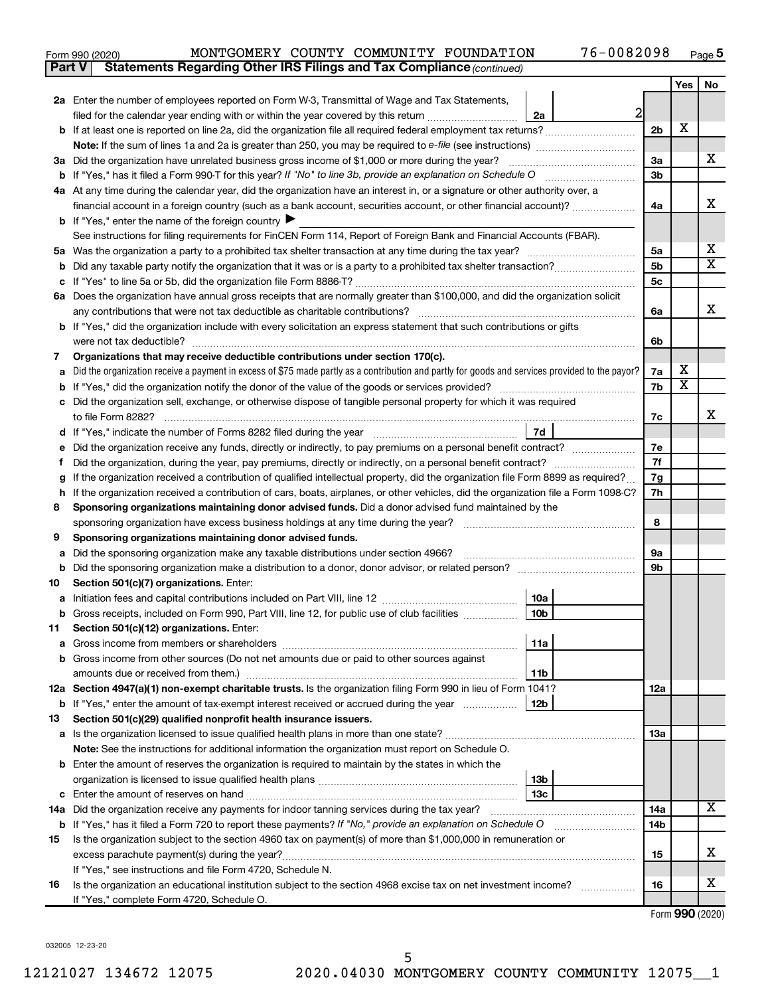| Form 990 (2020) |                                                                                     |  | MONTGOMERY COUNTY COMMUNITY FOUNDATION | 76-0082098 | Page |
|-----------------|-------------------------------------------------------------------------------------|--|----------------------------------------|------------|------|
|                 | <b>Part V</b> Statements Regarding Other IRS Filings and Tax Compliance (continued) |  |                                        |            |      |

|    |                                                                                                                                                 |                        |                                                    |                | Yes                     | No                      |  |  |
|----|-------------------------------------------------------------------------------------------------------------------------------------------------|------------------------|----------------------------------------------------|----------------|-------------------------|-------------------------|--|--|
|    | 2a Enter the number of employees reported on Form W-3, Transmittal of Wage and Tax Statements,                                                  |                        |                                                    |                |                         |                         |  |  |
|    | filed for the calendar year ending with or within the year covered by this return                                                               | 2a                     | $\overline{2}$                                     |                |                         |                         |  |  |
|    |                                                                                                                                                 |                        |                                                    | 2 <sub>b</sub> | х                       |                         |  |  |
|    |                                                                                                                                                 |                        |                                                    |                |                         |                         |  |  |
|    | 3a Did the organization have unrelated business gross income of \$1,000 or more during the year?                                                |                        |                                                    | За             |                         | x                       |  |  |
|    |                                                                                                                                                 |                        |                                                    | 3 <sub>b</sub> |                         |                         |  |  |
|    | 4a At any time during the calendar year, did the organization have an interest in, or a signature or other authority over, a                    |                        |                                                    |                |                         |                         |  |  |
|    | financial account in a foreign country (such as a bank account, securities account, or other financial account)?                                |                        |                                                    | 4a             |                         | x                       |  |  |
|    | <b>b</b> If "Yes," enter the name of the foreign country                                                                                        |                        |                                                    |                |                         |                         |  |  |
|    | See instructions for filing requirements for FinCEN Form 114, Report of Foreign Bank and Financial Accounts (FBAR).                             |                        |                                                    |                |                         | х                       |  |  |
| 5а |                                                                                                                                                 |                        |                                                    | 5a             |                         | $\overline{\texttt{x}}$ |  |  |
| b  |                                                                                                                                                 |                        |                                                    | 5b<br>5c       |                         |                         |  |  |
|    | 6a Does the organization have annual gross receipts that are normally greater than \$100,000, and did the organization solicit                  |                        |                                                    |                |                         |                         |  |  |
|    | any contributions that were not tax deductible as charitable contributions?                                                                     |                        |                                                    |                |                         |                         |  |  |
|    | b If "Yes," did the organization include with every solicitation an express statement that such contributions or gifts                          |                        |                                                    |                |                         |                         |  |  |
|    | were not tax deductible?                                                                                                                        |                        |                                                    | 6b             |                         |                         |  |  |
| 7  | Organizations that may receive deductible contributions under section 170(c).                                                                   |                        |                                                    |                |                         |                         |  |  |
|    | Did the organization receive a payment in excess of \$75 made partly as a contribution and partly for goods and services provided to the payor? |                        |                                                    | 7a             | х                       |                         |  |  |
|    |                                                                                                                                                 |                        |                                                    | 7b             | $\overline{\texttt{x}}$ |                         |  |  |
| с  | Did the organization sell, exchange, or otherwise dispose of tangible personal property for which it was required                               |                        |                                                    |                |                         |                         |  |  |
|    | to file Form 8282?                                                                                                                              |                        |                                                    | 7c             |                         | x                       |  |  |
|    | d If "Yes," indicate the number of Forms 8282 filed during the year manufacture intervent in the set of the number                              | 7d                     |                                                    |                |                         |                         |  |  |
|    | Did the organization receive any funds, directly or indirectly, to pay premiums on a personal benefit contract?                                 |                        |                                                    | 7е             |                         |                         |  |  |
|    | Did the organization, during the year, pay premiums, directly or indirectly, on a personal benefit contract?                                    |                        |                                                    |                |                         |                         |  |  |
|    | If the organization received a contribution of qualified intellectual property, did the organization file Form 8899 as required?                |                        |                                                    | 7g             |                         |                         |  |  |
| h  | If the organization received a contribution of cars, boats, airplanes, or other vehicles, did the organization file a Form 1098-C?              |                        |                                                    | 7h             |                         |                         |  |  |
| 8  | Sponsoring organizations maintaining donor advised funds. Did a donor advised fund maintained by the                                            |                        |                                                    |                |                         |                         |  |  |
|    |                                                                                                                                                 |                        |                                                    | 8              |                         |                         |  |  |
| 9  | Sponsoring organizations maintaining donor advised funds.                                                                                       |                        |                                                    |                |                         |                         |  |  |
| а  | Did the sponsoring organization make any taxable distributions under section 4966?                                                              |                        |                                                    | 9а             |                         |                         |  |  |
| b  |                                                                                                                                                 |                        |                                                    | 9b             |                         |                         |  |  |
| 10 | Section 501(c)(7) organizations. Enter:                                                                                                         |                        |                                                    |                |                         |                         |  |  |
| а  |                                                                                                                                                 | 10a<br>10 <sub>b</sub> |                                                    |                |                         |                         |  |  |
| b  | Gross receipts, included on Form 990, Part VIII, line 12, for public use of club facilities<br>Section 501(c)(12) organizations. Enter:         |                        |                                                    |                |                         |                         |  |  |
| 11 |                                                                                                                                                 | 11a                    |                                                    |                |                         |                         |  |  |
|    | b Gross income from other sources (Do not net amounts due or paid to other sources against                                                      |                        |                                                    |                |                         |                         |  |  |
|    | amounts due or received from them.)                                                                                                             | 11b                    |                                                    |                |                         |                         |  |  |
|    | 12a Section 4947(a)(1) non-exempt charitable trusts. Is the organization filing Form 990 in lieu of Form 1041?                                  |                        |                                                    | 12a            |                         |                         |  |  |
|    | <b>b</b> If "Yes," enter the amount of tax-exempt interest received or accrued during the year                                                  | 12 <sub>b</sub>        |                                                    |                |                         |                         |  |  |
| 13 | Section 501(c)(29) qualified nonprofit health insurance issuers.                                                                                |                        |                                                    |                |                         |                         |  |  |
|    |                                                                                                                                                 |                        |                                                    | 1За            |                         |                         |  |  |
|    | Note: See the instructions for additional information the organization must report on Schedule O.                                               |                        |                                                    |                |                         |                         |  |  |
|    | <b>b</b> Enter the amount of reserves the organization is required to maintain by the states in which the                                       |                        |                                                    |                |                         |                         |  |  |
|    |                                                                                                                                                 | 13 <sub>b</sub>        |                                                    |                |                         |                         |  |  |
|    |                                                                                                                                                 | 13 <sub>c</sub>        |                                                    |                |                         |                         |  |  |
|    | 14a Did the organization receive any payments for indoor tanning services during the tax year?                                                  |                        |                                                    | 14a            |                         | $\overline{\mathbf{X}}$ |  |  |
|    | <b>b</b> If "Yes," has it filed a Form 720 to report these payments? If "No," provide an explanation on Schedule O                              |                        | <u> 1986 - John Bernstein, francuski filozof (</u> | 14b            |                         |                         |  |  |
| 15 | Is the organization subject to the section 4960 tax on payment(s) of more than \$1,000,000 in remuneration or                                   |                        |                                                    |                |                         |                         |  |  |
|    |                                                                                                                                                 |                        |                                                    | 15             |                         | х                       |  |  |
|    | If "Yes," see instructions and file Form 4720, Schedule N.                                                                                      |                        |                                                    |                |                         |                         |  |  |
| 16 | Is the organization an educational institution subject to the section 4968 excise tax on net investment income?                                 |                        |                                                    | 16             |                         | х                       |  |  |
|    | If "Yes," complete Form 4720, Schedule O.                                                                                                       |                        |                                                    |                |                         |                         |  |  |

Form (2020) **990**

032005 12-23-20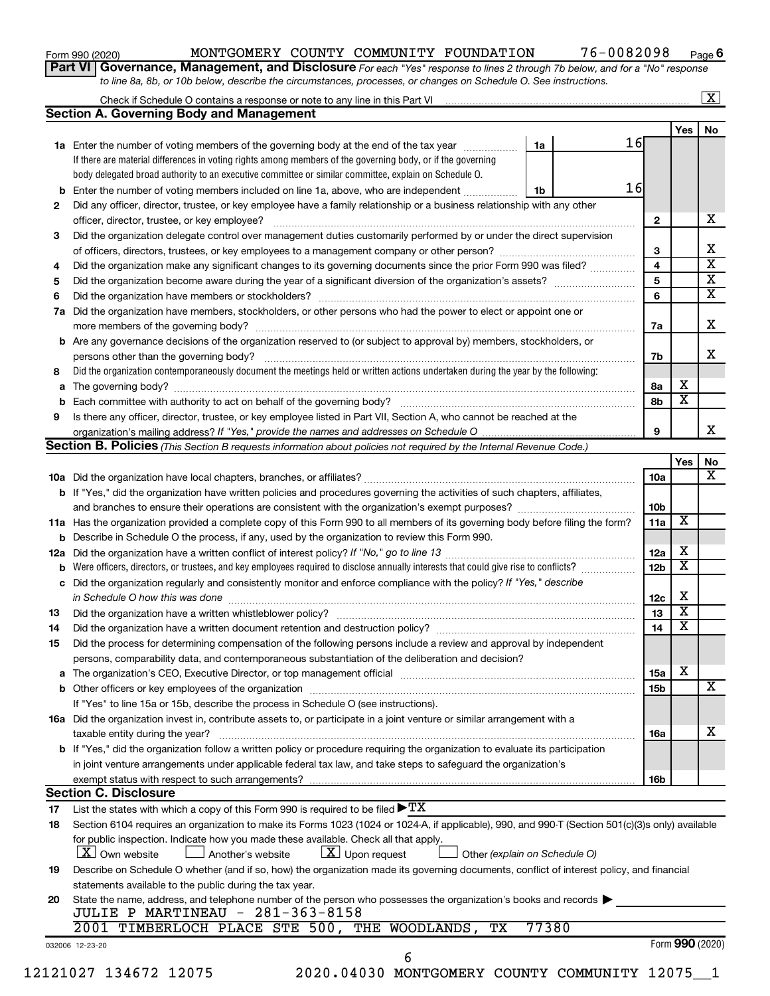Form 990 (2020) MONTGOMERY COUNTY COMMUNITY FOUNDATION 76-0082098 Page

**6**

**Part VI** Governance, Management, and Disclosure For each "Yes" response to lines 2 through 7b below, and for a "No" response *to line 8a, 8b, or 10b below, describe the circumstances, processes, or changes on Schedule O. See instructions.*

|     | Check if Schedule O contains a response or note to any line in this Part VI [1] [1] [1] [1] [1] [1] [1] [1] [1                                                                                                                |  |       |    |                 |                         | $\mathbf{X}$ |
|-----|-------------------------------------------------------------------------------------------------------------------------------------------------------------------------------------------------------------------------------|--|-------|----|-----------------|-------------------------|--------------|
|     | <b>Section A. Governing Body and Management</b>                                                                                                                                                                               |  |       |    |                 |                         |              |
|     |                                                                                                                                                                                                                               |  |       |    |                 | Yes                     | No           |
|     | 1a Enter the number of voting members of the governing body at the end of the tax year                                                                                                                                        |  | 1a    | 16 |                 |                         |              |
|     | If there are material differences in voting rights among members of the governing body, or if the governing                                                                                                                   |  |       |    |                 |                         |              |
|     | body delegated broad authority to an executive committee or similar committee, explain on Schedule O.                                                                                                                         |  |       |    |                 |                         |              |
| b   | Enter the number of voting members included on line 1a, above, who are independent                                                                                                                                            |  | 1b    | 16 |                 |                         |              |
| 2   | Did any officer, director, trustee, or key employee have a family relationship or a business relationship with any other                                                                                                      |  |       |    |                 |                         |              |
|     | officer, director, trustee, or key employee?                                                                                                                                                                                  |  |       |    | $\mathbf{2}$    |                         | х            |
| 3   | Did the organization delegate control over management duties customarily performed by or under the direct supervision                                                                                                         |  |       |    |                 |                         |              |
|     |                                                                                                                                                                                                                               |  |       |    | 3               |                         |              |
| 4   | Did the organization make any significant changes to its governing documents since the prior Form 990 was filed?                                                                                                              |  |       |    | 4               |                         |              |
| 5   |                                                                                                                                                                                                                               |  |       |    | 5               |                         |              |
| 6   |                                                                                                                                                                                                                               |  |       |    | 6               |                         |              |
| 7a  | Did the organization have members, stockholders, or other persons who had the power to elect or appoint one or                                                                                                                |  |       |    |                 |                         |              |
|     |                                                                                                                                                                                                                               |  |       |    | 7a              |                         |              |
| b   | Are any governance decisions of the organization reserved to (or subject to approval by) members, stockholders, or                                                                                                            |  |       |    |                 |                         |              |
|     |                                                                                                                                                                                                                               |  |       |    | 7b              |                         |              |
|     | Did the organization contemporaneously document the meetings held or written actions undertaken during the year by the following:                                                                                             |  |       |    |                 |                         |              |
| 8   |                                                                                                                                                                                                                               |  |       |    |                 | х                       |              |
| а   |                                                                                                                                                                                                                               |  |       |    | 8а              | $\overline{\mathbf{x}}$ |              |
| b   |                                                                                                                                                                                                                               |  |       |    | 8b              |                         |              |
| 9   | Is there any officer, director, trustee, or key employee listed in Part VII, Section A, who cannot be reached at the                                                                                                          |  |       |    |                 |                         |              |
|     |                                                                                                                                                                                                                               |  |       |    | 9               |                         |              |
|     | <b>Section B. Policies</b> (This Section B requests information about policies not required by the Internal Revenue Code.)                                                                                                    |  |       |    |                 |                         | No           |
|     |                                                                                                                                                                                                                               |  |       |    |                 | Yes                     |              |
|     |                                                                                                                                                                                                                               |  |       |    | 10a             |                         |              |
|     | <b>b</b> If "Yes," did the organization have written policies and procedures governing the activities of such chapters, affiliates,                                                                                           |  |       |    |                 |                         |              |
|     |                                                                                                                                                                                                                               |  |       |    | 10b             |                         |              |
|     | 11a Has the organization provided a complete copy of this Form 990 to all members of its governing body before filing the form?                                                                                               |  |       |    | 11a             | X                       |              |
|     | <b>b</b> Describe in Schedule O the process, if any, used by the organization to review this Form 990.                                                                                                                        |  |       |    |                 |                         |              |
| 12a |                                                                                                                                                                                                                               |  |       |    | 12a             | х                       |              |
| b   | Were officers, directors, or trustees, and key employees required to disclose annually interests that could give rise to conflicts?                                                                                           |  |       |    | 12 <sub>b</sub> | $\overline{\mathbf{X}}$ |              |
| с   | Did the organization regularly and consistently monitor and enforce compliance with the policy? If "Yes," describe                                                                                                            |  |       |    |                 |                         |              |
|     |                                                                                                                                                                                                                               |  |       |    | 12c             | Х                       |              |
| 13  |                                                                                                                                                                                                                               |  |       |    | 13              | $\overline{\mathbf{X}}$ |              |
| 14  | Did the organization have a written document retention and destruction policy? [11] manufaction manufaction in                                                                                                                |  |       |    | 14              | $\overline{\mathbf{X}}$ |              |
| 15  | Did the process for determining compensation of the following persons include a review and approval by independent                                                                                                            |  |       |    |                 |                         |              |
|     | persons, comparability data, and contemporaneous substantiation of the deliberation and decision?                                                                                                                             |  |       |    |                 |                         |              |
| а   | The organization's CEO, Executive Director, or top management official [111] [11] manument content of the organization's CEO, Executive Director, or top management official [11] manument content of the organization of the |  |       |    | 15a             | X                       |              |
|     |                                                                                                                                                                                                                               |  |       |    | 15b             |                         |              |
|     | If "Yes" to line 15a or 15b, describe the process in Schedule O (see instructions).                                                                                                                                           |  |       |    |                 |                         |              |
|     |                                                                                                                                                                                                                               |  |       |    |                 |                         |              |
|     | 16a Did the organization invest in, contribute assets to, or participate in a joint venture or similar arrangement with a                                                                                                     |  |       |    |                 |                         |              |
|     | taxable entity during the year?                                                                                                                                                                                               |  |       |    | 16a             |                         |              |
|     | b If "Yes," did the organization follow a written policy or procedure requiring the organization to evaluate its participation                                                                                                |  |       |    |                 |                         |              |
|     | in joint venture arrangements under applicable federal tax law, and take steps to safeguard the organization's                                                                                                                |  |       |    |                 |                         |              |
|     | exempt status with respect to such arrangements?                                                                                                                                                                              |  |       |    | 16b             |                         |              |
|     | <b>Section C. Disclosure</b>                                                                                                                                                                                                  |  |       |    |                 |                         |              |
| 17  | List the states with which a copy of this Form 990 is required to be filed $\blacktriangleright TX$                                                                                                                           |  |       |    |                 |                         |              |
| 18  | Section 6104 requires an organization to make its Forms 1023 (1024 or 1024-A, if applicable), 990, and 990-T (Section 501(c)(3)s only) available                                                                              |  |       |    |                 |                         |              |
|     | for public inspection. Indicate how you made these available. Check all that apply.                                                                                                                                           |  |       |    |                 |                         |              |
|     | $\lfloor x \rfloor$ Upon request<br><b>X</b> Own website<br>Another's website<br>Other (explain on Schedule O)                                                                                                                |  |       |    |                 |                         |              |
| 19  | Describe on Schedule O whether (and if so, how) the organization made its governing documents, conflict of interest policy, and financial                                                                                     |  |       |    |                 |                         |              |
|     | statements available to the public during the tax year.                                                                                                                                                                       |  |       |    |                 |                         |              |
| 20  | State the name, address, and telephone number of the person who possesses the organization's books and records                                                                                                                |  |       |    |                 |                         |              |
|     | <b>JULIE P MARTINEAU - 281-363-8158</b>                                                                                                                                                                                       |  |       |    |                 |                         |              |
|     | 2001 TIMBERLOCH PLACE STE 500, THE WOODLANDS,<br>$\overline{\text{TX}}$                                                                                                                                                       |  | 77380 |    |                 |                         |              |
|     | 032006 12-23-20                                                                                                                                                                                                               |  |       |    |                 | Form 990 (2020)         |              |
|     | 6                                                                                                                                                                                                                             |  |       |    |                 |                         |              |
|     | 12121027 134672 12075<br>2020.04030 MONTGOMERY COUNTY COMMUNITY 12075_1                                                                                                                                                       |  |       |    |                 |                         |              |
|     |                                                                                                                                                                                                                               |  |       |    |                 |                         |              |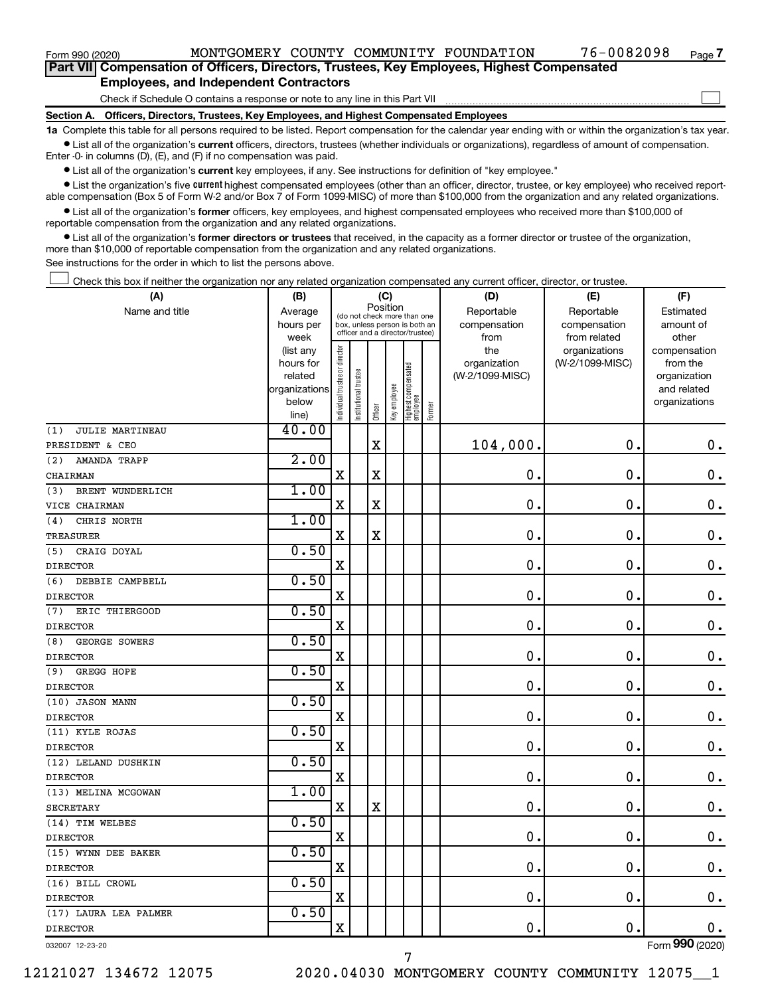$\Box$ 

| Part VII Compensation of Officers, Directors, Trustees, Key Employees, Highest Compensated |  |  |
|--------------------------------------------------------------------------------------------|--|--|
| <b>Employees, and Independent Contractors</b>                                              |  |  |

Check if Schedule O contains a response or note to any line in this Part VII

**Section A. Officers, Directors, Trustees, Key Employees, and Highest Compensated Employees**

**1a**  Complete this table for all persons required to be listed. Report compensation for the calendar year ending with or within the organization's tax year.  $\bullet$  List all of the organization's current officers, directors, trustees (whether individuals or organizations), regardless of amount of compensation.

Enter -0- in columns (D), (E), and (F) if no compensation was paid.

**•** List all of the organization's current key employees, if any. See instructions for definition of "key employee."

• List the organization's five *current* highest compensated employees (other than an officer, director, trustee, or key employee) who received reportable compensation (Box 5 of Form W-2 and/or Box 7 of Form 1099-MISC) of more than \$100,000 from the organization and any related organizations.

 $\bullet$  List all of the organization's former officers, key employees, and highest compensated employees who received more than \$100,000 of reportable compensation from the organization and any related organizations.

**•** List all of the organization's former directors or trustees that received, in the capacity as a former director or trustee of the organization, more than \$10,000 of reportable compensation from the organization and any related organizations.

See instructions for the order in which to list the persons above.

Check this box if neither the organization nor any related organization compensated any current officer, director, or trustee.  $\Box$ 

| (A)                         | (B)                    |                               |                                 | (C)         |              |                                 |        | (D)             | (E)             | (F)                          |
|-----------------------------|------------------------|-------------------------------|---------------------------------|-------------|--------------|---------------------------------|--------|-----------------|-----------------|------------------------------|
| Name and title              | Average                |                               | (do not check more than one     | Position    |              |                                 |        | Reportable      | Reportable      | Estimated                    |
|                             | hours per              |                               | box, unless person is both an   |             |              |                                 |        | compensation    | compensation    | amount of                    |
|                             | week                   |                               | officer and a director/trustee) |             |              |                                 |        | from            | from related    | other                        |
|                             | (list any              |                               |                                 |             |              |                                 |        | the             | organizations   | compensation                 |
|                             | hours for              |                               |                                 |             |              |                                 |        | organization    | (W-2/1099-MISC) | from the                     |
|                             | related                |                               | trustee                         |             |              |                                 |        | (W-2/1099-MISC) |                 | organization                 |
|                             | organizations<br>below |                               |                                 |             |              |                                 |        |                 |                 | and related<br>organizations |
|                             | line)                  | ndividual trustee or director | Institutional t                 | Officer     | Key employee | Highest compensated<br>employee | Former |                 |                 |                              |
| JULIE MARTINEAU<br>(1)      | 40.00                  |                               |                                 |             |              |                                 |        |                 |                 |                              |
| PRESIDENT & CEO             |                        |                               |                                 | $\mathbf X$ |              |                                 |        | 104,000.        | $\mathbf 0$ .   | $\mathbf 0$ .                |
| (2)<br>AMANDA TRAPP         | 2.00                   |                               |                                 |             |              |                                 |        |                 |                 |                              |
| CHAIRMAN                    |                        | $\mathbf X$                   |                                 | $\mathbf X$ |              |                                 |        | 0.              | $\mathbf 0$ .   | $\mathbf 0$ .                |
| BRENT WUNDERLICH<br>(3)     | 1.00                   |                               |                                 |             |              |                                 |        |                 |                 |                              |
| VICE CHAIRMAN               |                        | X                             |                                 | X           |              |                                 |        | $\mathbf 0$ .   | $\mathbf 0$ .   | $\mathbf 0$ .                |
| CHRIS NORTH<br>(4)          | 1.00                   |                               |                                 |             |              |                                 |        |                 |                 |                              |
| <b>TREASURER</b>            |                        | $\mathbf X$                   |                                 | $\mathbf X$ |              |                                 |        | 0.              | $\mathbf 0$ .   | $\mathbf 0$ .                |
| CRAIG DOYAL<br>(5)          | 0.50                   |                               |                                 |             |              |                                 |        |                 |                 |                              |
| <b>DIRECTOR</b>             |                        | X                             |                                 |             |              |                                 |        | 0.              | $\mathbf 0$ .   | $\mathbf 0$ .                |
| DEBBIE CAMPBELL<br>(6)      | 0.50                   |                               |                                 |             |              |                                 |        |                 |                 |                              |
| <b>DIRECTOR</b>             |                        | $\overline{\mathbf{X}}$       |                                 |             |              |                                 |        | $\mathbf 0$     | $\mathbf 0$     | $\mathbf 0$ .                |
| ERIC THIERGOOD<br>(7)       | 0.50                   |                               |                                 |             |              |                                 |        |                 |                 |                              |
| <b>DIRECTOR</b>             |                        | $\mathbf x$                   |                                 |             |              |                                 |        | 0.              | $\mathbf 0$ .   | $\mathbf 0$ .                |
| <b>GEORGE SOWERS</b><br>(8) | 0.50                   |                               |                                 |             |              |                                 |        |                 |                 |                              |
| <b>DIRECTOR</b>             |                        | $\mathbf X$                   |                                 |             |              |                                 |        | $\mathbf 0$ .   | $\mathbf 0$ .   | $\mathbf 0$ .                |
| (9)<br>GREGG HOPE           | 0.50                   |                               |                                 |             |              |                                 |        |                 |                 |                              |
| <b>DIRECTOR</b>             |                        | $\mathbf X$                   |                                 |             |              |                                 |        | $\mathbf 0$ .   | $\mathbf 0$ .   | $\mathbf 0$ .                |
| (10) JASON MANN             | 0.50                   |                               |                                 |             |              |                                 |        |                 |                 |                              |
| <b>DIRECTOR</b>             |                        | $\mathbf x$                   |                                 |             |              |                                 |        | $\mathbf 0$ .   | $\mathbf 0$     | $\mathbf 0$ .                |
| (11) KYLE ROJAS             | 0.50                   |                               |                                 |             |              |                                 |        |                 |                 |                              |
| <b>DIRECTOR</b>             |                        | $\mathbf X$                   |                                 |             |              |                                 |        | $\mathbf 0$ .   | $\mathbf 0$     | $\mathbf 0$ .                |
| (12) LELAND DUSHKIN         | 0.50                   |                               |                                 |             |              |                                 |        |                 |                 |                              |
| <b>DIRECTOR</b>             |                        | $\mathbf X$                   |                                 |             |              |                                 |        | $\mathbf 0$ .   | $\mathbf 0$ .   | $\mathbf 0$ .                |
| (13) MELINA MCGOWAN         | 1.00                   |                               |                                 |             |              |                                 |        |                 |                 |                              |
| <b>SECRETARY</b>            |                        | $\mathbf X$                   |                                 | $\mathbf X$ |              |                                 |        | 0.              | $\mathbf 0$ .   | $0$ .                        |
| (14) TIM WELBES             | 0.50                   |                               |                                 |             |              |                                 |        |                 |                 |                              |
| <b>DIRECTOR</b>             |                        | X                             |                                 |             |              |                                 |        | $\mathbf 0$ .   | $\mathbf 0$ .   | 0.                           |
| (15) WYNN DEE BAKER         | 0.50                   |                               |                                 |             |              |                                 |        |                 |                 |                              |
| <b>DIRECTOR</b>             |                        | $\mathbf x$                   |                                 |             |              |                                 |        | $\mathbf 0$ .   | $\mathbf 0$ .   | $\mathbf 0$ .                |
| (16) BILL CROWL             | 0.50                   |                               |                                 |             |              |                                 |        |                 |                 |                              |
| <b>DIRECTOR</b>             |                        | X                             |                                 |             |              |                                 |        | $\mathbf 0$     | $\mathbf 0$     | $\mathbf 0$ .                |
| (17) LAURA LEA PALMER       | 0.50                   |                               |                                 |             |              |                                 |        |                 |                 |                              |
| <b>DIRECTOR</b>             |                        | $\mathbf X$                   |                                 |             |              |                                 |        | 0.              | $\mathbf 0$ .   | $\mathbf 0$ .                |
| 032007 12-23-20             |                        |                               |                                 |             |              |                                 |        |                 |                 | Form 990 (2020)              |

7

Form (2020) **990**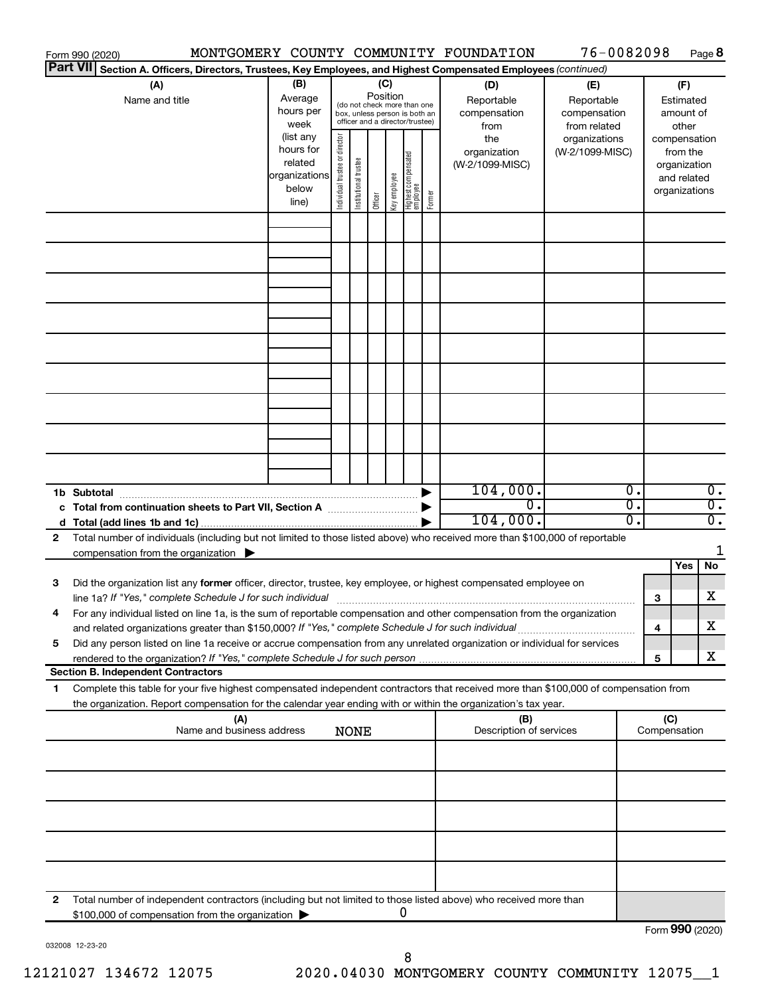|              | Form 990 (2020)                                                                                                                                                                                                                   |                                  |                                                                                                             |                                |                       |                                            |                                                                                                                                    |        | MONTGOMERY COUNTY COMMUNITY FOUNDATION                                              | 76-0082098                                                                            |                                                                                                                    |                 | Page 8                               |
|--------------|-----------------------------------------------------------------------------------------------------------------------------------------------------------------------------------------------------------------------------------|----------------------------------|-------------------------------------------------------------------------------------------------------------|--------------------------------|-----------------------|--------------------------------------------|------------------------------------------------------------------------------------------------------------------------------------|--------|-------------------------------------------------------------------------------------|---------------------------------------------------------------------------------------|--------------------------------------------------------------------------------------------------------------------|-----------------|--------------------------------------|
|              | Part VII Section A. Officers, Directors, Trustees, Key Employees, and Highest Compensated Employees (continued)                                                                                                                   |                                  |                                                                                                             |                                |                       |                                            |                                                                                                                                    |        |                                                                                     |                                                                                       |                                                                                                                    |                 |                                      |
|              | (A)<br>Name and title                                                                                                                                                                                                             |                                  | (B)<br>Average<br>hours per<br>week<br>(list any<br>hours for<br>related<br>organizations<br>below<br>line) | Individual trustee or director | Institutional trustee | (C)<br>Position<br>Key employee<br>Officer | (do not check more than one<br>box, unless person is both an<br>officer and a director/trustee)<br>Highest compensated<br>employee | Former | (D)<br>Reportable<br>compensation<br>from<br>the<br>organization<br>(W-2/1099-MISC) | (E)<br>Reportable<br>compensation<br>from related<br>organizations<br>(W-2/1099-MISC) | (F)<br>Estimated<br>amount of<br>other<br>compensation<br>from the<br>organization<br>and related<br>organizations |                 |                                      |
|              |                                                                                                                                                                                                                                   |                                  |                                                                                                             |                                |                       |                                            |                                                                                                                                    |        |                                                                                     |                                                                                       |                                                                                                                    |                 |                                      |
|              |                                                                                                                                                                                                                                   |                                  |                                                                                                             |                                |                       |                                            |                                                                                                                                    |        |                                                                                     |                                                                                       |                                                                                                                    |                 |                                      |
|              |                                                                                                                                                                                                                                   |                                  |                                                                                                             |                                |                       |                                            |                                                                                                                                    |        |                                                                                     |                                                                                       |                                                                                                                    |                 |                                      |
|              |                                                                                                                                                                                                                                   |                                  |                                                                                                             |                                |                       |                                            |                                                                                                                                    |        |                                                                                     |                                                                                       |                                                                                                                    |                 |                                      |
|              |                                                                                                                                                                                                                                   |                                  |                                                                                                             |                                |                       |                                            |                                                                                                                                    |        |                                                                                     |                                                                                       |                                                                                                                    |                 |                                      |
|              |                                                                                                                                                                                                                                   |                                  |                                                                                                             |                                |                       |                                            |                                                                                                                                    |        |                                                                                     |                                                                                       |                                                                                                                    |                 |                                      |
|              |                                                                                                                                                                                                                                   |                                  |                                                                                                             |                                |                       |                                            |                                                                                                                                    |        |                                                                                     |                                                                                       |                                                                                                                    |                 |                                      |
|              |                                                                                                                                                                                                                                   |                                  |                                                                                                             |                                |                       |                                            |                                                                                                                                    |        |                                                                                     |                                                                                       |                                                                                                                    |                 |                                      |
|              |                                                                                                                                                                                                                                   |                                  |                                                                                                             |                                |                       |                                            |                                                                                                                                    |        |                                                                                     |                                                                                       |                                                                                                                    |                 |                                      |
|              |                                                                                                                                                                                                                                   |                                  |                                                                                                             |                                |                       |                                            |                                                                                                                                    |        |                                                                                     |                                                                                       |                                                                                                                    |                 |                                      |
|              |                                                                                                                                                                                                                                   |                                  |                                                                                                             |                                |                       |                                            |                                                                                                                                    |        |                                                                                     |                                                                                       |                                                                                                                    |                 |                                      |
|              |                                                                                                                                                                                                                                   |                                  |                                                                                                             |                                |                       |                                            |                                                                                                                                    |        |                                                                                     |                                                                                       |                                                                                                                    |                 |                                      |
|              |                                                                                                                                                                                                                                   |                                  |                                                                                                             |                                |                       |                                            |                                                                                                                                    |        |                                                                                     |                                                                                       |                                                                                                                    |                 |                                      |
|              | 1b Subtotal                                                                                                                                                                                                                       |                                  |                                                                                                             |                                |                       |                                            |                                                                                                                                    |        | 104,000.                                                                            |                                                                                       | Ο.                                                                                                                 |                 | $\overline{0}$ .                     |
|              | c Total from continuation sheets to Part VII, Section A manuscreen continuum                                                                                                                                                      |                                  |                                                                                                             |                                |                       |                                            |                                                                                                                                    |        | $\overline{0}$ .<br>104,000.                                                        |                                                                                       | $\overline{0}$ .<br>о.                                                                                             |                 | $\overline{0}$ .<br>$\overline{0}$ . |
| $\mathbf{2}$ | Total number of individuals (including but not limited to those listed above) who received more than \$100,000 of reportable                                                                                                      |                                  |                                                                                                             |                                |                       |                                            |                                                                                                                                    |        |                                                                                     |                                                                                       |                                                                                                                    |                 |                                      |
|              | compensation from the organization $\blacktriangleright$                                                                                                                                                                          |                                  |                                                                                                             |                                |                       |                                            |                                                                                                                                    |        |                                                                                     |                                                                                       |                                                                                                                    |                 | 1                                    |
| 3            | Did the organization list any former officer, director, trustee, key employee, or highest compensated employee on                                                                                                                 |                                  |                                                                                                             |                                |                       |                                            |                                                                                                                                    |        |                                                                                     |                                                                                       |                                                                                                                    | Yes             | No                                   |
|              |                                                                                                                                                                                                                                   |                                  |                                                                                                             |                                |                       |                                            |                                                                                                                                    |        |                                                                                     |                                                                                       | 3                                                                                                                  |                 | X                                    |
|              | For any individual listed on line 1a, is the sum of reportable compensation and other compensation from the organization                                                                                                          |                                  |                                                                                                             |                                |                       |                                            |                                                                                                                                    |        |                                                                                     |                                                                                       |                                                                                                                    |                 | х                                    |
| 5            | and related organizations greater than \$150,000? If "Yes," complete Schedule J for such individual<br>Did any person listed on line 1a receive or accrue compensation from any unrelated organization or individual for services |                                  |                                                                                                             |                                |                       |                                            |                                                                                                                                    |        |                                                                                     |                                                                                       | 4                                                                                                                  |                 |                                      |
|              | rendered to the organization? If "Yes," complete Schedule J for such person                                                                                                                                                       |                                  |                                                                                                             |                                |                       |                                            |                                                                                                                                    |        |                                                                                     |                                                                                       | 5                                                                                                                  |                 | х                                    |
| 1            | <b>Section B. Independent Contractors</b><br>Complete this table for your five highest compensated independent contractors that received more than \$100,000 of compensation from                                                 |                                  |                                                                                                             |                                |                       |                                            |                                                                                                                                    |        |                                                                                     |                                                                                       |                                                                                                                    |                 |                                      |
|              | the organization. Report compensation for the calendar year ending with or within the organization's tax year.                                                                                                                    |                                  |                                                                                                             |                                |                       |                                            |                                                                                                                                    |        |                                                                                     |                                                                                       |                                                                                                                    |                 |                                      |
|              |                                                                                                                                                                                                                                   | (A)<br>Name and business address |                                                                                                             |                                | <b>NONE</b>           |                                            |                                                                                                                                    |        | (B)<br>Description of services                                                      |                                                                                       | Compensation                                                                                                       | (C)             |                                      |
|              |                                                                                                                                                                                                                                   |                                  |                                                                                                             |                                |                       |                                            |                                                                                                                                    |        |                                                                                     |                                                                                       |                                                                                                                    |                 |                                      |
|              |                                                                                                                                                                                                                                   |                                  |                                                                                                             |                                |                       |                                            |                                                                                                                                    |        |                                                                                     |                                                                                       |                                                                                                                    |                 |                                      |
|              |                                                                                                                                                                                                                                   |                                  |                                                                                                             |                                |                       |                                            |                                                                                                                                    |        |                                                                                     |                                                                                       |                                                                                                                    |                 |                                      |
|              |                                                                                                                                                                                                                                   |                                  |                                                                                                             |                                |                       |                                            |                                                                                                                                    |        |                                                                                     |                                                                                       |                                                                                                                    |                 |                                      |
|              |                                                                                                                                                                                                                                   |                                  |                                                                                                             |                                |                       |                                            |                                                                                                                                    |        |                                                                                     |                                                                                       |                                                                                                                    |                 |                                      |
|              |                                                                                                                                                                                                                                   |                                  |                                                                                                             |                                |                       |                                            |                                                                                                                                    |        |                                                                                     |                                                                                       |                                                                                                                    |                 |                                      |
|              |                                                                                                                                                                                                                                   |                                  |                                                                                                             |                                |                       |                                            |                                                                                                                                    |        |                                                                                     |                                                                                       |                                                                                                                    |                 |                                      |
| 2            | Total number of independent contractors (including but not limited to those listed above) who received more than                                                                                                                  |                                  |                                                                                                             |                                |                       |                                            |                                                                                                                                    |        |                                                                                     |                                                                                       |                                                                                                                    |                 |                                      |
|              | \$100,000 of compensation from the organization                                                                                                                                                                                   |                                  |                                                                                                             |                                |                       |                                            | 0                                                                                                                                  |        |                                                                                     |                                                                                       |                                                                                                                    |                 |                                      |
|              |                                                                                                                                                                                                                                   |                                  |                                                                                                             |                                |                       |                                            |                                                                                                                                    |        |                                                                                     |                                                                                       |                                                                                                                    | Form 990 (2020) |                                      |

032008 12-23-20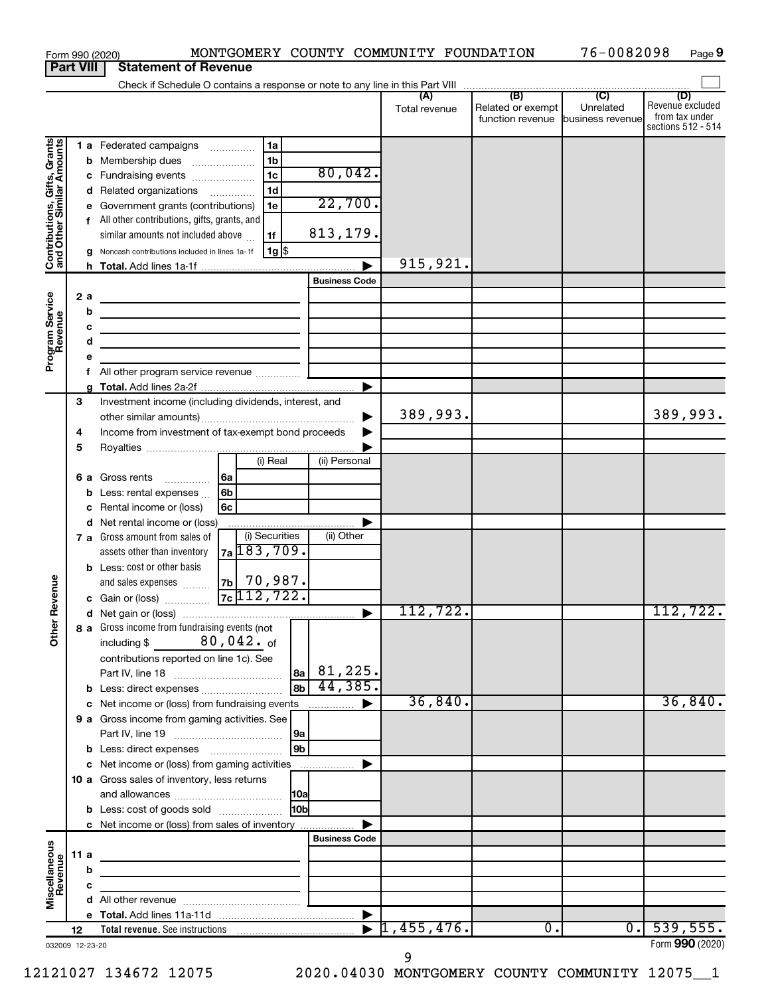| <b>Part VIII</b><br><b>Statement of Revenue</b><br>(D)<br>Related or exempt<br>Unrelated<br>Total revenue<br>from tax under<br>function revenue<br>business revenue<br>Contributions, Gifts, Grants<br>and Other Similar Amounts<br>1a<br>1 a Federated campaigns<br>1 <sub>b</sub><br><b>b</b> Membership dues<br>$\ldots \ldots \ldots \ldots \ldots$<br>80,042.<br>1 <sub>c</sub><br>c Fundraising events<br>1 <sub>d</sub><br>Related organizations<br>d<br>22,700.<br>Government grants (contributions)<br>1e<br>е<br>All other contributions, gifts, grants, and<br>f<br>813,179.<br>similar amounts not included above<br>1f<br>$1g$ \$<br>Noncash contributions included in lines 1a-1f<br>915,921.<br><b>Business Code</b><br>Program Service<br>Revenue<br>2 a<br>b<br><u> 1989 - Johann Barbara, martin da basar da basar da basar da basar da basar da basar da basar da basar da basa</u><br>c<br>d<br>the control of the control of the control of the control of<br>е<br>All other program service revenue <i>mimimini</i><br>f<br>▶<br>3<br>Investment income (including dividends, interest, and<br>389,993.<br>Income from investment of tax-exempt bond proceeds<br>4<br>5<br>(i) Real<br>(ii) Personal<br>6a<br>Gross rents<br>6а<br>.<br>6 <sub>b</sub><br>Less: rental expenses<br>b<br>6c<br>Rental income or (loss)<br>с<br>Net rental income or (loss)<br>▶<br>d<br>(i) Securities<br>(ii) Other<br>7 a Gross amount from sales of<br>$7a$ 183, 709.<br>assets other than inventory<br><b>b</b> Less: cost or other basis<br> 7b  70,987.<br>evenue<br>and sales expenses<br>$7c$ 112, 722.<br>c Gain or (loss)<br>112,722.<br>112, 722.<br>Other F<br>8 a Gross income from fundraising events (not<br>including \$ $80,042.$ of<br>contributions reported on line 1c). See<br>44,385.<br>l 8b l<br>b Less: direct expenses<br>36,840.<br>36,840.<br>$\blacktriangleright$<br>c Net income or (loss) from fundraising events<br>9 a Gross income from gaming activities. See<br>l 9b<br>c Net income or (loss) from gaming activities<br>▶<br>10 a Gross sales of inventory, less returns<br>10bl<br><b>b</b> Less: cost of goods sold<br>c Net income or (loss) from sales of inventory<br>▶<br><b>Business Code</b><br>Miscellaneous<br>Revenue<br>11 a<br><u> 1989 - Johann Stoff, deutscher Stoff, der Stoff, der Stoff, der Stoff, der Stoff, der Stoff, der Stoff, der S</u><br>b<br>c<br>$\blacktriangleright$ 1,455,476.<br>539,555.<br>$\overline{0}$ .<br>$\overline{\overline{\phantom{a}}}$<br>12<br>032009 12-23-20 |  |  | Form 990 (2020) | MONTGOMERY COUNTY COMMUNITY FOUNDATION |  |  | 76-0082098 | Page 9                                 |
|------------------------------------------------------------------------------------------------------------------------------------------------------------------------------------------------------------------------------------------------------------------------------------------------------------------------------------------------------------------------------------------------------------------------------------------------------------------------------------------------------------------------------------------------------------------------------------------------------------------------------------------------------------------------------------------------------------------------------------------------------------------------------------------------------------------------------------------------------------------------------------------------------------------------------------------------------------------------------------------------------------------------------------------------------------------------------------------------------------------------------------------------------------------------------------------------------------------------------------------------------------------------------------------------------------------------------------------------------------------------------------------------------------------------------------------------------------------------------------------------------------------------------------------------------------------------------------------------------------------------------------------------------------------------------------------------------------------------------------------------------------------------------------------------------------------------------------------------------------------------------------------------------------------------------------------------------------------------------------------------------------------------------------------------------------------------------------------------------------------------------------------------------------------------------------------------------------------------------------------------------------------------------------------------------------------------------------------------------------------------------------------------------------------------------------------------------------------------------------------------------------------------------------------------------------|--|--|-----------------|----------------------------------------|--|--|------------|----------------------------------------|
|                                                                                                                                                                                                                                                                                                                                                                                                                                                                                                                                                                                                                                                                                                                                                                                                                                                                                                                                                                                                                                                                                                                                                                                                                                                                                                                                                                                                                                                                                                                                                                                                                                                                                                                                                                                                                                                                                                                                                                                                                                                                                                                                                                                                                                                                                                                                                                                                                                                                                                                                                            |  |  |                 |                                        |  |  |            |                                        |
|                                                                                                                                                                                                                                                                                                                                                                                                                                                                                                                                                                                                                                                                                                                                                                                                                                                                                                                                                                                                                                                                                                                                                                                                                                                                                                                                                                                                                                                                                                                                                                                                                                                                                                                                                                                                                                                                                                                                                                                                                                                                                                                                                                                                                                                                                                                                                                                                                                                                                                                                                            |  |  |                 |                                        |  |  |            |                                        |
|                                                                                                                                                                                                                                                                                                                                                                                                                                                                                                                                                                                                                                                                                                                                                                                                                                                                                                                                                                                                                                                                                                                                                                                                                                                                                                                                                                                                                                                                                                                                                                                                                                                                                                                                                                                                                                                                                                                                                                                                                                                                                                                                                                                                                                                                                                                                                                                                                                                                                                                                                            |  |  |                 |                                        |  |  |            | Revenue excluded<br>sections 512 - 514 |
|                                                                                                                                                                                                                                                                                                                                                                                                                                                                                                                                                                                                                                                                                                                                                                                                                                                                                                                                                                                                                                                                                                                                                                                                                                                                                                                                                                                                                                                                                                                                                                                                                                                                                                                                                                                                                                                                                                                                                                                                                                                                                                                                                                                                                                                                                                                                                                                                                                                                                                                                                            |  |  |                 |                                        |  |  |            |                                        |
|                                                                                                                                                                                                                                                                                                                                                                                                                                                                                                                                                                                                                                                                                                                                                                                                                                                                                                                                                                                                                                                                                                                                                                                                                                                                                                                                                                                                                                                                                                                                                                                                                                                                                                                                                                                                                                                                                                                                                                                                                                                                                                                                                                                                                                                                                                                                                                                                                                                                                                                                                            |  |  |                 |                                        |  |  |            |                                        |
|                                                                                                                                                                                                                                                                                                                                                                                                                                                                                                                                                                                                                                                                                                                                                                                                                                                                                                                                                                                                                                                                                                                                                                                                                                                                                                                                                                                                                                                                                                                                                                                                                                                                                                                                                                                                                                                                                                                                                                                                                                                                                                                                                                                                                                                                                                                                                                                                                                                                                                                                                            |  |  |                 |                                        |  |  |            |                                        |
|                                                                                                                                                                                                                                                                                                                                                                                                                                                                                                                                                                                                                                                                                                                                                                                                                                                                                                                                                                                                                                                                                                                                                                                                                                                                                                                                                                                                                                                                                                                                                                                                                                                                                                                                                                                                                                                                                                                                                                                                                                                                                                                                                                                                                                                                                                                                                                                                                                                                                                                                                            |  |  |                 |                                        |  |  |            |                                        |
|                                                                                                                                                                                                                                                                                                                                                                                                                                                                                                                                                                                                                                                                                                                                                                                                                                                                                                                                                                                                                                                                                                                                                                                                                                                                                                                                                                                                                                                                                                                                                                                                                                                                                                                                                                                                                                                                                                                                                                                                                                                                                                                                                                                                                                                                                                                                                                                                                                                                                                                                                            |  |  |                 |                                        |  |  |            |                                        |
|                                                                                                                                                                                                                                                                                                                                                                                                                                                                                                                                                                                                                                                                                                                                                                                                                                                                                                                                                                                                                                                                                                                                                                                                                                                                                                                                                                                                                                                                                                                                                                                                                                                                                                                                                                                                                                                                                                                                                                                                                                                                                                                                                                                                                                                                                                                                                                                                                                                                                                                                                            |  |  |                 |                                        |  |  |            |                                        |
|                                                                                                                                                                                                                                                                                                                                                                                                                                                                                                                                                                                                                                                                                                                                                                                                                                                                                                                                                                                                                                                                                                                                                                                                                                                                                                                                                                                                                                                                                                                                                                                                                                                                                                                                                                                                                                                                                                                                                                                                                                                                                                                                                                                                                                                                                                                                                                                                                                                                                                                                                            |  |  |                 |                                        |  |  |            |                                        |
|                                                                                                                                                                                                                                                                                                                                                                                                                                                                                                                                                                                                                                                                                                                                                                                                                                                                                                                                                                                                                                                                                                                                                                                                                                                                                                                                                                                                                                                                                                                                                                                                                                                                                                                                                                                                                                                                                                                                                                                                                                                                                                                                                                                                                                                                                                                                                                                                                                                                                                                                                            |  |  |                 |                                        |  |  |            |                                        |
|                                                                                                                                                                                                                                                                                                                                                                                                                                                                                                                                                                                                                                                                                                                                                                                                                                                                                                                                                                                                                                                                                                                                                                                                                                                                                                                                                                                                                                                                                                                                                                                                                                                                                                                                                                                                                                                                                                                                                                                                                                                                                                                                                                                                                                                                                                                                                                                                                                                                                                                                                            |  |  |                 |                                        |  |  |            |                                        |
|                                                                                                                                                                                                                                                                                                                                                                                                                                                                                                                                                                                                                                                                                                                                                                                                                                                                                                                                                                                                                                                                                                                                                                                                                                                                                                                                                                                                                                                                                                                                                                                                                                                                                                                                                                                                                                                                                                                                                                                                                                                                                                                                                                                                                                                                                                                                                                                                                                                                                                                                                            |  |  |                 |                                        |  |  |            |                                        |
|                                                                                                                                                                                                                                                                                                                                                                                                                                                                                                                                                                                                                                                                                                                                                                                                                                                                                                                                                                                                                                                                                                                                                                                                                                                                                                                                                                                                                                                                                                                                                                                                                                                                                                                                                                                                                                                                                                                                                                                                                                                                                                                                                                                                                                                                                                                                                                                                                                                                                                                                                            |  |  |                 |                                        |  |  |            |                                        |
|                                                                                                                                                                                                                                                                                                                                                                                                                                                                                                                                                                                                                                                                                                                                                                                                                                                                                                                                                                                                                                                                                                                                                                                                                                                                                                                                                                                                                                                                                                                                                                                                                                                                                                                                                                                                                                                                                                                                                                                                                                                                                                                                                                                                                                                                                                                                                                                                                                                                                                                                                            |  |  |                 |                                        |  |  |            |                                        |
|                                                                                                                                                                                                                                                                                                                                                                                                                                                                                                                                                                                                                                                                                                                                                                                                                                                                                                                                                                                                                                                                                                                                                                                                                                                                                                                                                                                                                                                                                                                                                                                                                                                                                                                                                                                                                                                                                                                                                                                                                                                                                                                                                                                                                                                                                                                                                                                                                                                                                                                                                            |  |  |                 |                                        |  |  |            | 389,993.                               |
|                                                                                                                                                                                                                                                                                                                                                                                                                                                                                                                                                                                                                                                                                                                                                                                                                                                                                                                                                                                                                                                                                                                                                                                                                                                                                                                                                                                                                                                                                                                                                                                                                                                                                                                                                                                                                                                                                                                                                                                                                                                                                                                                                                                                                                                                                                                                                                                                                                                                                                                                                            |  |  |                 |                                        |  |  |            |                                        |
|                                                                                                                                                                                                                                                                                                                                                                                                                                                                                                                                                                                                                                                                                                                                                                                                                                                                                                                                                                                                                                                                                                                                                                                                                                                                                                                                                                                                                                                                                                                                                                                                                                                                                                                                                                                                                                                                                                                                                                                                                                                                                                                                                                                                                                                                                                                                                                                                                                                                                                                                                            |  |  |                 |                                        |  |  |            |                                        |
|                                                                                                                                                                                                                                                                                                                                                                                                                                                                                                                                                                                                                                                                                                                                                                                                                                                                                                                                                                                                                                                                                                                                                                                                                                                                                                                                                                                                                                                                                                                                                                                                                                                                                                                                                                                                                                                                                                                                                                                                                                                                                                                                                                                                                                                                                                                                                                                                                                                                                                                                                            |  |  |                 |                                        |  |  |            |                                        |
|                                                                                                                                                                                                                                                                                                                                                                                                                                                                                                                                                                                                                                                                                                                                                                                                                                                                                                                                                                                                                                                                                                                                                                                                                                                                                                                                                                                                                                                                                                                                                                                                                                                                                                                                                                                                                                                                                                                                                                                                                                                                                                                                                                                                                                                                                                                                                                                                                                                                                                                                                            |  |  |                 |                                        |  |  |            |                                        |
|                                                                                                                                                                                                                                                                                                                                                                                                                                                                                                                                                                                                                                                                                                                                                                                                                                                                                                                                                                                                                                                                                                                                                                                                                                                                                                                                                                                                                                                                                                                                                                                                                                                                                                                                                                                                                                                                                                                                                                                                                                                                                                                                                                                                                                                                                                                                                                                                                                                                                                                                                            |  |  |                 |                                        |  |  |            |                                        |
|                                                                                                                                                                                                                                                                                                                                                                                                                                                                                                                                                                                                                                                                                                                                                                                                                                                                                                                                                                                                                                                                                                                                                                                                                                                                                                                                                                                                                                                                                                                                                                                                                                                                                                                                                                                                                                                                                                                                                                                                                                                                                                                                                                                                                                                                                                                                                                                                                                                                                                                                                            |  |  |                 |                                        |  |  |            |                                        |
|                                                                                                                                                                                                                                                                                                                                                                                                                                                                                                                                                                                                                                                                                                                                                                                                                                                                                                                                                                                                                                                                                                                                                                                                                                                                                                                                                                                                                                                                                                                                                                                                                                                                                                                                                                                                                                                                                                                                                                                                                                                                                                                                                                                                                                                                                                                                                                                                                                                                                                                                                            |  |  |                 |                                        |  |  |            |                                        |
|                                                                                                                                                                                                                                                                                                                                                                                                                                                                                                                                                                                                                                                                                                                                                                                                                                                                                                                                                                                                                                                                                                                                                                                                                                                                                                                                                                                                                                                                                                                                                                                                                                                                                                                                                                                                                                                                                                                                                                                                                                                                                                                                                                                                                                                                                                                                                                                                                                                                                                                                                            |  |  |                 |                                        |  |  |            |                                        |
|                                                                                                                                                                                                                                                                                                                                                                                                                                                                                                                                                                                                                                                                                                                                                                                                                                                                                                                                                                                                                                                                                                                                                                                                                                                                                                                                                                                                                                                                                                                                                                                                                                                                                                                                                                                                                                                                                                                                                                                                                                                                                                                                                                                                                                                                                                                                                                                                                                                                                                                                                            |  |  |                 |                                        |  |  |            |                                        |
|                                                                                                                                                                                                                                                                                                                                                                                                                                                                                                                                                                                                                                                                                                                                                                                                                                                                                                                                                                                                                                                                                                                                                                                                                                                                                                                                                                                                                                                                                                                                                                                                                                                                                                                                                                                                                                                                                                                                                                                                                                                                                                                                                                                                                                                                                                                                                                                                                                                                                                                                                            |  |  |                 |                                        |  |  |            |                                        |
|                                                                                                                                                                                                                                                                                                                                                                                                                                                                                                                                                                                                                                                                                                                                                                                                                                                                                                                                                                                                                                                                                                                                                                                                                                                                                                                                                                                                                                                                                                                                                                                                                                                                                                                                                                                                                                                                                                                                                                                                                                                                                                                                                                                                                                                                                                                                                                                                                                                                                                                                                            |  |  |                 |                                        |  |  |            |                                        |
|                                                                                                                                                                                                                                                                                                                                                                                                                                                                                                                                                                                                                                                                                                                                                                                                                                                                                                                                                                                                                                                                                                                                                                                                                                                                                                                                                                                                                                                                                                                                                                                                                                                                                                                                                                                                                                                                                                                                                                                                                                                                                                                                                                                                                                                                                                                                                                                                                                                                                                                                                            |  |  |                 |                                        |  |  |            |                                        |
|                                                                                                                                                                                                                                                                                                                                                                                                                                                                                                                                                                                                                                                                                                                                                                                                                                                                                                                                                                                                                                                                                                                                                                                                                                                                                                                                                                                                                                                                                                                                                                                                                                                                                                                                                                                                                                                                                                                                                                                                                                                                                                                                                                                                                                                                                                                                                                                                                                                                                                                                                            |  |  |                 |                                        |  |  |            |                                        |
|                                                                                                                                                                                                                                                                                                                                                                                                                                                                                                                                                                                                                                                                                                                                                                                                                                                                                                                                                                                                                                                                                                                                                                                                                                                                                                                                                                                                                                                                                                                                                                                                                                                                                                                                                                                                                                                                                                                                                                                                                                                                                                                                                                                                                                                                                                                                                                                                                                                                                                                                                            |  |  |                 |                                        |  |  |            |                                        |
|                                                                                                                                                                                                                                                                                                                                                                                                                                                                                                                                                                                                                                                                                                                                                                                                                                                                                                                                                                                                                                                                                                                                                                                                                                                                                                                                                                                                                                                                                                                                                                                                                                                                                                                                                                                                                                                                                                                                                                                                                                                                                                                                                                                                                                                                                                                                                                                                                                                                                                                                                            |  |  |                 |                                        |  |  |            |                                        |
|                                                                                                                                                                                                                                                                                                                                                                                                                                                                                                                                                                                                                                                                                                                                                                                                                                                                                                                                                                                                                                                                                                                                                                                                                                                                                                                                                                                                                                                                                                                                                                                                                                                                                                                                                                                                                                                                                                                                                                                                                                                                                                                                                                                                                                                                                                                                                                                                                                                                                                                                                            |  |  |                 |                                        |  |  |            |                                        |
|                                                                                                                                                                                                                                                                                                                                                                                                                                                                                                                                                                                                                                                                                                                                                                                                                                                                                                                                                                                                                                                                                                                                                                                                                                                                                                                                                                                                                                                                                                                                                                                                                                                                                                                                                                                                                                                                                                                                                                                                                                                                                                                                                                                                                                                                                                                                                                                                                                                                                                                                                            |  |  |                 |                                        |  |  |            |                                        |
|                                                                                                                                                                                                                                                                                                                                                                                                                                                                                                                                                                                                                                                                                                                                                                                                                                                                                                                                                                                                                                                                                                                                                                                                                                                                                                                                                                                                                                                                                                                                                                                                                                                                                                                                                                                                                                                                                                                                                                                                                                                                                                                                                                                                                                                                                                                                                                                                                                                                                                                                                            |  |  |                 |                                        |  |  |            |                                        |
|                                                                                                                                                                                                                                                                                                                                                                                                                                                                                                                                                                                                                                                                                                                                                                                                                                                                                                                                                                                                                                                                                                                                                                                                                                                                                                                                                                                                                                                                                                                                                                                                                                                                                                                                                                                                                                                                                                                                                                                                                                                                                                                                                                                                                                                                                                                                                                                                                                                                                                                                                            |  |  |                 |                                        |  |  |            |                                        |
|                                                                                                                                                                                                                                                                                                                                                                                                                                                                                                                                                                                                                                                                                                                                                                                                                                                                                                                                                                                                                                                                                                                                                                                                                                                                                                                                                                                                                                                                                                                                                                                                                                                                                                                                                                                                                                                                                                                                                                                                                                                                                                                                                                                                                                                                                                                                                                                                                                                                                                                                                            |  |  |                 |                                        |  |  |            |                                        |
|                                                                                                                                                                                                                                                                                                                                                                                                                                                                                                                                                                                                                                                                                                                                                                                                                                                                                                                                                                                                                                                                                                                                                                                                                                                                                                                                                                                                                                                                                                                                                                                                                                                                                                                                                                                                                                                                                                                                                                                                                                                                                                                                                                                                                                                                                                                                                                                                                                                                                                                                                            |  |  |                 |                                        |  |  |            |                                        |
|                                                                                                                                                                                                                                                                                                                                                                                                                                                                                                                                                                                                                                                                                                                                                                                                                                                                                                                                                                                                                                                                                                                                                                                                                                                                                                                                                                                                                                                                                                                                                                                                                                                                                                                                                                                                                                                                                                                                                                                                                                                                                                                                                                                                                                                                                                                                                                                                                                                                                                                                                            |  |  |                 |                                        |  |  |            |                                        |
|                                                                                                                                                                                                                                                                                                                                                                                                                                                                                                                                                                                                                                                                                                                                                                                                                                                                                                                                                                                                                                                                                                                                                                                                                                                                                                                                                                                                                                                                                                                                                                                                                                                                                                                                                                                                                                                                                                                                                                                                                                                                                                                                                                                                                                                                                                                                                                                                                                                                                                                                                            |  |  |                 |                                        |  |  |            |                                        |
|                                                                                                                                                                                                                                                                                                                                                                                                                                                                                                                                                                                                                                                                                                                                                                                                                                                                                                                                                                                                                                                                                                                                                                                                                                                                                                                                                                                                                                                                                                                                                                                                                                                                                                                                                                                                                                                                                                                                                                                                                                                                                                                                                                                                                                                                                                                                                                                                                                                                                                                                                            |  |  |                 |                                        |  |  |            |                                        |
|                                                                                                                                                                                                                                                                                                                                                                                                                                                                                                                                                                                                                                                                                                                                                                                                                                                                                                                                                                                                                                                                                                                                                                                                                                                                                                                                                                                                                                                                                                                                                                                                                                                                                                                                                                                                                                                                                                                                                                                                                                                                                                                                                                                                                                                                                                                                                                                                                                                                                                                                                            |  |  |                 |                                        |  |  |            |                                        |
|                                                                                                                                                                                                                                                                                                                                                                                                                                                                                                                                                                                                                                                                                                                                                                                                                                                                                                                                                                                                                                                                                                                                                                                                                                                                                                                                                                                                                                                                                                                                                                                                                                                                                                                                                                                                                                                                                                                                                                                                                                                                                                                                                                                                                                                                                                                                                                                                                                                                                                                                                            |  |  |                 |                                        |  |  |            |                                        |
|                                                                                                                                                                                                                                                                                                                                                                                                                                                                                                                                                                                                                                                                                                                                                                                                                                                                                                                                                                                                                                                                                                                                                                                                                                                                                                                                                                                                                                                                                                                                                                                                                                                                                                                                                                                                                                                                                                                                                                                                                                                                                                                                                                                                                                                                                                                                                                                                                                                                                                                                                            |  |  |                 |                                        |  |  |            |                                        |
|                                                                                                                                                                                                                                                                                                                                                                                                                                                                                                                                                                                                                                                                                                                                                                                                                                                                                                                                                                                                                                                                                                                                                                                                                                                                                                                                                                                                                                                                                                                                                                                                                                                                                                                                                                                                                                                                                                                                                                                                                                                                                                                                                                                                                                                                                                                                                                                                                                                                                                                                                            |  |  |                 |                                        |  |  |            |                                        |
|                                                                                                                                                                                                                                                                                                                                                                                                                                                                                                                                                                                                                                                                                                                                                                                                                                                                                                                                                                                                                                                                                                                                                                                                                                                                                                                                                                                                                                                                                                                                                                                                                                                                                                                                                                                                                                                                                                                                                                                                                                                                                                                                                                                                                                                                                                                                                                                                                                                                                                                                                            |  |  |                 |                                        |  |  |            |                                        |
|                                                                                                                                                                                                                                                                                                                                                                                                                                                                                                                                                                                                                                                                                                                                                                                                                                                                                                                                                                                                                                                                                                                                                                                                                                                                                                                                                                                                                                                                                                                                                                                                                                                                                                                                                                                                                                                                                                                                                                                                                                                                                                                                                                                                                                                                                                                                                                                                                                                                                                                                                            |  |  |                 |                                        |  |  |            |                                        |
|                                                                                                                                                                                                                                                                                                                                                                                                                                                                                                                                                                                                                                                                                                                                                                                                                                                                                                                                                                                                                                                                                                                                                                                                                                                                                                                                                                                                                                                                                                                                                                                                                                                                                                                                                                                                                                                                                                                                                                                                                                                                                                                                                                                                                                                                                                                                                                                                                                                                                                                                                            |  |  |                 |                                        |  |  |            |                                        |
|                                                                                                                                                                                                                                                                                                                                                                                                                                                                                                                                                                                                                                                                                                                                                                                                                                                                                                                                                                                                                                                                                                                                                                                                                                                                                                                                                                                                                                                                                                                                                                                                                                                                                                                                                                                                                                                                                                                                                                                                                                                                                                                                                                                                                                                                                                                                                                                                                                                                                                                                                            |  |  |                 |                                        |  |  |            | Form 990 (2020)                        |

9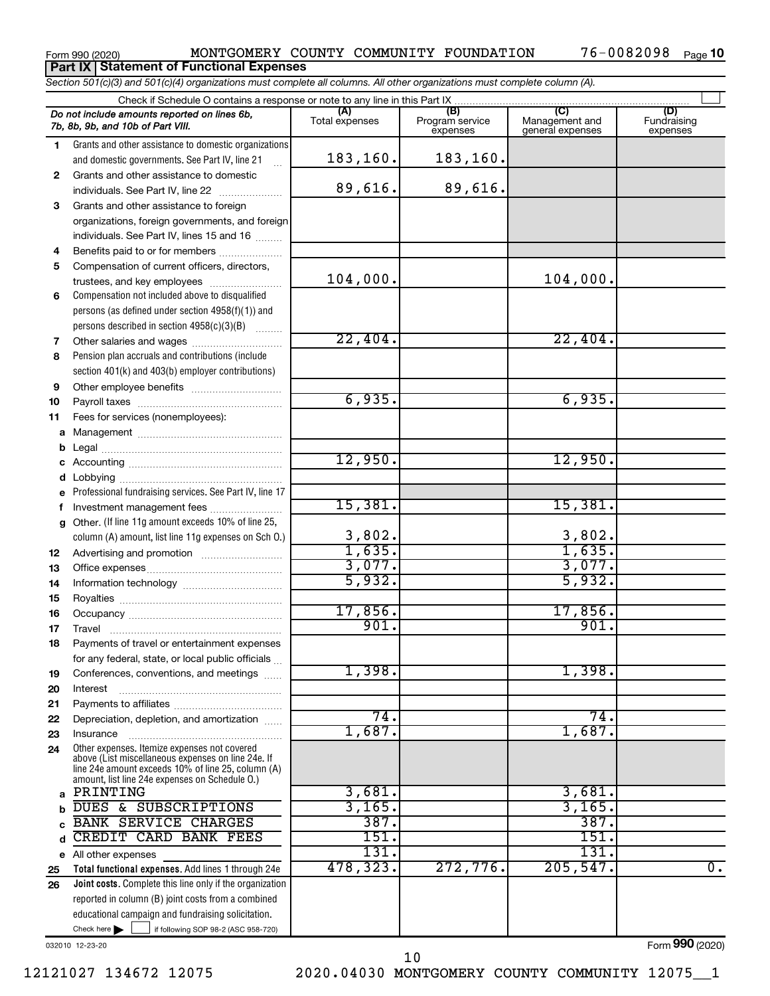#### Form 990 (2020) MONTGOMERY COUNTY COMMUNITY FOUNDATION 76-0082098 Page 76-0082098 Page 10 **Part IX Statement of Functional Expenses**

*Section 501(c)(3) and 501(c)(4) organizations must complete all columns. All other organizations must complete column (A).*

|    | Do not include amounts reported on lines 6b,                                                             | (A)            | (B)                         | (C)                                | (D)                     |
|----|----------------------------------------------------------------------------------------------------------|----------------|-----------------------------|------------------------------------|-------------------------|
|    | 7b, 8b, 9b, and 10b of Part VIII.                                                                        | Total expenses | Program service<br>expenses | Management and<br>general expenses | Fundraising<br>expenses |
| 1. | Grants and other assistance to domestic organizations                                                    |                |                             |                                    |                         |
|    | and domestic governments. See Part IV, line 21                                                           | 183, 160.      | 183,160.                    |                                    |                         |
|    |                                                                                                          |                |                             |                                    |                         |
| 2  | Grants and other assistance to domestic                                                                  |                |                             |                                    |                         |
|    | individuals. See Part IV, line 22                                                                        | 89,616.        | 89,616.                     |                                    |                         |
| 3  | Grants and other assistance to foreign                                                                   |                |                             |                                    |                         |
|    | organizations, foreign governments, and foreign                                                          |                |                             |                                    |                         |
|    | individuals. See Part IV, lines 15 and 16                                                                |                |                             |                                    |                         |
| 4  | Benefits paid to or for members                                                                          |                |                             |                                    |                         |
| 5  | Compensation of current officers, directors,                                                             |                |                             |                                    |                         |
|    | trustees, and key employees                                                                              | 104,000.       |                             | 104,000.                           |                         |
| 6  | Compensation not included above to disqualified                                                          |                |                             |                                    |                         |
|    | persons (as defined under section 4958(f)(1)) and                                                        |                |                             |                                    |                         |
|    | persons described in section 4958(c)(3)(B)                                                               |                |                             |                                    |                         |
| 7  |                                                                                                          | 22,404.        |                             | 22,404.                            |                         |
| 8  | Pension plan accruals and contributions (include                                                         |                |                             |                                    |                         |
|    | section 401(k) and 403(b) employer contributions)                                                        |                |                             |                                    |                         |
| 9  |                                                                                                          |                |                             |                                    |                         |
| 10 |                                                                                                          | 6,935.         |                             | 6,935.                             |                         |
| 11 | Fees for services (nonemployees):                                                                        |                |                             |                                    |                         |
| a  |                                                                                                          |                |                             |                                    |                         |
| b  |                                                                                                          |                |                             |                                    |                         |
| с  |                                                                                                          | 12,950.        |                             | 12,950.                            |                         |
| d  |                                                                                                          |                |                             |                                    |                         |
| e  | Professional fundraising services. See Part IV, line 17                                                  |                |                             |                                    |                         |
| f  | Investment management fees                                                                               | 15,381.        |                             | 15,381.                            |                         |
| a  | Other. (If line 11g amount exceeds 10% of line 25,                                                       |                |                             |                                    |                         |
|    | column (A) amount, list line 11g expenses on Sch O.)                                                     | 3,802.         |                             | 3,802.                             |                         |
| 12 |                                                                                                          | 1,635.         |                             | 1,635.                             |                         |
| 13 |                                                                                                          | 3,077.         |                             | 3,077.                             |                         |
| 14 |                                                                                                          | 5,932.         |                             | 5,932.                             |                         |
| 15 |                                                                                                          |                |                             |                                    |                         |
| 16 |                                                                                                          | 17,856.        |                             | 17,856.                            |                         |
| 17 |                                                                                                          | 901.           |                             | 901.                               |                         |
| 18 | Payments of travel or entertainment expenses                                                             |                |                             |                                    |                         |
|    | for any federal, state, or local public officials                                                        |                |                             |                                    |                         |
| 19 | Conferences, conventions, and meetings                                                                   | 1,398.         |                             | 1,398.                             |                         |
| 20 | Interest                                                                                                 |                |                             |                                    |                         |
| 21 |                                                                                                          |                |                             |                                    |                         |
| 22 | Depreciation, depletion, and amortization                                                                | 74.            |                             | 74.                                |                         |
| 23 | Insurance                                                                                                | 1,687.         |                             | 1,687.                             |                         |
| 24 | Other expenses. Itemize expenses not covered                                                             |                |                             |                                    |                         |
|    | above (List miscellaneous expenses on line 24e. If<br>line 24e amount exceeds 10% of line 25, column (A) |                |                             |                                    |                         |
|    | amount, list line 24e expenses on Schedule O.)                                                           |                |                             |                                    |                         |
| a  | PRINTING                                                                                                 | 3,681.         |                             | 3,681.                             |                         |
| b  | DUES & SUBSCRIPTIONS                                                                                     | 3,165.         |                             | 3,165.                             |                         |
|    | <b>BANK SERVICE CHARGES</b>                                                                              | 387.           |                             | 387.                               |                         |
| d  | CREDIT CARD BANK FEES                                                                                    | 151.           |                             | 151.                               |                         |
| е  | All other expenses                                                                                       | 131.           |                             | 131.                               |                         |
| 25 | Total functional expenses. Add lines 1 through 24e                                                       | 478,323.       | 272,776.                    | 205, 547.                          | $\overline{0}$ .        |
| 26 | Joint costs. Complete this line only if the organization                                                 |                |                             |                                    |                         |
|    | reported in column (B) joint costs from a combined                                                       |                |                             |                                    |                         |
|    | educational campaign and fundraising solicitation.                                                       |                |                             |                                    |                         |
|    | Check here<br>if following SOP 98-2 (ASC 958-720)                                                        |                |                             |                                    |                         |
|    |                                                                                                          |                |                             |                                    |                         |

032010 12-23-20

Form (2020) **990**

10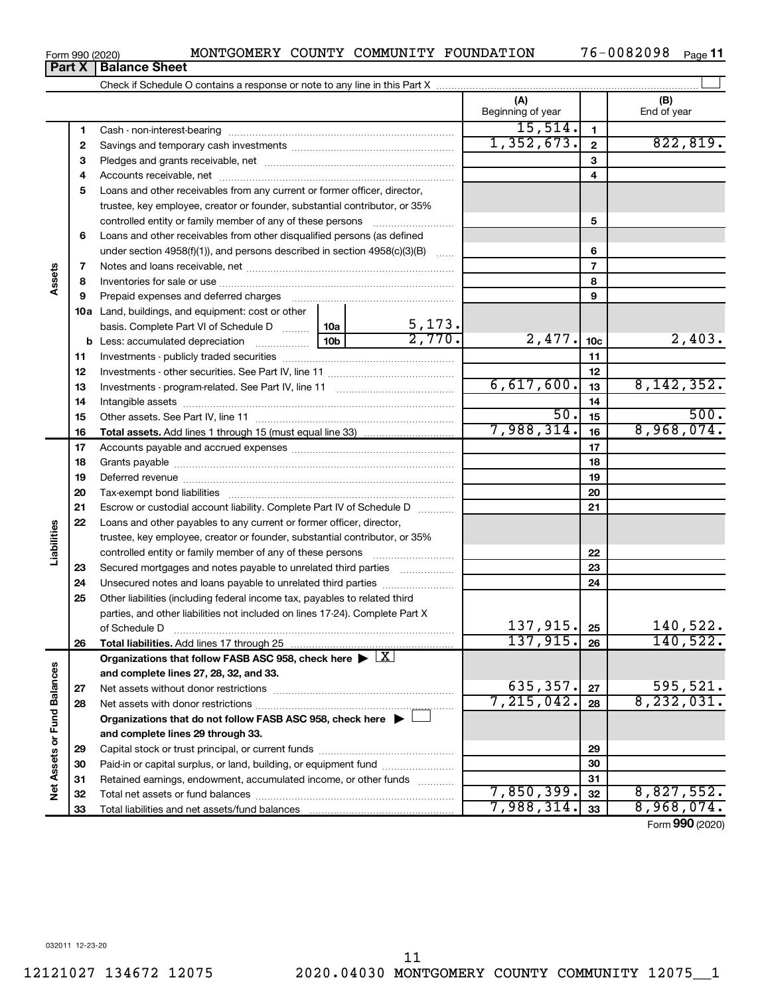Form 990 (2020) MONTGOMERY COUNTY COMMUNITY FOUNDATION 76-0082098 Page **Part X Balance Sheet**

Check if Schedule O contains a response or note to any line in this Part X

76-0082098 Page 11

 $\perp$ 

|                             |              |                                                                                                                   |  |        | (A)<br>Beginning of year |                 | (B)<br>End of year |
|-----------------------------|--------------|-------------------------------------------------------------------------------------------------------------------|--|--------|--------------------------|-----------------|--------------------|
|                             | 1            | Cash - non-interest-bearing                                                                                       |  |        | 15,514.                  | 1               |                    |
|                             | $\mathbf{2}$ |                                                                                                                   |  |        | 1,352,673.               | $\mathbf{2}$    | 822, 819.          |
|                             | з            |                                                                                                                   |  |        |                          | 3               |                    |
|                             | 4            |                                                                                                                   |  |        |                          | 4               |                    |
|                             | 5            | Loans and other receivables from any current or former officer, director,                                         |  |        |                          |                 |                    |
|                             |              | trustee, key employee, creator or founder, substantial contributor, or 35%                                        |  |        |                          |                 |                    |
|                             |              | controlled entity or family member of any of these persons                                                        |  |        |                          | 5               |                    |
|                             | 6            | Loans and other receivables from other disqualified persons (as defined                                           |  |        |                          |                 |                    |
|                             |              | under section 4958(f)(1)), and persons described in section 4958(c)(3)(B)                                         |  |        |                          | 6               |                    |
|                             | 7            |                                                                                                                   |  |        |                          | $\overline{7}$  |                    |
| Assets                      | 8            |                                                                                                                   |  |        |                          | 8               |                    |
|                             | 9            | Prepaid expenses and deferred charges [11] [11] prepaid expenses and deferred charges [11] [11] minimum and the P |  |        |                          | 9               |                    |
|                             |              | 10a Land, buildings, and equipment: cost or other                                                                 |  |        |                          |                 |                    |
|                             |              | basis. Complete Part VI of Schedule D  10a                                                                        |  | 5,173. |                          |                 |                    |
|                             |              |                                                                                                                   |  | 2,770. | 2,477.                   | 10 <sub>c</sub> | 2,403.             |
|                             | 11           |                                                                                                                   |  |        |                          | 11              |                    |
|                             | 12           |                                                                                                                   |  |        |                          | 12              |                    |
|                             | 13           |                                                                                                                   |  |        | 6,617,600.               | 13              | 8, 142, 352.       |
|                             | 14           |                                                                                                                   |  |        |                          | 14              |                    |
|                             | 15           |                                                                                                                   |  |        | 50.                      | 15              | 500.               |
|                             | 16           |                                                                                                                   |  |        | 7,988,314.               | 16              | 8,968,074.         |
|                             | 17           |                                                                                                                   |  |        |                          | 17              |                    |
|                             | 18           |                                                                                                                   |  |        |                          | 18              |                    |
| Liabilities                 | 19           |                                                                                                                   |  | 19     |                          |                 |                    |
|                             | 20           |                                                                                                                   |  | 20     |                          |                 |                    |
|                             | 21           | Escrow or custodial account liability. Complete Part IV of Schedule D                                             |  | 21     |                          |                 |                    |
|                             | 22           | Loans and other payables to any current or former officer, director,                                              |  |        |                          |                 |                    |
|                             |              | trustee, key employee, creator or founder, substantial contributor, or 35%                                        |  |        |                          |                 |                    |
|                             |              | controlled entity or family member of any of these persons [                                                      |  |        |                          | 22              |                    |
|                             | 23           | Secured mortgages and notes payable to unrelated third parties                                                    |  |        |                          | 23              |                    |
|                             | 24           | Unsecured notes and loans payable to unrelated third parties                                                      |  |        |                          | 24              |                    |
|                             | 25           | Other liabilities (including federal income tax, payables to related third                                        |  |        |                          |                 |                    |
|                             |              | parties, and other liabilities not included on lines 17-24). Complete Part X                                      |  |        |                          |                 |                    |
|                             |              | of Schedule D                                                                                                     |  |        | 137,915.                 | 25              | 140,522.           |
|                             | 26           |                                                                                                                   |  |        | 137,915.                 | 26              | 140,522.           |
|                             |              | Organizations that follow FASB ASC 958, check here $\triangleright \lfloor X \rfloor$                             |  |        |                          |                 |                    |
|                             |              | and complete lines 27, 28, 32, and 33.                                                                            |  |        |                          |                 |                    |
|                             | 27           | Net assets without donor restrictions                                                                             |  |        | 635, 357.                | 27              | 595,521.           |
|                             | 28           |                                                                                                                   |  |        | 7,215,042.               | 28              | 8, 232, 031.       |
|                             |              | Organizations that do not follow FASB ASC 958, check here $\blacktriangleright \perp$                             |  |        |                          |                 |                    |
|                             |              | and complete lines 29 through 33.                                                                                 |  |        |                          |                 |                    |
|                             | 29           |                                                                                                                   |  |        | 29                       |                 |                    |
|                             | 30           | Paid-in or capital surplus, or land, building, or equipment fund                                                  |  |        | 30                       |                 |                    |
| Net Assets or Fund Balances | 31           | Retained earnings, endowment, accumulated income, or other funds                                                  |  |        | 31                       |                 |                    |
|                             | 32           |                                                                                                                   |  |        | 7,850,399.               | 32              | 8,827,552.         |
|                             | 33           |                                                                                                                   |  |        | 7,988,314.               | 33              | 8,968,074.         |
|                             |              |                                                                                                                   |  |        |                          |                 | Form 990 (2020)    |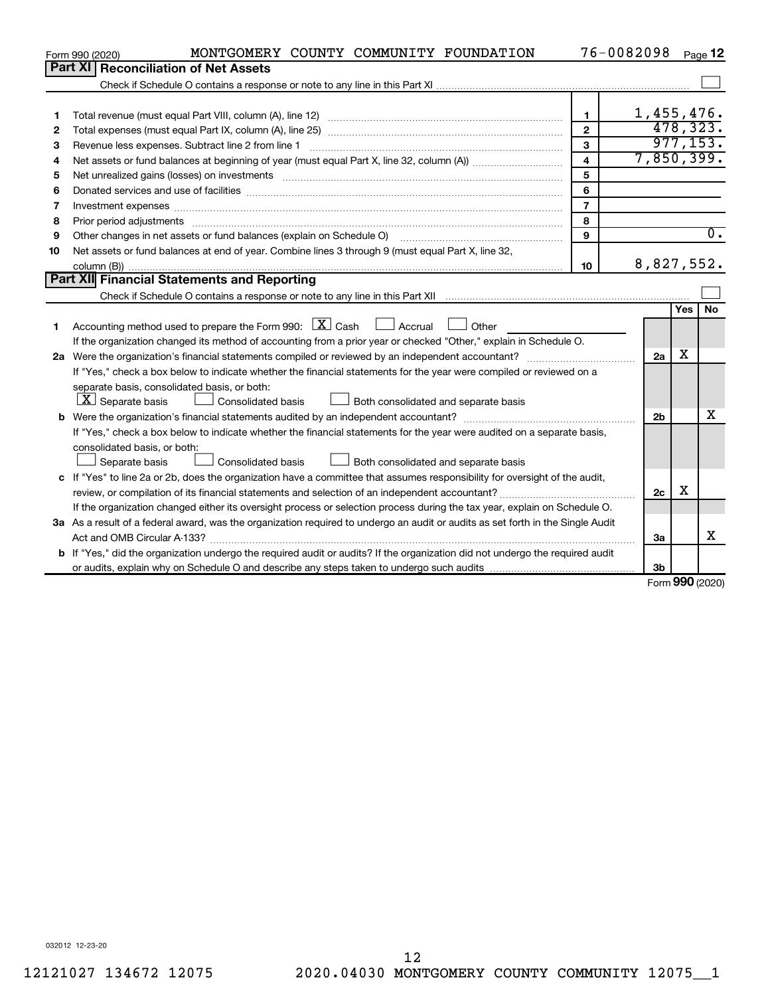|    | MONTGOMERY COUNTY COMMUNITY FOUNDATION<br>Form 990 (2020)                                                                         |                         | 76-0082098     |     | Page 12                   |
|----|-----------------------------------------------------------------------------------------------------------------------------------|-------------------------|----------------|-----|---------------------------|
|    | Part XI   Reconciliation of Net Assets                                                                                            |                         |                |     |                           |
|    |                                                                                                                                   |                         |                |     |                           |
|    |                                                                                                                                   |                         |                |     |                           |
| 1  |                                                                                                                                   | $\mathbf{1}$            | 1,455,476.     |     |                           |
| 2  |                                                                                                                                   | $\overline{2}$          |                |     | 478,323.                  |
| 3  | Revenue less expenses. Subtract line 2 from line 1                                                                                | 3                       |                |     | 977, 153.                 |
| 4  |                                                                                                                                   | $\overline{\mathbf{4}}$ | 7,850,399.     |     |                           |
| 5  |                                                                                                                                   | 5                       |                |     |                           |
| 6  |                                                                                                                                   | 6                       |                |     |                           |
| 7  | Investment expenses www.communication.com/www.communication.com/www.communication.com/www.com                                     | $\overline{7}$          |                |     |                           |
| 8  |                                                                                                                                   | 8                       |                |     |                           |
| 9  |                                                                                                                                   | 9                       |                |     | $\overline{\mathbf{0}}$ . |
| 10 | Net assets or fund balances at end of year. Combine lines 3 through 9 (must equal Part X, line 32,                                |                         |                |     |                           |
|    |                                                                                                                                   | 10                      | 8,827,552.     |     |                           |
|    | Part XII Financial Statements and Reporting                                                                                       |                         |                |     |                           |
|    |                                                                                                                                   |                         |                |     |                           |
|    |                                                                                                                                   |                         |                | Yes | <b>No</b>                 |
| 1  | Accounting method used to prepare the Form 990: $\boxed{\text{X}}$ Cash $\boxed{\phantom{1}}$ Accrual $\boxed{\phantom{1}}$ Other |                         |                |     |                           |
|    | If the organization changed its method of accounting from a prior year or checked "Other," explain in Schedule O.                 |                         |                |     |                           |
|    | 2a Were the organization's financial statements compiled or reviewed by an independent accountant?                                |                         | 2a             | X   |                           |
|    | If "Yes," check a box below to indicate whether the financial statements for the year were compiled or reviewed on a              |                         |                |     |                           |
|    | separate basis, consolidated basis, or both:                                                                                      |                         |                |     |                           |
|    | $ \mathbf{X} $ Separate basis<br>Both consolidated and separate basis<br>Consolidated basis                                       |                         |                |     |                           |
|    |                                                                                                                                   |                         | 2 <sub>b</sub> |     | x                         |
|    | If "Yes," check a box below to indicate whether the financial statements for the year were audited on a separate basis,           |                         |                |     |                           |
|    | consolidated basis, or both:                                                                                                      |                         |                |     |                           |
|    | Consolidated basis<br>Both consolidated and separate basis<br>Separate basis                                                      |                         |                |     |                           |
|    | c If "Yes" to line 2a or 2b, does the organization have a committee that assumes responsibility for oversight of the audit,       |                         |                |     |                           |
|    |                                                                                                                                   |                         | 2c             | x   |                           |
|    | If the organization changed either its oversight process or selection process during the tax year, explain on Schedule O.         |                         |                |     |                           |
|    | 3a As a result of a federal award, was the organization required to undergo an audit or audits as set forth in the Single Audit   |                         |                |     |                           |
|    |                                                                                                                                   |                         | За             |     | x                         |
|    | b If "Yes," did the organization undergo the required audit or audits? If the organization did not undergo the required audit     |                         |                |     |                           |
|    |                                                                                                                                   |                         | 3 <sub>b</sub> |     |                           |

Form (2020) **990**

032012 12-23-20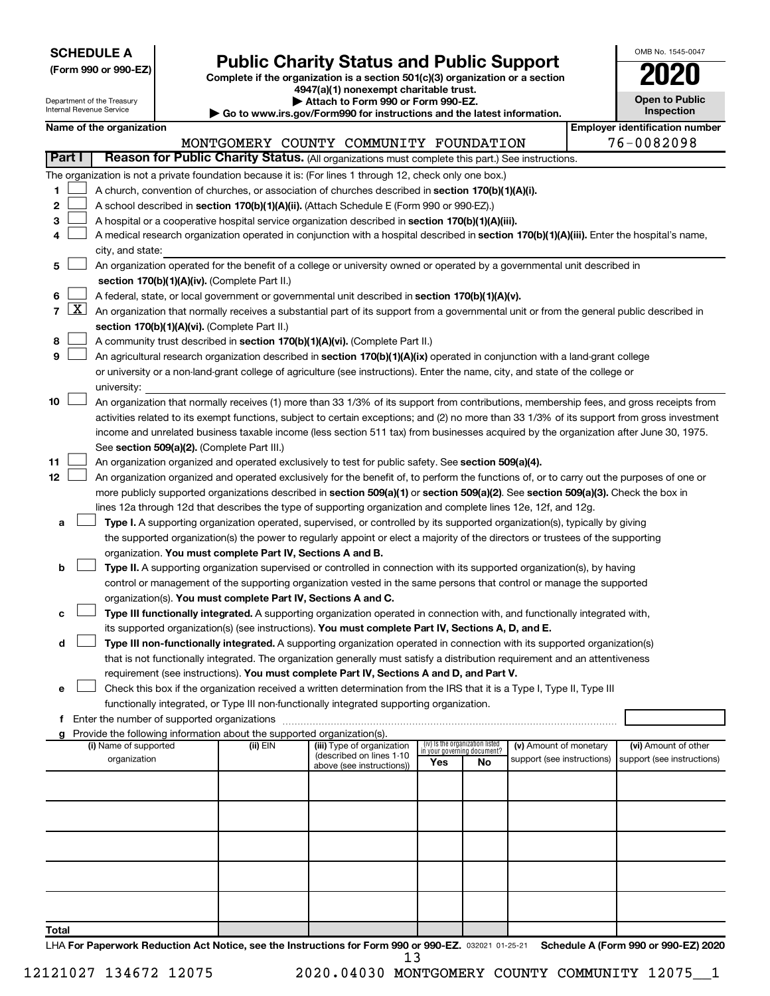| <b>SCHEDULE A</b> |  |
|-------------------|--|
|-------------------|--|

Department of the Treasury

|  |  |  |  |  | (Form 990 or 990-EZ) |  |
|--|--|--|--|--|----------------------|--|
|--|--|--|--|--|----------------------|--|

# Form 990 or 990-EZ) **Public Charity Status and Public Support**<br>
Complete if the organization is a section 501(c)(3) organization or a section<br> **2020**

**4947(a)(1) nonexempt charitable trust.**

**| Attach to Form 990 or Form 990-EZ.** 

| OMB No 1545-0047                    |  |
|-------------------------------------|--|
| UZ                                  |  |
| <b>Open to Public</b><br>Inspection |  |

|                |                     | Internal Revenue Service                      |                                                                        | Go to www.irs.gov/Form990 for instructions and the latest information.                                                                       |     |                                                                |                                                      |  | Inspection                                         |
|----------------|---------------------|-----------------------------------------------|------------------------------------------------------------------------|----------------------------------------------------------------------------------------------------------------------------------------------|-----|----------------------------------------------------------------|------------------------------------------------------|--|----------------------------------------------------|
|                |                     | Name of the organization                      |                                                                        |                                                                                                                                              |     |                                                                |                                                      |  | <b>Employer identification number</b>              |
|                |                     |                                               |                                                                        | MONTGOMERY COUNTY COMMUNITY FOUNDATION                                                                                                       |     |                                                                |                                                      |  | 76-0082098                                         |
|                | Part I              |                                               |                                                                        | Reason for Public Charity Status. (All organizations must complete this part.) See instructions.                                             |     |                                                                |                                                      |  |                                                    |
|                |                     |                                               |                                                                        | The organization is not a private foundation because it is: (For lines 1 through 12, check only one box.)                                    |     |                                                                |                                                      |  |                                                    |
| 1              |                     |                                               |                                                                        | A church, convention of churches, or association of churches described in section 170(b)(1)(A)(i).                                           |     |                                                                |                                                      |  |                                                    |
| 2              |                     |                                               |                                                                        | A school described in section 170(b)(1)(A)(ii). (Attach Schedule E (Form 990 or 990-EZ).)                                                    |     |                                                                |                                                      |  |                                                    |
| 3              |                     |                                               |                                                                        | A hospital or a cooperative hospital service organization described in section 170(b)(1)(A)(iii).                                            |     |                                                                |                                                      |  |                                                    |
| 4              |                     |                                               |                                                                        | A medical research organization operated in conjunction with a hospital described in section 170(b)(1)(A)(iii). Enter the hospital's name,   |     |                                                                |                                                      |  |                                                    |
|                |                     | city, and state:                              |                                                                        |                                                                                                                                              |     |                                                                |                                                      |  |                                                    |
| 5              |                     |                                               |                                                                        | An organization operated for the benefit of a college or university owned or operated by a governmental unit described in                    |     |                                                                |                                                      |  |                                                    |
|                |                     |                                               | section 170(b)(1)(A)(iv). (Complete Part II.)                          |                                                                                                                                              |     |                                                                |                                                      |  |                                                    |
| 6              |                     |                                               |                                                                        | A federal, state, or local government or governmental unit described in section 170(b)(1)(A)(v).                                             |     |                                                                |                                                      |  |                                                    |
| $\overline{7}$ | $\lfloor x \rfloor$ |                                               |                                                                        | An organization that normally receives a substantial part of its support from a governmental unit or from the general public described in    |     |                                                                |                                                      |  |                                                    |
|                |                     |                                               | section 170(b)(1)(A)(vi). (Complete Part II.)                          |                                                                                                                                              |     |                                                                |                                                      |  |                                                    |
| 8              |                     |                                               |                                                                        | A community trust described in section 170(b)(1)(A)(vi). (Complete Part II.)                                                                 |     |                                                                |                                                      |  |                                                    |
| 9              |                     |                                               |                                                                        | An agricultural research organization described in section 170(b)(1)(A)(ix) operated in conjunction with a land-grant college                |     |                                                                |                                                      |  |                                                    |
|                |                     |                                               |                                                                        | or university or a non-land-grant college of agriculture (see instructions). Enter the name, city, and state of the college or               |     |                                                                |                                                      |  |                                                    |
|                |                     | university:                                   |                                                                        |                                                                                                                                              |     |                                                                |                                                      |  |                                                    |
| 10             |                     |                                               |                                                                        | An organization that normally receives (1) more than 33 1/3% of its support from contributions, membership fees, and gross receipts from     |     |                                                                |                                                      |  |                                                    |
|                |                     |                                               |                                                                        | activities related to its exempt functions, subject to certain exceptions; and (2) no more than 33 1/3% of its support from gross investment |     |                                                                |                                                      |  |                                                    |
|                |                     |                                               | See section 509(a)(2). (Complete Part III.)                            | income and unrelated business taxable income (less section 511 tax) from businesses acquired by the organization after June 30, 1975.        |     |                                                                |                                                      |  |                                                    |
| 11             |                     |                                               |                                                                        | An organization organized and operated exclusively to test for public safety. See section 509(a)(4).                                         |     |                                                                |                                                      |  |                                                    |
| 12             |                     |                                               |                                                                        | An organization organized and operated exclusively for the benefit of, to perform the functions of, or to carry out the purposes of one or   |     |                                                                |                                                      |  |                                                    |
|                |                     |                                               |                                                                        | more publicly supported organizations described in section 509(a)(1) or section 509(a)(2). See section 509(a)(3). Check the box in           |     |                                                                |                                                      |  |                                                    |
|                |                     |                                               |                                                                        | lines 12a through 12d that describes the type of supporting organization and complete lines 12e, 12f, and 12g.                               |     |                                                                |                                                      |  |                                                    |
| а              |                     |                                               |                                                                        | Type I. A supporting organization operated, supervised, or controlled by its supported organization(s), typically by giving                  |     |                                                                |                                                      |  |                                                    |
|                |                     |                                               |                                                                        | the supported organization(s) the power to regularly appoint or elect a majority of the directors or trustees of the supporting              |     |                                                                |                                                      |  |                                                    |
|                |                     |                                               | organization. You must complete Part IV, Sections A and B.             |                                                                                                                                              |     |                                                                |                                                      |  |                                                    |
| b              |                     |                                               |                                                                        | Type II. A supporting organization supervised or controlled in connection with its supported organization(s), by having                      |     |                                                                |                                                      |  |                                                    |
|                |                     |                                               |                                                                        | control or management of the supporting organization vested in the same persons that control or manage the supported                         |     |                                                                |                                                      |  |                                                    |
|                |                     |                                               | organization(s). You must complete Part IV, Sections A and C.          |                                                                                                                                              |     |                                                                |                                                      |  |                                                    |
| с              |                     |                                               |                                                                        | Type III functionally integrated. A supporting organization operated in connection with, and functionally integrated with,                   |     |                                                                |                                                      |  |                                                    |
|                |                     |                                               |                                                                        | its supported organization(s) (see instructions). You must complete Part IV, Sections A, D, and E.                                           |     |                                                                |                                                      |  |                                                    |
| d              |                     |                                               |                                                                        | Type III non-functionally integrated. A supporting organization operated in connection with its supported organization(s)                    |     |                                                                |                                                      |  |                                                    |
|                |                     |                                               |                                                                        | that is not functionally integrated. The organization generally must satisfy a distribution requirement and an attentiveness                 |     |                                                                |                                                      |  |                                                    |
|                |                     |                                               |                                                                        | requirement (see instructions). You must complete Part IV, Sections A and D, and Part V.                                                     |     |                                                                |                                                      |  |                                                    |
| е              |                     |                                               |                                                                        | Check this box if the organization received a written determination from the IRS that it is a Type I, Type II, Type III                      |     |                                                                |                                                      |  |                                                    |
|                |                     |                                               |                                                                        | functionally integrated, or Type III non-functionally integrated supporting organization.                                                    |     |                                                                |                                                      |  |                                                    |
|                |                     | f Enter the number of supported organizations |                                                                        |                                                                                                                                              |     |                                                                |                                                      |  |                                                    |
|                |                     |                                               | Provide the following information about the supported organization(s). |                                                                                                                                              |     |                                                                |                                                      |  |                                                    |
|                |                     | (i) Name of supported<br>organization         | (ii) EIN                                                               | (iii) Type of organization<br>(described on lines 1-10                                                                                       |     | (iv) Is the organization listed<br>in your governing document? | (v) Amount of monetary<br>support (see instructions) |  | (vi) Amount of other<br>support (see instructions) |
|                |                     |                                               |                                                                        | above (see instructions))                                                                                                                    | Yes | No.                                                            |                                                      |  |                                                    |
|                |                     |                                               |                                                                        |                                                                                                                                              |     |                                                                |                                                      |  |                                                    |
|                |                     |                                               |                                                                        |                                                                                                                                              |     |                                                                |                                                      |  |                                                    |
|                |                     |                                               |                                                                        |                                                                                                                                              |     |                                                                |                                                      |  |                                                    |
|                |                     |                                               |                                                                        |                                                                                                                                              |     |                                                                |                                                      |  |                                                    |
|                |                     |                                               |                                                                        |                                                                                                                                              |     |                                                                |                                                      |  |                                                    |
|                |                     |                                               |                                                                        |                                                                                                                                              |     |                                                                |                                                      |  |                                                    |
|                |                     |                                               |                                                                        |                                                                                                                                              |     |                                                                |                                                      |  |                                                    |
|                |                     |                                               |                                                                        |                                                                                                                                              |     |                                                                |                                                      |  |                                                    |
|                |                     |                                               |                                                                        |                                                                                                                                              |     |                                                                |                                                      |  |                                                    |
| Total          |                     |                                               |                                                                        |                                                                                                                                              |     |                                                                |                                                      |  |                                                    |

LHA For Paperwork Reduction Act Notice, see the Instructions for Form 990 or 990-EZ. 032021 01-25-21 Schedule A (Form 990 or 990-EZ) 2020 13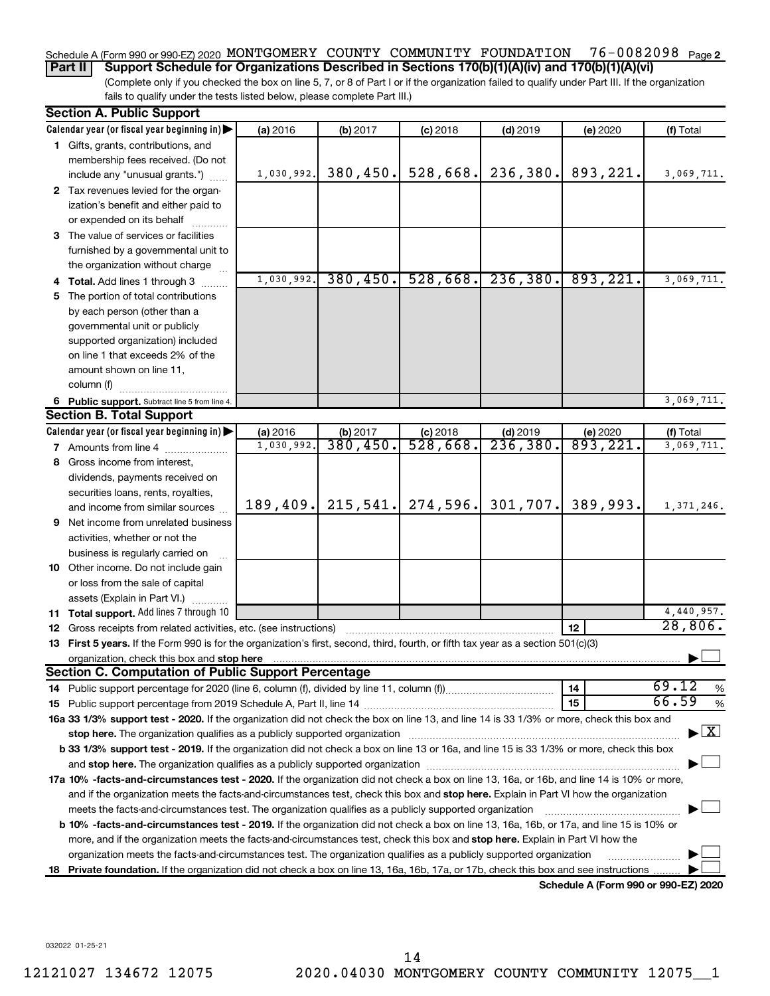#### 76-0082098 Page 2 Schedule A (Form 990 or 990-EZ) 2020 MONTGOMERY COUNTY COMMUNITY FOUNDATION 76-0082098 Page

(Complete only if you checked the box on line 5, 7, or 8 of Part I or if the organization failed to qualify under Part III. If the organization fails to qualify under the tests listed below, please complete Part III.) **Part II Support Schedule for Organizations Described in Sections 170(b)(1)(A)(iv) and 170(b)(1)(A)(vi)**

| <b>Section A. Public Support</b>                                                                                                                                                                                               |            |           |            |                      |                                      |                                    |  |  |
|--------------------------------------------------------------------------------------------------------------------------------------------------------------------------------------------------------------------------------|------------|-----------|------------|----------------------|--------------------------------------|------------------------------------|--|--|
| Calendar year (or fiscal year beginning in)                                                                                                                                                                                    | (a) 2016   | (b) 2017  | $(c)$ 2018 | $(d)$ 2019           | (e) 2020                             | (f) Total                          |  |  |
| 1 Gifts, grants, contributions, and                                                                                                                                                                                            |            |           |            |                      |                                      |                                    |  |  |
| membership fees received. (Do not                                                                                                                                                                                              |            |           |            |                      |                                      |                                    |  |  |
| include any "unusual grants.")                                                                                                                                                                                                 | 1,030,992. | 380,450.  | 528,668.   | 236,380.             | 893,221.                             | 3,069,711.                         |  |  |
| 2 Tax revenues levied for the organ-                                                                                                                                                                                           |            |           |            |                      |                                      |                                    |  |  |
| ization's benefit and either paid to                                                                                                                                                                                           |            |           |            |                      |                                      |                                    |  |  |
| or expended on its behalf                                                                                                                                                                                                      |            |           |            |                      |                                      |                                    |  |  |
| 3 The value of services or facilities                                                                                                                                                                                          |            |           |            |                      |                                      |                                    |  |  |
| furnished by a governmental unit to                                                                                                                                                                                            |            |           |            |                      |                                      |                                    |  |  |
| the organization without charge                                                                                                                                                                                                |            |           |            |                      |                                      |                                    |  |  |
| 4 Total. Add lines 1 through 3                                                                                                                                                                                                 | 1,030,992. | 380, 450. | 528,668.   | 236,380.             | 893,221.                             | 3,069,711.                         |  |  |
| 5 The portion of total contributions                                                                                                                                                                                           |            |           |            |                      |                                      |                                    |  |  |
| by each person (other than a                                                                                                                                                                                                   |            |           |            |                      |                                      |                                    |  |  |
| governmental unit or publicly                                                                                                                                                                                                  |            |           |            |                      |                                      |                                    |  |  |
| supported organization) included                                                                                                                                                                                               |            |           |            |                      |                                      |                                    |  |  |
| on line 1 that exceeds 2% of the                                                                                                                                                                                               |            |           |            |                      |                                      |                                    |  |  |
| amount shown on line 11,                                                                                                                                                                                                       |            |           |            |                      |                                      |                                    |  |  |
| column (f)                                                                                                                                                                                                                     |            |           |            |                      |                                      |                                    |  |  |
| 6 Public support. Subtract line 5 from line 4.                                                                                                                                                                                 |            |           |            |                      |                                      | 3,069,711.                         |  |  |
| <b>Section B. Total Support</b>                                                                                                                                                                                                |            |           |            |                      |                                      |                                    |  |  |
| Calendar year (or fiscal year beginning in)                                                                                                                                                                                    | (a) 2016   | (b) 2017  | $(c)$ 2018 | $(d)$ 2019           | (e) 2020                             | (f) Total                          |  |  |
| <b>7</b> Amounts from line 4                                                                                                                                                                                                   | 1,030,992. | 380,450.  | 528,668.   | $\overline{236,380}$ | 893,221.                             | 3,069,711.                         |  |  |
| 8 Gross income from interest,                                                                                                                                                                                                  |            |           |            |                      |                                      |                                    |  |  |
| dividends, payments received on                                                                                                                                                                                                |            |           |            |                      |                                      |                                    |  |  |
| securities loans, rents, royalties,                                                                                                                                                                                            |            |           |            |                      |                                      |                                    |  |  |
| and income from similar sources                                                                                                                                                                                                | 189,409.   | 215, 541. | 274,596.   | 301, 707.            | 389,993.                             | 1,371,246.                         |  |  |
| 9 Net income from unrelated business                                                                                                                                                                                           |            |           |            |                      |                                      |                                    |  |  |
| activities, whether or not the                                                                                                                                                                                                 |            |           |            |                      |                                      |                                    |  |  |
| business is regularly carried on                                                                                                                                                                                               |            |           |            |                      |                                      |                                    |  |  |
| 10 Other income. Do not include gain                                                                                                                                                                                           |            |           |            |                      |                                      |                                    |  |  |
| or loss from the sale of capital                                                                                                                                                                                               |            |           |            |                      |                                      |                                    |  |  |
| assets (Explain in Part VI.)                                                                                                                                                                                                   |            |           |            |                      |                                      |                                    |  |  |
| 11 Total support. Add lines 7 through 10                                                                                                                                                                                       |            |           |            |                      |                                      | 4,440,957.                         |  |  |
| 12 Gross receipts from related activities, etc. (see instructions)                                                                                                                                                             |            |           |            |                      | 12                                   | 28,806.                            |  |  |
| 13 First 5 years. If the Form 990 is for the organization's first, second, third, fourth, or fifth tax year as a section 501(c)(3)                                                                                             |            |           |            |                      |                                      |                                    |  |  |
| organization, check this box and stop here match and the content of the content of the content of the content of the content of the content of the content of the content of the content of the content of the content of the  |            |           |            |                      |                                      |                                    |  |  |
| <b>Section C. Computation of Public Support Percentage</b>                                                                                                                                                                     |            |           |            |                      |                                      |                                    |  |  |
|                                                                                                                                                                                                                                |            |           |            |                      | 14                                   | 69.12<br>%                         |  |  |
|                                                                                                                                                                                                                                |            |           |            |                      | 15                                   | 66.59<br>%                         |  |  |
| 16a 33 1/3% support test - 2020. If the organization did not check the box on line 13, and line 14 is 33 1/3% or more, check this box and                                                                                      |            |           |            |                      |                                      |                                    |  |  |
| stop here. The organization qualifies as a publicly supported organization manufactured content and the organization manufactured or an analyzing the stress of the stress of the stress of the stress of the stress of the st |            |           |            |                      |                                      | $\blacktriangleright$ $\mathbf{X}$ |  |  |
| b 33 1/3% support test - 2019. If the organization did not check a box on line 13 or 16a, and line 15 is 33 1/3% or more, check this box                                                                                       |            |           |            |                      |                                      |                                    |  |  |
|                                                                                                                                                                                                                                |            |           |            |                      |                                      |                                    |  |  |
| 17a 10% -facts-and-circumstances test - 2020. If the organization did not check a box on line 13, 16a, or 16b, and line 14 is 10% or more,                                                                                     |            |           |            |                      |                                      |                                    |  |  |
| and if the organization meets the facts-and-circumstances test, check this box and stop here. Explain in Part VI how the organization                                                                                          |            |           |            |                      |                                      |                                    |  |  |
| meets the facts-and-circumstances test. The organization qualifies as a publicly supported organization                                                                                                                        |            |           |            |                      |                                      |                                    |  |  |
| <b>b 10%</b> -facts-and-circumstances test - 2019. If the organization did not check a box on line 13, 16a, 16b, or 17a, and line 15 is 10% or                                                                                 |            |           |            |                      |                                      |                                    |  |  |
| more, and if the organization meets the facts-and-circumstances test, check this box and stop here. Explain in Part VI how the                                                                                                 |            |           |            |                      |                                      |                                    |  |  |
| organization meets the facts-and-circumstances test. The organization qualifies as a publicly supported organization                                                                                                           |            |           |            |                      |                                      |                                    |  |  |
| 18 Private foundation. If the organization did not check a box on line 13, 16a, 16b, 17a, or 17b, check this box and see instructions                                                                                          |            |           |            |                      |                                      |                                    |  |  |
|                                                                                                                                                                                                                                |            |           |            |                      | Schedule A (Form 990 or 990-F7) 2020 |                                    |  |  |

**Schedule A (Form 990 or 990-EZ) 2020**

032022 01-25-21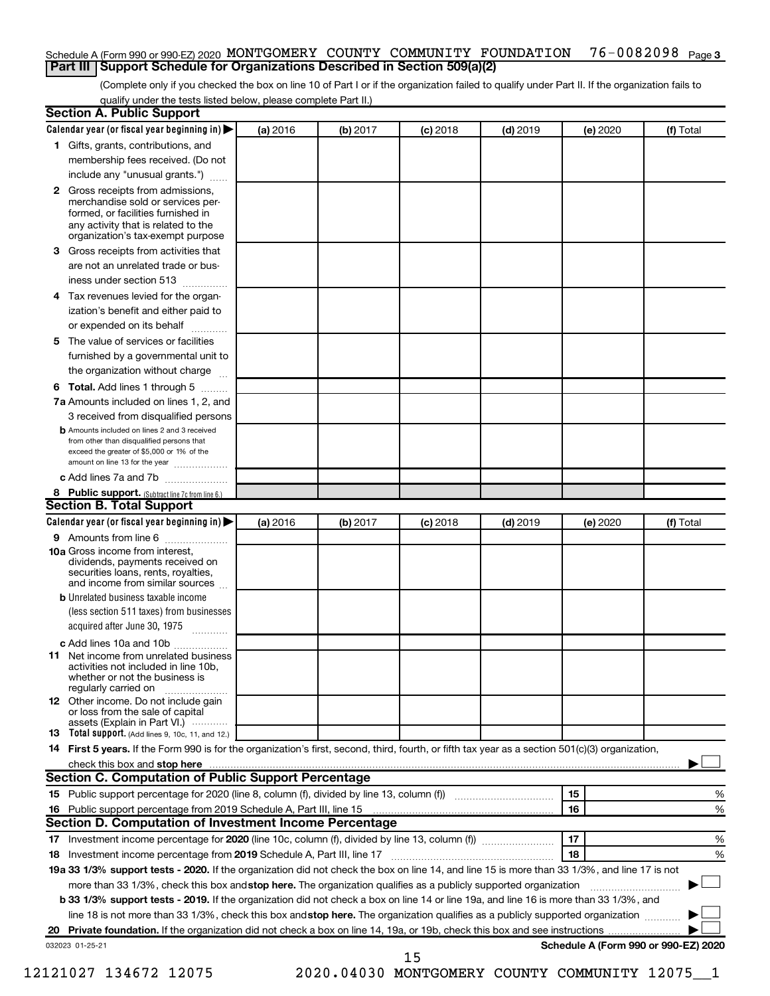#### 76-0082098 Page 3 Schedule A (Form 990 or 990-EZ) 2020 MONTGOMERY COUNTY COMMUNITY FOUNDATION 76-0082098 Page **Part III Support Schedule for Organizations Described in Section 509(a)(2)**

(Complete only if you checked the box on line 10 of Part I or if the organization failed to qualify under Part II. If the organization fails to qualify under the tests listed below, please complete Part II.)

| <b>Section A. Public Support</b>                                                                                                                                                                                                         |          |          |            |            |          |                                      |
|------------------------------------------------------------------------------------------------------------------------------------------------------------------------------------------------------------------------------------------|----------|----------|------------|------------|----------|--------------------------------------|
| Calendar year (or fiscal year beginning in)                                                                                                                                                                                              | (a) 2016 | (b) 2017 | $(c)$ 2018 | $(d)$ 2019 | (e) 2020 | (f) Total                            |
| 1 Gifts, grants, contributions, and                                                                                                                                                                                                      |          |          |            |            |          |                                      |
| membership fees received. (Do not                                                                                                                                                                                                        |          |          |            |            |          |                                      |
| include any "unusual grants.")                                                                                                                                                                                                           |          |          |            |            |          |                                      |
| 2 Gross receipts from admissions,<br>merchandise sold or services per-<br>formed, or facilities furnished in<br>any activity that is related to the                                                                                      |          |          |            |            |          |                                      |
| organization's tax-exempt purpose                                                                                                                                                                                                        |          |          |            |            |          |                                      |
| <b>3</b> Gross receipts from activities that                                                                                                                                                                                             |          |          |            |            |          |                                      |
| are not an unrelated trade or bus-                                                                                                                                                                                                       |          |          |            |            |          |                                      |
| iness under section 513                                                                                                                                                                                                                  |          |          |            |            |          |                                      |
| 4 Tax revenues levied for the organ-<br>ization's benefit and either paid to                                                                                                                                                             |          |          |            |            |          |                                      |
| or expended on its behalf                                                                                                                                                                                                                |          |          |            |            |          |                                      |
| 5 The value of services or facilities                                                                                                                                                                                                    |          |          |            |            |          |                                      |
| furnished by a governmental unit to                                                                                                                                                                                                      |          |          |            |            |          |                                      |
| the organization without charge                                                                                                                                                                                                          |          |          |            |            |          |                                      |
|                                                                                                                                                                                                                                          |          |          |            |            |          |                                      |
| <b>6 Total.</b> Add lines 1 through 5                                                                                                                                                                                                    |          |          |            |            |          |                                      |
| 7a Amounts included on lines 1, 2, and                                                                                                                                                                                                   |          |          |            |            |          |                                      |
| 3 received from disqualified persons<br><b>b</b> Amounts included on lines 2 and 3 received<br>from other than disqualified persons that<br>exceed the greater of \$5,000 or 1% of the<br>amount on line 13 for the year                 |          |          |            |            |          |                                      |
| c Add lines 7a and 7b                                                                                                                                                                                                                    |          |          |            |            |          |                                      |
| 8 Public support. (Subtract line 7c from line 6.)                                                                                                                                                                                        |          |          |            |            |          |                                      |
| <b>Section B. Total Support</b>                                                                                                                                                                                                          |          |          |            |            |          |                                      |
| Calendar year (or fiscal year beginning in) $\blacktriangleright$                                                                                                                                                                        | (a) 2016 | (b) 2017 | $(c)$ 2018 | $(d)$ 2019 | (e) 2020 | (f) Total                            |
| 9 Amounts from line 6                                                                                                                                                                                                                    |          |          |            |            |          |                                      |
| <b>10a</b> Gross income from interest,<br>dividends, payments received on<br>securities loans, rents, royalties,<br>and income from similar sources                                                                                      |          |          |            |            |          |                                      |
| <b>b</b> Unrelated business taxable income                                                                                                                                                                                               |          |          |            |            |          |                                      |
| (less section 511 taxes) from businesses<br>acquired after June 30, 1975<br>$\overline{\phantom{a}}$                                                                                                                                     |          |          |            |            |          |                                      |
| c Add lines 10a and 10b                                                                                                                                                                                                                  |          |          |            |            |          |                                      |
| <b>11</b> Net income from unrelated business<br>activities not included in line 10b.<br>whether or not the business is<br>regularly carried on                                                                                           |          |          |            |            |          |                                      |
| <b>12</b> Other income. Do not include gain<br>or loss from the sale of capital<br>assets (Explain in Part VI.)                                                                                                                          |          |          |            |            |          |                                      |
| <b>13</b> Total support. (Add lines 9, 10c, 11, and 12.)                                                                                                                                                                                 |          |          |            |            |          |                                      |
| 14 First 5 years. If the Form 990 is for the organization's first, second, third, fourth, or fifth tax year as a section 501(c)(3) organization,                                                                                         |          |          |            |            |          |                                      |
| check this box and stop here <i>manual production and antisemple to the state this</i> box and stop here <i>manual production</i> and the state of the state of the state of the state of the state of the state of the state of the sta |          |          |            |            |          |                                      |
| <b>Section C. Computation of Public Support Percentage</b>                                                                                                                                                                               |          |          |            |            |          |                                      |
| 15 Public support percentage for 2020 (line 8, column (f), divided by line 13, column (f) <i></i>                                                                                                                                        |          |          |            |            | 15       | %                                    |
| 16 Public support percentage from 2019 Schedule A, Part III, line 15                                                                                                                                                                     |          |          |            |            | 16       | %                                    |
| Section D. Computation of Investment Income Percentage                                                                                                                                                                                   |          |          |            |            |          |                                      |
|                                                                                                                                                                                                                                          |          |          |            |            | 17       | %                                    |
| 18 Investment income percentage from 2019 Schedule A, Part III, line 17                                                                                                                                                                  |          |          |            |            | 18       | %                                    |
| 19a 33 1/3% support tests - 2020. If the organization did not check the box on line 14, and line 15 is more than 33 1/3%, and line 17 is not                                                                                             |          |          |            |            |          |                                      |
| more than 33 1/3%, check this box and stop here. The organization qualifies as a publicly supported organization                                                                                                                         |          |          |            |            |          |                                      |
| b 33 1/3% support tests - 2019. If the organization did not check a box on line 14 or line 19a, and line 16 is more than 33 1/3%, and                                                                                                    |          |          |            |            |          |                                      |
| line 18 is not more than 33 1/3%, check this box and stop here. The organization qualifies as a publicly supported organization                                                                                                          |          |          |            |            |          |                                      |
|                                                                                                                                                                                                                                          |          |          |            |            |          |                                      |
| 032023 01-25-21                                                                                                                                                                                                                          |          |          |            |            |          | Schedule A (Form 990 or 990-EZ) 2020 |
|                                                                                                                                                                                                                                          |          |          | 15         |            |          |                                      |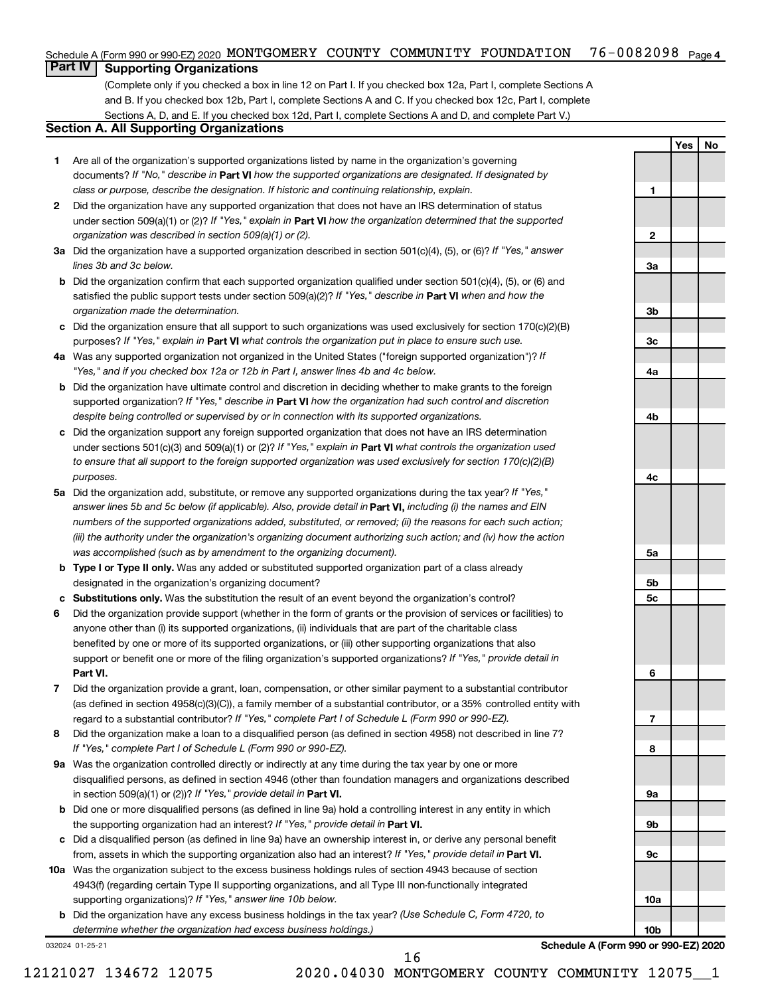#### 76-0082098 <sub>Page 4</sub> Schedule A (Form 990 or 990-EZ) 2020 MONTGOMERY COUNTY COMMUNITY FOUNDATION 76-0082098 Page

### **Part IV Supporting Organizations**

(Complete only if you checked a box in line 12 on Part I. If you checked box 12a, Part I, complete Sections A and B. If you checked box 12b, Part I, complete Sections A and C. If you checked box 12c, Part I, complete Sections A, D, and E. If you checked box 12d, Part I, complete Sections A and D, and complete Part V.)

### **Section A. All Supporting Organizations**

- **1** Are all of the organization's supported organizations listed by name in the organization's governing documents? If "No," describe in Part VI how the supported organizations are designated. If designated by *class or purpose, describe the designation. If historic and continuing relationship, explain.*
- **2** Did the organization have any supported organization that does not have an IRS determination of status under section 509(a)(1) or (2)? If "Yes," explain in Part **VI** how the organization determined that the supported *organization was described in section 509(a)(1) or (2).*
- **3a** Did the organization have a supported organization described in section 501(c)(4), (5), or (6)? If "Yes," answer *lines 3b and 3c below.*
- **b** Did the organization confirm that each supported organization qualified under section 501(c)(4), (5), or (6) and satisfied the public support tests under section 509(a)(2)? If "Yes," describe in Part VI when and how the *organization made the determination.*
- **c** Did the organization ensure that all support to such organizations was used exclusively for section 170(c)(2)(B) purposes? If "Yes," explain in Part VI what controls the organization put in place to ensure such use.
- **4 a** *If* Was any supported organization not organized in the United States ("foreign supported organization")? *"Yes," and if you checked box 12a or 12b in Part I, answer lines 4b and 4c below.*
- **b** Did the organization have ultimate control and discretion in deciding whether to make grants to the foreign supported organization? If "Yes," describe in Part VI how the organization had such control and discretion *despite being controlled or supervised by or in connection with its supported organizations.*
- **c** Did the organization support any foreign supported organization that does not have an IRS determination under sections 501(c)(3) and 509(a)(1) or (2)? If "Yes," explain in Part VI what controls the organization used *to ensure that all support to the foreign supported organization was used exclusively for section 170(c)(2)(B) purposes.*
- **5a** Did the organization add, substitute, or remove any supported organizations during the tax year? If "Yes," answer lines 5b and 5c below (if applicable). Also, provide detail in **Part VI,** including (i) the names and EIN *numbers of the supported organizations added, substituted, or removed; (ii) the reasons for each such action; (iii) the authority under the organization's organizing document authorizing such action; and (iv) how the action was accomplished (such as by amendment to the organizing document).*
- **b** Type I or Type II only. Was any added or substituted supported organization part of a class already designated in the organization's organizing document?
- **c Substitutions only.**  Was the substitution the result of an event beyond the organization's control?
- **6** Did the organization provide support (whether in the form of grants or the provision of services or facilities) to **Part VI.** support or benefit one or more of the filing organization's supported organizations? If "Yes," provide detail in anyone other than (i) its supported organizations, (ii) individuals that are part of the charitable class benefited by one or more of its supported organizations, or (iii) other supporting organizations that also
- **7** Did the organization provide a grant, loan, compensation, or other similar payment to a substantial contributor regard to a substantial contributor? If "Yes," complete Part I of Schedule L (Form 990 or 990-EZ). (as defined in section 4958(c)(3)(C)), a family member of a substantial contributor, or a 35% controlled entity with
- **8** Did the organization make a loan to a disqualified person (as defined in section 4958) not described in line 7? *If "Yes," complete Part I of Schedule L (Form 990 or 990-EZ).*
- **9 a** Was the organization controlled directly or indirectly at any time during the tax year by one or more in section 509(a)(1) or (2))? If "Yes," provide detail in **Part VI.** disqualified persons, as defined in section 4946 (other than foundation managers and organizations described
- **b** Did one or more disqualified persons (as defined in line 9a) hold a controlling interest in any entity in which the supporting organization had an interest? If "Yes," provide detail in Part VI.
- **c** Did a disqualified person (as defined in line 9a) have an ownership interest in, or derive any personal benefit from, assets in which the supporting organization also had an interest? If "Yes," provide detail in Part VI.
- **10 a** Was the organization subject to the excess business holdings rules of section 4943 because of section supporting organizations)? If "Yes," answer line 10b below. 4943(f) (regarding certain Type II supporting organizations, and all Type III non-functionally integrated
	- **b** Did the organization have any excess business holdings in the tax year? (Use Schedule C, Form 4720, to *determine whether the organization had excess business holdings.)*

032024 01-25-21

**Schedule A (Form 990 or 990-EZ) 2020**

**Yes No**

**1**

**2**

**3a**

**3b**

**3c**

**4a**

**4b**

**4c**

**5a**

**5b 5c**

**6**

**7**

**8**

**9a**

**9b**

**9c**

**10a**

**10b**

16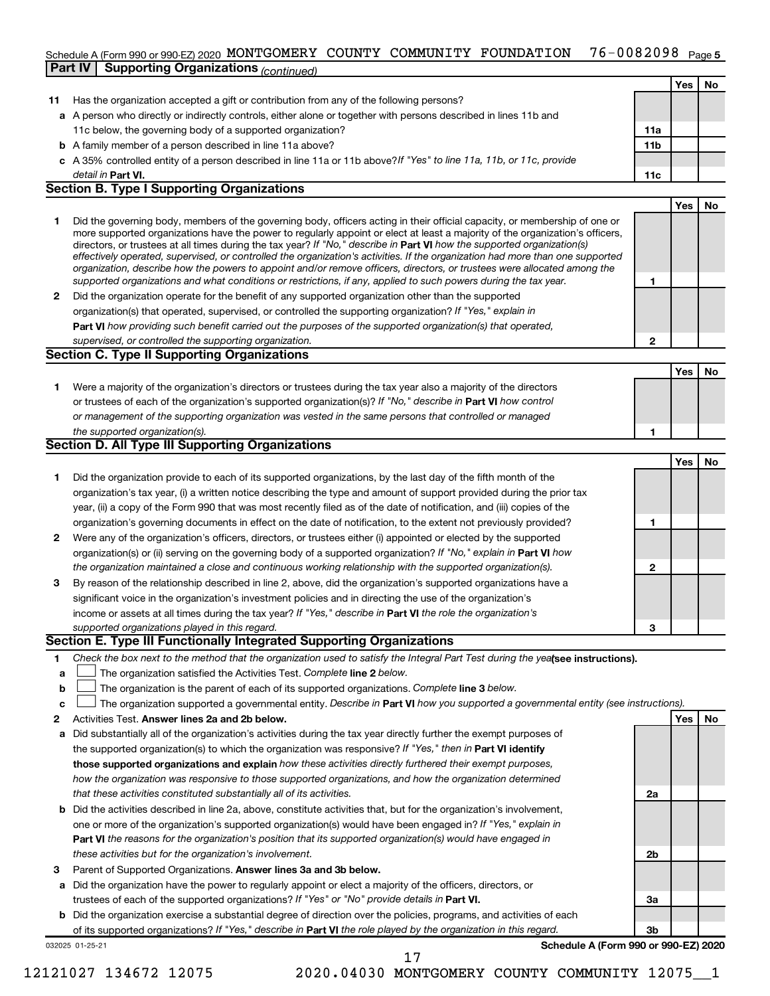### 76-0082098 <sub>Page 5</sub> Schedule A (Form 990 or 990-EZ) 2020 MONTGOMERY COUNTY COMMUNITY FOUNDATION 76-0082098 Page

|    | <b>Part IV   Supporting Organizations (continued)</b>                                                                                                                                                                                                                                                                                                                                                                                                                                                                                                                                                                                                                                                                                                                    |                 |     |    |
|----|--------------------------------------------------------------------------------------------------------------------------------------------------------------------------------------------------------------------------------------------------------------------------------------------------------------------------------------------------------------------------------------------------------------------------------------------------------------------------------------------------------------------------------------------------------------------------------------------------------------------------------------------------------------------------------------------------------------------------------------------------------------------------|-----------------|-----|----|
|    |                                                                                                                                                                                                                                                                                                                                                                                                                                                                                                                                                                                                                                                                                                                                                                          |                 | Yes | No |
| 11 | Has the organization accepted a gift or contribution from any of the following persons?                                                                                                                                                                                                                                                                                                                                                                                                                                                                                                                                                                                                                                                                                  |                 |     |    |
|    | a A person who directly or indirectly controls, either alone or together with persons described in lines 11b and                                                                                                                                                                                                                                                                                                                                                                                                                                                                                                                                                                                                                                                         |                 |     |    |
|    | 11c below, the governing body of a supported organization?                                                                                                                                                                                                                                                                                                                                                                                                                                                                                                                                                                                                                                                                                                               | 11a             |     |    |
|    | <b>b</b> A family member of a person described in line 11a above?                                                                                                                                                                                                                                                                                                                                                                                                                                                                                                                                                                                                                                                                                                        | 11 <sub>b</sub> |     |    |
|    | c A 35% controlled entity of a person described in line 11a or 11b above?If "Yes" to line 11a, 11b, or 11c, provide                                                                                                                                                                                                                                                                                                                                                                                                                                                                                                                                                                                                                                                      |                 |     |    |
|    | detail in Part VI.                                                                                                                                                                                                                                                                                                                                                                                                                                                                                                                                                                                                                                                                                                                                                       | 11c             |     |    |
|    | <b>Section B. Type I Supporting Organizations</b>                                                                                                                                                                                                                                                                                                                                                                                                                                                                                                                                                                                                                                                                                                                        |                 |     |    |
|    |                                                                                                                                                                                                                                                                                                                                                                                                                                                                                                                                                                                                                                                                                                                                                                          |                 | Yes | No |
| 1  | Did the governing body, members of the governing body, officers acting in their official capacity, or membership of one or<br>more supported organizations have the power to regularly appoint or elect at least a majority of the organization's officers,<br>directors, or trustees at all times during the tax year? If "No," describe in Part VI how the supported organization(s)<br>effectively operated, supervised, or controlled the organization's activities. If the organization had more than one supported<br>organization, describe how the powers to appoint and/or remove officers, directors, or trustees were allocated among the<br>supported organizations and what conditions or restrictions, if any, applied to such powers during the tax year. | 1               |     |    |
| 2  | Did the organization operate for the benefit of any supported organization other than the supported                                                                                                                                                                                                                                                                                                                                                                                                                                                                                                                                                                                                                                                                      |                 |     |    |
|    | organization(s) that operated, supervised, or controlled the supporting organization? If "Yes," explain in                                                                                                                                                                                                                                                                                                                                                                                                                                                                                                                                                                                                                                                               |                 |     |    |
|    | Part VI how providing such benefit carried out the purposes of the supported organization(s) that operated,                                                                                                                                                                                                                                                                                                                                                                                                                                                                                                                                                                                                                                                              |                 |     |    |
|    | supervised, or controlled the supporting organization.                                                                                                                                                                                                                                                                                                                                                                                                                                                                                                                                                                                                                                                                                                                   | 2               |     |    |
|    | <b>Section C. Type II Supporting Organizations</b>                                                                                                                                                                                                                                                                                                                                                                                                                                                                                                                                                                                                                                                                                                                       |                 |     |    |
|    |                                                                                                                                                                                                                                                                                                                                                                                                                                                                                                                                                                                                                                                                                                                                                                          |                 | Yes | No |
| 1. | Were a majority of the organization's directors or trustees during the tax year also a majority of the directors                                                                                                                                                                                                                                                                                                                                                                                                                                                                                                                                                                                                                                                         |                 |     |    |
|    | or trustees of each of the organization's supported organization(s)? If "No," describe in Part VI how control                                                                                                                                                                                                                                                                                                                                                                                                                                                                                                                                                                                                                                                            |                 |     |    |
|    | or management of the supporting organization was vested in the same persons that controlled or managed                                                                                                                                                                                                                                                                                                                                                                                                                                                                                                                                                                                                                                                                   |                 |     |    |
|    | the supported organization(s).                                                                                                                                                                                                                                                                                                                                                                                                                                                                                                                                                                                                                                                                                                                                           | 1               |     |    |
|    | Section D. All Type III Supporting Organizations                                                                                                                                                                                                                                                                                                                                                                                                                                                                                                                                                                                                                                                                                                                         |                 |     |    |
|    |                                                                                                                                                                                                                                                                                                                                                                                                                                                                                                                                                                                                                                                                                                                                                                          |                 | Yes | No |
| 1  | Did the organization provide to each of its supported organizations, by the last day of the fifth month of the                                                                                                                                                                                                                                                                                                                                                                                                                                                                                                                                                                                                                                                           |                 |     |    |
|    | organization's tax year, (i) a written notice describing the type and amount of support provided during the prior tax                                                                                                                                                                                                                                                                                                                                                                                                                                                                                                                                                                                                                                                    |                 |     |    |
|    | year, (ii) a copy of the Form 990 that was most recently filed as of the date of notification, and (iii) copies of the                                                                                                                                                                                                                                                                                                                                                                                                                                                                                                                                                                                                                                                   |                 |     |    |
|    | organization's governing documents in effect on the date of notification, to the extent not previously provided?                                                                                                                                                                                                                                                                                                                                                                                                                                                                                                                                                                                                                                                         | 1               |     |    |
| 2  | Were any of the organization's officers, directors, or trustees either (i) appointed or elected by the supported                                                                                                                                                                                                                                                                                                                                                                                                                                                                                                                                                                                                                                                         |                 |     |    |
|    | organization(s) or (ii) serving on the governing body of a supported organization? If "No," explain in Part VI how                                                                                                                                                                                                                                                                                                                                                                                                                                                                                                                                                                                                                                                       |                 |     |    |
|    | the organization maintained a close and continuous working relationship with the supported organization(s).                                                                                                                                                                                                                                                                                                                                                                                                                                                                                                                                                                                                                                                              | $\mathbf{2}$    |     |    |
| 3  | By reason of the relationship described in line 2, above, did the organization's supported organizations have a                                                                                                                                                                                                                                                                                                                                                                                                                                                                                                                                                                                                                                                          |                 |     |    |
|    | significant voice in the organization's investment policies and in directing the use of the organization's                                                                                                                                                                                                                                                                                                                                                                                                                                                                                                                                                                                                                                                               |                 |     |    |
|    | income or assets at all times during the tax year? If "Yes," describe in Part VI the role the organization's                                                                                                                                                                                                                                                                                                                                                                                                                                                                                                                                                                                                                                                             |                 |     |    |
|    | supported organizations played in this regard.                                                                                                                                                                                                                                                                                                                                                                                                                                                                                                                                                                                                                                                                                                                           | 3               |     |    |
|    | Section E. Type III Functionally Integrated Supporting Organizations                                                                                                                                                                                                                                                                                                                                                                                                                                                                                                                                                                                                                                                                                                     |                 |     |    |
| 1. | Check the box next to the method that the organization used to satisfy the Integral Part Test during the yealsee instructions).                                                                                                                                                                                                                                                                                                                                                                                                                                                                                                                                                                                                                                          |                 |     |    |
| a  | The organization satisfied the Activities Test. Complete line 2 below.                                                                                                                                                                                                                                                                                                                                                                                                                                                                                                                                                                                                                                                                                                   |                 |     |    |
| b  | The organization is the parent of each of its supported organizations. Complete line 3 below.                                                                                                                                                                                                                                                                                                                                                                                                                                                                                                                                                                                                                                                                            |                 |     |    |
| c  | The organization supported a governmental entity. Describe in Part VI how you supported a governmental entity (see instructions).                                                                                                                                                                                                                                                                                                                                                                                                                                                                                                                                                                                                                                        |                 |     |    |
| 2  | Activities Test. Answer lines 2a and 2b below.                                                                                                                                                                                                                                                                                                                                                                                                                                                                                                                                                                                                                                                                                                                           |                 | Yes | No |
| а  | Did substantially all of the organization's activities during the tax year directly further the exempt purposes of                                                                                                                                                                                                                                                                                                                                                                                                                                                                                                                                                                                                                                                       |                 |     |    |
|    | the supported organization(s) to which the organization was responsive? If "Yes," then in Part VI identify<br>those supported erganizations and evolain how these activities directly furthered their exempt purposes                                                                                                                                                                                                                                                                                                                                                                                                                                                                                                                                                    |                 |     |    |
|    |                                                                                                                                                                                                                                                                                                                                                                                                                                                                                                                                                                                                                                                                                                                                                                          |                 |     |    |

- **those supported organizations and explain**  *how these activities directly furthered their exempt purposes, how the organization was responsive to those supported organizations, and how the organization determined that these activities constituted substantially all of its activities.*
- **b** Did the activities described in line 2a, above, constitute activities that, but for the organization's involvement, **Part VI**  *the reasons for the organization's position that its supported organization(s) would have engaged in* one or more of the organization's supported organization(s) would have been engaged in? If "Yes," explain in *these activities but for the organization's involvement.*
- 3 Parent of Supported Organizations. Answer lines 3a and 3b below.
- **a** Did the organization have the power to regularly appoint or elect a majority of the officers, directors, or trustees of each of the supported organizations? If "Yes" or "No" provide details in Part VI.
- **b** Did the organization exercise a substantial degree of direction over the policies, programs, and activities of each of its supported organizations? If "Yes," describe in Part VI the role played by the organization in this regard.

17

032025 01-25-21

**Schedule A (Form 990 or 990-EZ) 2020**

**2a**

**2b**

**3a**

**3b**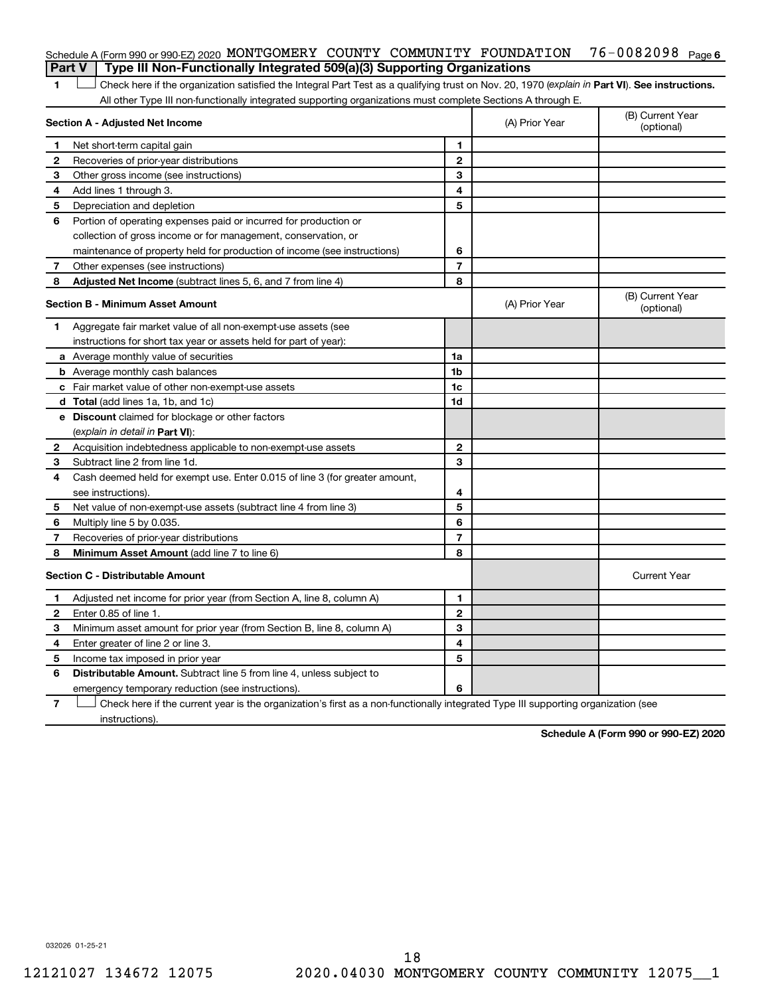| Schedule A (Form 990 or 990-EZ) 2020 MONTGOMERY COUNTY COMMUNITY FOUNDATION $76-0082098$ Page 6 |  |  |  |
|-------------------------------------------------------------------------------------------------|--|--|--|
| Part V   Type III Non-Functionally Integrated 509(a)(3) Supporting Organizations                |  |  |  |

1 **Letter See instructions.** Check here if the organization satisfied the Integral Part Test as a qualifying trust on Nov. 20, 1970 (*explain in* Part **VI**). See instructions. All other Type III non-functionally integrated supporting organizations must complete Sections A through E.

|    | Section A - Adjusted Net Income                                                                                                   |                | (A) Prior Year | (B) Current Year<br>(optional) |  |  |  |
|----|-----------------------------------------------------------------------------------------------------------------------------------|----------------|----------------|--------------------------------|--|--|--|
| 1  | Net short-term capital gain                                                                                                       | 1              |                |                                |  |  |  |
| 2  | Recoveries of prior-year distributions                                                                                            | $\mathbf{2}$   |                |                                |  |  |  |
| З  | Other gross income (see instructions)                                                                                             | 3              |                |                                |  |  |  |
| 4  | Add lines 1 through 3.                                                                                                            | 4              |                |                                |  |  |  |
| 5  | Depreciation and depletion                                                                                                        | 5              |                |                                |  |  |  |
| 6  | Portion of operating expenses paid or incurred for production or                                                                  |                |                |                                |  |  |  |
|    | collection of gross income or for management, conservation, or                                                                    |                |                |                                |  |  |  |
|    | maintenance of property held for production of income (see instructions)                                                          | 6              |                |                                |  |  |  |
| 7  | Other expenses (see instructions)                                                                                                 | $\overline{7}$ |                |                                |  |  |  |
| 8  | Adjusted Net Income (subtract lines 5, 6, and 7 from line 4)                                                                      | 8              |                |                                |  |  |  |
|    | Section B - Minimum Asset Amount                                                                                                  |                | (A) Prior Year | (B) Current Year<br>(optional) |  |  |  |
| 1. | Aggregate fair market value of all non-exempt-use assets (see                                                                     |                |                |                                |  |  |  |
|    | instructions for short tax year or assets held for part of year):                                                                 |                |                |                                |  |  |  |
|    | a Average monthly value of securities                                                                                             | 1a             |                |                                |  |  |  |
|    | <b>b</b> Average monthly cash balances                                                                                            | 1 <sub>b</sub> |                |                                |  |  |  |
|    | c Fair market value of other non-exempt-use assets                                                                                | 1c             |                |                                |  |  |  |
|    | <b>d</b> Total (add lines 1a, 1b, and 1c)                                                                                         | 1d             |                |                                |  |  |  |
|    | e Discount claimed for blockage or other factors                                                                                  |                |                |                                |  |  |  |
|    | (explain in detail in Part VI):                                                                                                   |                |                |                                |  |  |  |
| 2  | Acquisition indebtedness applicable to non-exempt-use assets                                                                      | $\mathbf{2}$   |                |                                |  |  |  |
| З  | Subtract line 2 from line 1d.                                                                                                     | 3              |                |                                |  |  |  |
| 4  | Cash deemed held for exempt use. Enter 0.015 of line 3 (for greater amount,                                                       |                |                |                                |  |  |  |
|    | see instructions).                                                                                                                | 4              |                |                                |  |  |  |
| 5  | Net value of non-exempt-use assets (subtract line 4 from line 3)                                                                  | 5              |                |                                |  |  |  |
| 6  | Multiply line 5 by 0.035.                                                                                                         | 6              |                |                                |  |  |  |
| 7  | Recoveries of prior-year distributions                                                                                            | $\overline{7}$ |                |                                |  |  |  |
| 8  | Minimum Asset Amount (add line 7 to line 6)                                                                                       | 8              |                |                                |  |  |  |
|    | <b>Section C - Distributable Amount</b>                                                                                           |                |                | <b>Current Year</b>            |  |  |  |
| 1  | Adjusted net income for prior year (from Section A, line 8, column A)                                                             | 1              |                |                                |  |  |  |
| 2  | Enter 0.85 of line 1.                                                                                                             | $\overline{2}$ |                |                                |  |  |  |
| 3  | Minimum asset amount for prior year (from Section B, line 8, column A)                                                            | 3              |                |                                |  |  |  |
| 4  | Enter greater of line 2 or line 3.                                                                                                | 4              |                |                                |  |  |  |
| 5  | Income tax imposed in prior year                                                                                                  | 5              |                |                                |  |  |  |
| 6  | <b>Distributable Amount.</b> Subtract line 5 from line 4, unless subject to                                                       |                |                |                                |  |  |  |
|    | emergency temporary reduction (see instructions).                                                                                 | 6              |                |                                |  |  |  |
| 7  | Check here if the current year is the organization's first as a non-functionally integrated Type III supporting organization (see |                |                |                                |  |  |  |

instructions).

**Schedule A (Form 990 or 990-EZ) 2020**

032026 01-25-21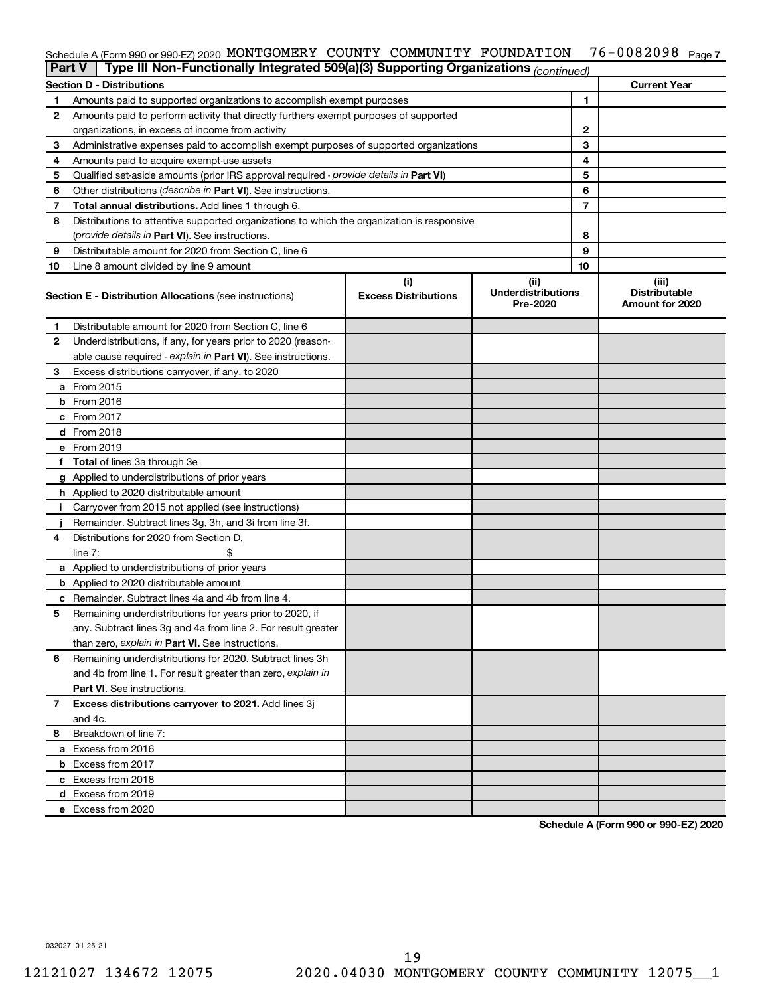#### 76-0082098 Page 7 Schedule A (Form 990 or 990-EZ) 2020 MONTGOMERY COUNTY COMMUNITY FOUNDATION 76-0082098 Page

|    | Type III Non-Functionally Integrated 509(a)(3) Supporting Organizations (continued)<br><b>Part V</b> |                                    |                                               |    |                                                  |  |  |  |  |
|----|------------------------------------------------------------------------------------------------------|------------------------------------|-----------------------------------------------|----|--------------------------------------------------|--|--|--|--|
|    | <b>Section D - Distributions</b>                                                                     |                                    |                                               |    | <b>Current Year</b>                              |  |  |  |  |
| 1  | Amounts paid to supported organizations to accomplish exempt purposes                                |                                    |                                               | 1  |                                                  |  |  |  |  |
| 2  | Amounts paid to perform activity that directly furthers exempt purposes of supported                 |                                    |                                               |    |                                                  |  |  |  |  |
|    | organizations, in excess of income from activity                                                     |                                    |                                               | 2  |                                                  |  |  |  |  |
| 3  | Administrative expenses paid to accomplish exempt purposes of supported organizations                |                                    |                                               | 3  |                                                  |  |  |  |  |
| 4  | Amounts paid to acquire exempt-use assets                                                            |                                    |                                               | 4  |                                                  |  |  |  |  |
| 5  | Qualified set-aside amounts (prior IRS approval required - provide details in Part VI)               |                                    | 5                                             |    |                                                  |  |  |  |  |
| 6  | Other distributions ( <i>describe in Part VI</i> ). See instructions.                                |                                    | 6                                             |    |                                                  |  |  |  |  |
| 7  | Total annual distributions. Add lines 1 through 6.                                                   |                                    | 7                                             |    |                                                  |  |  |  |  |
| 8  | Distributions to attentive supported organizations to which the organization is responsive           |                                    |                                               |    |                                                  |  |  |  |  |
|    | (provide details in Part VI). See instructions.                                                      |                                    |                                               | 8  |                                                  |  |  |  |  |
| 9  | Distributable amount for 2020 from Section C, line 6                                                 |                                    |                                               | 9  |                                                  |  |  |  |  |
| 10 | Line 8 amount divided by line 9 amount                                                               |                                    |                                               | 10 |                                                  |  |  |  |  |
|    | <b>Section E - Distribution Allocations (see instructions)</b>                                       | (i)<br><b>Excess Distributions</b> | (ii)<br><b>Underdistributions</b><br>Pre-2020 |    | (iii)<br><b>Distributable</b><br>Amount for 2020 |  |  |  |  |
| 1  | Distributable amount for 2020 from Section C, line 6                                                 |                                    |                                               |    |                                                  |  |  |  |  |
| 2  | Underdistributions, if any, for years prior to 2020 (reason-                                         |                                    |                                               |    |                                                  |  |  |  |  |
|    | able cause required - explain in Part VI). See instructions.                                         |                                    |                                               |    |                                                  |  |  |  |  |
| 3  | Excess distributions carryover, if any, to 2020                                                      |                                    |                                               |    |                                                  |  |  |  |  |
|    | a From 2015                                                                                          |                                    |                                               |    |                                                  |  |  |  |  |
|    | $b$ From 2016                                                                                        |                                    |                                               |    |                                                  |  |  |  |  |
|    | c From 2017                                                                                          |                                    |                                               |    |                                                  |  |  |  |  |
|    | <b>d</b> From 2018                                                                                   |                                    |                                               |    |                                                  |  |  |  |  |
|    | e From 2019                                                                                          |                                    |                                               |    |                                                  |  |  |  |  |
|    | f Total of lines 3a through 3e                                                                       |                                    |                                               |    |                                                  |  |  |  |  |
|    | g Applied to underdistributions of prior years                                                       |                                    |                                               |    |                                                  |  |  |  |  |
|    | <b>h</b> Applied to 2020 distributable amount                                                        |                                    |                                               |    |                                                  |  |  |  |  |
| Ť. | Carryover from 2015 not applied (see instructions)                                                   |                                    |                                               |    |                                                  |  |  |  |  |
|    | Remainder. Subtract lines 3g, 3h, and 3i from line 3f.                                               |                                    |                                               |    |                                                  |  |  |  |  |
| 4  | Distributions for 2020 from Section D,                                                               |                                    |                                               |    |                                                  |  |  |  |  |
|    | line 7:                                                                                              |                                    |                                               |    |                                                  |  |  |  |  |
|    | a Applied to underdistributions of prior years                                                       |                                    |                                               |    |                                                  |  |  |  |  |
|    | <b>b</b> Applied to 2020 distributable amount                                                        |                                    |                                               |    |                                                  |  |  |  |  |
|    | c Remainder. Subtract lines 4a and 4b from line 4.                                                   |                                    |                                               |    |                                                  |  |  |  |  |
| 5  | Remaining underdistributions for years prior to 2020, if                                             |                                    |                                               |    |                                                  |  |  |  |  |
|    | any. Subtract lines 3g and 4a from line 2. For result greater                                        |                                    |                                               |    |                                                  |  |  |  |  |
|    | than zero, explain in Part VI. See instructions.                                                     |                                    |                                               |    |                                                  |  |  |  |  |
| 6  | Remaining underdistributions for 2020. Subtract lines 3h                                             |                                    |                                               |    |                                                  |  |  |  |  |
|    | and 4b from line 1. For result greater than zero, explain in                                         |                                    |                                               |    |                                                  |  |  |  |  |
|    | <b>Part VI.</b> See instructions.                                                                    |                                    |                                               |    |                                                  |  |  |  |  |
| 7  | Excess distributions carryover to 2021. Add lines 3j                                                 |                                    |                                               |    |                                                  |  |  |  |  |
|    | and 4c.                                                                                              |                                    |                                               |    |                                                  |  |  |  |  |
| 8  | Breakdown of line 7:                                                                                 |                                    |                                               |    |                                                  |  |  |  |  |
|    | a Excess from 2016                                                                                   |                                    |                                               |    |                                                  |  |  |  |  |
|    | <b>b</b> Excess from 2017                                                                            |                                    |                                               |    |                                                  |  |  |  |  |
|    | c Excess from 2018                                                                                   |                                    |                                               |    |                                                  |  |  |  |  |
|    | d Excess from 2019                                                                                   |                                    |                                               |    |                                                  |  |  |  |  |
|    | e Excess from 2020                                                                                   |                                    |                                               |    |                                                  |  |  |  |  |

**Schedule A (Form 990 or 990-EZ) 2020**

032027 01-25-21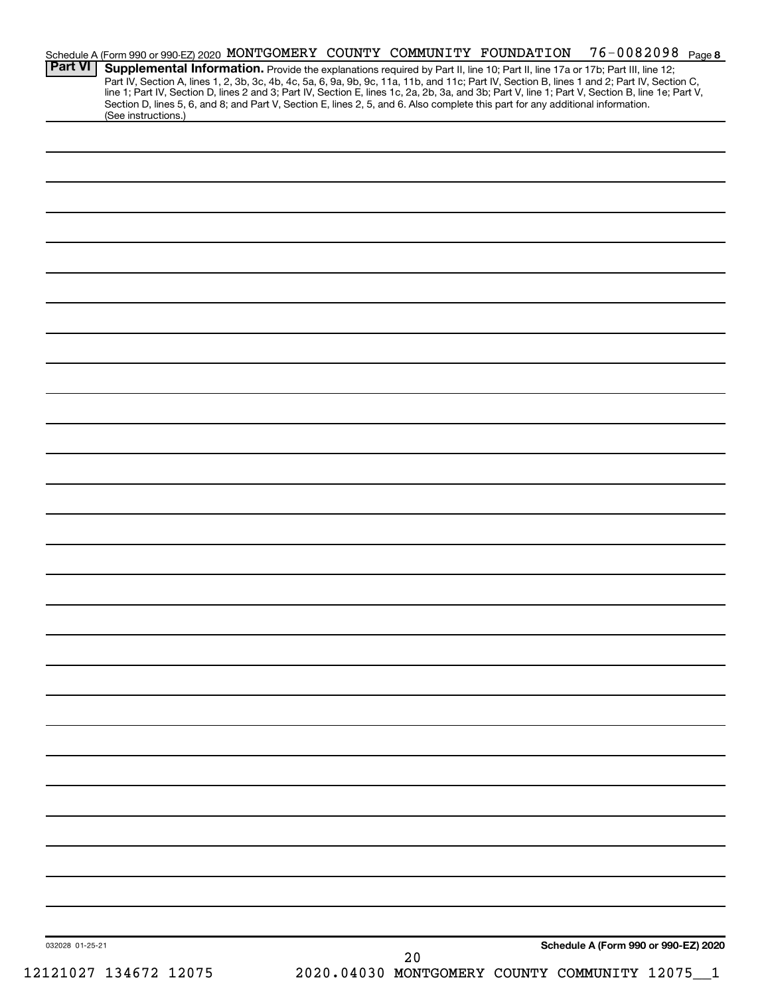|                 | Schedule A (Form 990 or 990-EZ) 2020 MONTGOMERY COUNTY COMMUNITY FOUNDATION                                                     |  |  |    |  | 76-0082098 Page 8                                                                                                                                                                                                                                                                                |  |
|-----------------|---------------------------------------------------------------------------------------------------------------------------------|--|--|----|--|--------------------------------------------------------------------------------------------------------------------------------------------------------------------------------------------------------------------------------------------------------------------------------------------------|--|
| <b>Part VI</b>  |                                                                                                                                 |  |  |    |  | Supplemental Information. Provide the explanations required by Part II, line 10; Part II, line 17a or 17b; Part III, line 12;                                                                                                                                                                    |  |
|                 |                                                                                                                                 |  |  |    |  | Part IV, Section A, lines 1, 2, 3b, 3c, 4b, 4c, 5a, 6, 9a, 9b, 9c, 11a, 11b, and 11c; Part IV, Section B, lines 1 and 2; Part IV, Section C,<br>line 1; Part IV, Section D, lines 2 and 3; Part IV, Section E, lines 1c, 2a, 2b, 3a, and 3b; Part V, line 1; Part V, Section B, line 1e; Part V, |  |
|                 | Section D, lines 5, 6, and 8; and Part V, Section E, lines 2, 5, and 6. Also complete this part for any additional information. |  |  |    |  |                                                                                                                                                                                                                                                                                                  |  |
|                 | (See instructions.)                                                                                                             |  |  |    |  |                                                                                                                                                                                                                                                                                                  |  |
|                 |                                                                                                                                 |  |  |    |  |                                                                                                                                                                                                                                                                                                  |  |
|                 |                                                                                                                                 |  |  |    |  |                                                                                                                                                                                                                                                                                                  |  |
|                 |                                                                                                                                 |  |  |    |  |                                                                                                                                                                                                                                                                                                  |  |
|                 |                                                                                                                                 |  |  |    |  |                                                                                                                                                                                                                                                                                                  |  |
|                 |                                                                                                                                 |  |  |    |  |                                                                                                                                                                                                                                                                                                  |  |
|                 |                                                                                                                                 |  |  |    |  |                                                                                                                                                                                                                                                                                                  |  |
|                 |                                                                                                                                 |  |  |    |  |                                                                                                                                                                                                                                                                                                  |  |
|                 |                                                                                                                                 |  |  |    |  |                                                                                                                                                                                                                                                                                                  |  |
|                 |                                                                                                                                 |  |  |    |  |                                                                                                                                                                                                                                                                                                  |  |
|                 |                                                                                                                                 |  |  |    |  |                                                                                                                                                                                                                                                                                                  |  |
|                 |                                                                                                                                 |  |  |    |  |                                                                                                                                                                                                                                                                                                  |  |
|                 |                                                                                                                                 |  |  |    |  |                                                                                                                                                                                                                                                                                                  |  |
|                 |                                                                                                                                 |  |  |    |  |                                                                                                                                                                                                                                                                                                  |  |
|                 |                                                                                                                                 |  |  |    |  |                                                                                                                                                                                                                                                                                                  |  |
|                 |                                                                                                                                 |  |  |    |  |                                                                                                                                                                                                                                                                                                  |  |
|                 |                                                                                                                                 |  |  |    |  |                                                                                                                                                                                                                                                                                                  |  |
|                 |                                                                                                                                 |  |  |    |  |                                                                                                                                                                                                                                                                                                  |  |
|                 |                                                                                                                                 |  |  |    |  |                                                                                                                                                                                                                                                                                                  |  |
|                 |                                                                                                                                 |  |  |    |  |                                                                                                                                                                                                                                                                                                  |  |
|                 |                                                                                                                                 |  |  |    |  |                                                                                                                                                                                                                                                                                                  |  |
|                 |                                                                                                                                 |  |  |    |  |                                                                                                                                                                                                                                                                                                  |  |
|                 |                                                                                                                                 |  |  |    |  |                                                                                                                                                                                                                                                                                                  |  |
|                 |                                                                                                                                 |  |  |    |  |                                                                                                                                                                                                                                                                                                  |  |
|                 |                                                                                                                                 |  |  |    |  |                                                                                                                                                                                                                                                                                                  |  |
|                 |                                                                                                                                 |  |  |    |  |                                                                                                                                                                                                                                                                                                  |  |
|                 |                                                                                                                                 |  |  |    |  |                                                                                                                                                                                                                                                                                                  |  |
|                 |                                                                                                                                 |  |  |    |  |                                                                                                                                                                                                                                                                                                  |  |
|                 |                                                                                                                                 |  |  |    |  |                                                                                                                                                                                                                                                                                                  |  |
|                 |                                                                                                                                 |  |  |    |  |                                                                                                                                                                                                                                                                                                  |  |
|                 |                                                                                                                                 |  |  |    |  |                                                                                                                                                                                                                                                                                                  |  |
|                 |                                                                                                                                 |  |  |    |  |                                                                                                                                                                                                                                                                                                  |  |
|                 |                                                                                                                                 |  |  |    |  |                                                                                                                                                                                                                                                                                                  |  |
|                 |                                                                                                                                 |  |  |    |  |                                                                                                                                                                                                                                                                                                  |  |
|                 |                                                                                                                                 |  |  |    |  |                                                                                                                                                                                                                                                                                                  |  |
|                 |                                                                                                                                 |  |  |    |  |                                                                                                                                                                                                                                                                                                  |  |
|                 |                                                                                                                                 |  |  |    |  |                                                                                                                                                                                                                                                                                                  |  |
|                 |                                                                                                                                 |  |  |    |  |                                                                                                                                                                                                                                                                                                  |  |
|                 |                                                                                                                                 |  |  |    |  |                                                                                                                                                                                                                                                                                                  |  |
|                 |                                                                                                                                 |  |  |    |  |                                                                                                                                                                                                                                                                                                  |  |
|                 |                                                                                                                                 |  |  |    |  |                                                                                                                                                                                                                                                                                                  |  |
|                 |                                                                                                                                 |  |  |    |  |                                                                                                                                                                                                                                                                                                  |  |
|                 |                                                                                                                                 |  |  |    |  |                                                                                                                                                                                                                                                                                                  |  |
|                 |                                                                                                                                 |  |  |    |  |                                                                                                                                                                                                                                                                                                  |  |
|                 |                                                                                                                                 |  |  |    |  |                                                                                                                                                                                                                                                                                                  |  |
|                 |                                                                                                                                 |  |  |    |  |                                                                                                                                                                                                                                                                                                  |  |
|                 |                                                                                                                                 |  |  |    |  |                                                                                                                                                                                                                                                                                                  |  |
|                 |                                                                                                                                 |  |  |    |  |                                                                                                                                                                                                                                                                                                  |  |
| 032028 01-25-21 |                                                                                                                                 |  |  | 20 |  | Schedule A (Form 990 or 990-EZ) 2020                                                                                                                                                                                                                                                             |  |
|                 |                                                                                                                                 |  |  |    |  |                                                                                                                                                                                                                                                                                                  |  |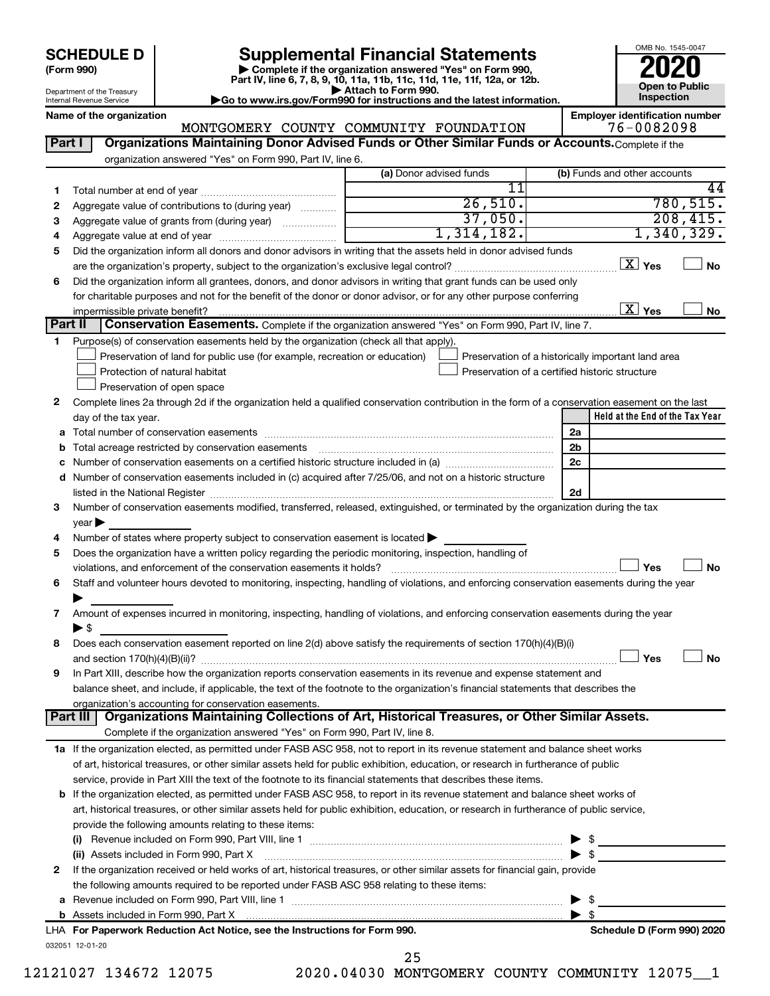Department of the Treasury Internal Revenue Service

| (Form 990) |  |
|------------|--|
|------------|--|

# **SCHEDULE D Supplemental Financial Statements**<br> **Form 990 2020**<br> **Part IV** line 6.7.8.9.10, 11a, 11b, 11d, 11d, 11d, 11d, 11d, 12a, 0r, 12b

**(Form 990) | Complete if the organization answered "Yes" on Form 990, Part IV, line 6, 7, 8, 9, 10, 11a, 11b, 11c, 11d, 11e, 11f, 12a, or 12b.**

**| Attach to Form 990. |Go to www.irs.gov/Form990 for instructions and the latest information.**

OMB No. 1545-0047 **Open to Public Inspection**

|         | Name of the organization                                                                                                                       | MONTGOMERY COUNTY COMMUNITY FOUNDATION | <b>Employer identification number</b><br>76-0082098 |
|---------|------------------------------------------------------------------------------------------------------------------------------------------------|----------------------------------------|-----------------------------------------------------|
| Part I  | Organizations Maintaining Donor Advised Funds or Other Similar Funds or Accounts. Complete if the                                              |                                        |                                                     |
|         | organization answered "Yes" on Form 990, Part IV, line 6.                                                                                      |                                        |                                                     |
|         |                                                                                                                                                | (a) Donor advised funds                | (b) Funds and other accounts                        |
|         |                                                                                                                                                | $\overline{11}$                        | 44                                                  |
| 1       | Aggregate value of contributions to (during year)                                                                                              | 26,510.                                | 780, 515.                                           |
| 2<br>З  |                                                                                                                                                | 37,050.                                | 208,415.                                            |
|         |                                                                                                                                                | 1,314,182.                             | 1,340,329.                                          |
| 4<br>5  | Did the organization inform all donors and donor advisors in writing that the assets held in donor advised funds                               |                                        |                                                     |
|         |                                                                                                                                                |                                        | $\boxed{\text{X}}$ Yes<br><b>No</b>                 |
| 6       | Did the organization inform all grantees, donors, and donor advisors in writing that grant funds can be used only                              |                                        |                                                     |
|         | for charitable purposes and not for the benefit of the donor or donor advisor, or for any other purpose conferring                             |                                        |                                                     |
|         | impermissible private benefit?                                                                                                                 |                                        | $\boxed{\text{X}}$ Yes<br>No                        |
| Part II | Conservation Easements. Complete if the organization answered "Yes" on Form 990, Part IV, line 7.                                              |                                        |                                                     |
| 1.      | Purpose(s) of conservation easements held by the organization (check all that apply).                                                          |                                        |                                                     |
|         | Preservation of land for public use (for example, recreation or education)                                                                     |                                        | Preservation of a historically important land area  |
|         | Protection of natural habitat                                                                                                                  |                                        | Preservation of a certified historic structure      |
|         | Preservation of open space                                                                                                                     |                                        |                                                     |
| 2       | Complete lines 2a through 2d if the organization held a qualified conservation contribution in the form of a conservation easement on the last |                                        |                                                     |
|         | day of the tax year.                                                                                                                           |                                        | Held at the End of the Tax Year                     |
| а       |                                                                                                                                                |                                        | 2a                                                  |
| b       |                                                                                                                                                |                                        | 2b                                                  |
| с       |                                                                                                                                                |                                        | 2c                                                  |
|         | d Number of conservation easements included in (c) acquired after 7/25/06, and not on a historic structure                                     |                                        |                                                     |
|         |                                                                                                                                                |                                        | 2d                                                  |
| З       | Number of conservation easements modified, transferred, released, extinguished, or terminated by the organization during the tax               |                                        |                                                     |
|         | year                                                                                                                                           |                                        |                                                     |
| 4       | Number of states where property subject to conservation easement is located >                                                                  |                                        |                                                     |
| 5       | Does the organization have a written policy regarding the periodic monitoring, inspection, handling of                                         |                                        |                                                     |
|         | violations, and enforcement of the conservation easements it holds?                                                                            |                                        | Yes<br><b>No</b>                                    |
| 6       | Staff and volunteer hours devoted to monitoring, inspecting, handling of violations, and enforcing conservation easements during the year      |                                        |                                                     |
|         |                                                                                                                                                |                                        |                                                     |
| 7       | Amount of expenses incurred in monitoring, inspecting, handling of violations, and enforcing conservation easements during the year            |                                        |                                                     |
|         | ► \$                                                                                                                                           |                                        |                                                     |
| 8       | Does each conservation easement reported on line 2(d) above satisfy the requirements of section 170(h)(4)(B)(i)                                |                                        |                                                     |
|         |                                                                                                                                                |                                        | Yes<br>No                                           |
|         | In Part XIII, describe how the organization reports conservation easements in its revenue and expense statement and                            |                                        |                                                     |
|         | balance sheet, and include, if applicable, the text of the footnote to the organization's financial statements that describes the              |                                        |                                                     |
|         | organization's accounting for conservation easements.                                                                                          |                                        |                                                     |
|         | Organizations Maintaining Collections of Art, Historical Treasures, or Other Similar Assets.<br>Part III                                       |                                        |                                                     |
|         | Complete if the organization answered "Yes" on Form 990, Part IV, line 8.                                                                      |                                        |                                                     |
|         | 1a If the organization elected, as permitted under FASB ASC 958, not to report in its revenue statement and balance sheet works                |                                        |                                                     |
|         | of art, historical treasures, or other similar assets held for public exhibition, education, or research in furtherance of public              |                                        |                                                     |
|         | service, provide in Part XIII the text of the footnote to its financial statements that describes these items.                                 |                                        |                                                     |
|         | <b>b</b> If the organization elected, as permitted under FASB ASC 958, to report in its revenue statement and balance sheet works of           |                                        |                                                     |
|         | art, historical treasures, or other similar assets held for public exhibition, education, or research in furtherance of public service,        |                                        |                                                     |
|         | provide the following amounts relating to these items:                                                                                         |                                        |                                                     |
|         |                                                                                                                                                |                                        | \$                                                  |
|         | (ii) Assets included in Form 990, Part X                                                                                                       |                                        | \$                                                  |
| 2       | If the organization received or held works of art, historical treasures, or other similar assets for financial gain, provide                   |                                        |                                                     |
|         | the following amounts required to be reported under FASB ASC 958 relating to these items:                                                      |                                        |                                                     |
| a       |                                                                                                                                                |                                        | \$                                                  |
|         |                                                                                                                                                |                                        | $\blacktriangleright$ s                             |
|         | LHA For Paperwork Reduction Act Notice, see the Instructions for Form 990.                                                                     |                                        | Schedule D (Form 990) 2020                          |
|         | 032051 12-01-20                                                                                                                                |                                        |                                                     |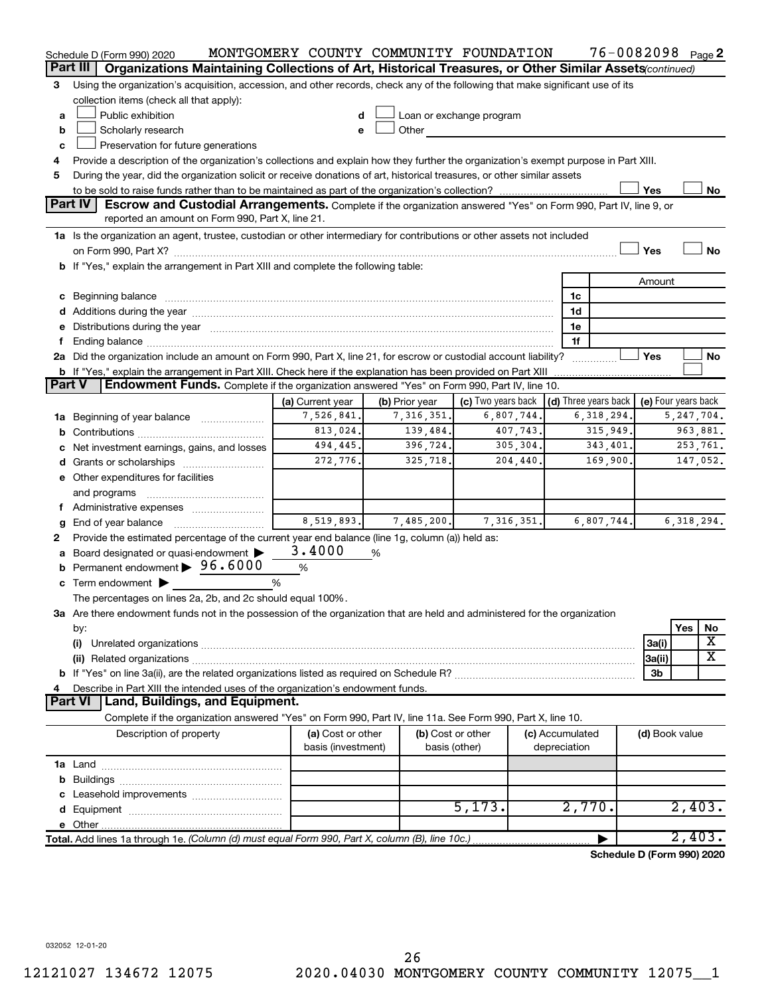|        | Schedule D (Form 990) 2020                                                                                                                                                                                                     | MONTGOMERY COUNTY COMMUNITY FOUNDATION        |                |                                                         |                 | 76-0082098 Page 2          |                     |              |                       |  |
|--------|--------------------------------------------------------------------------------------------------------------------------------------------------------------------------------------------------------------------------------|-----------------------------------------------|----------------|---------------------------------------------------------|-----------------|----------------------------|---------------------|--------------|-----------------------|--|
|        | Part III<br>Organizations Maintaining Collections of Art, Historical Treasures, or Other Similar Assets (continued)                                                                                                            |                                               |                |                                                         |                 |                            |                     |              |                       |  |
| 3      | Using the organization's acquisition, accession, and other records, check any of the following that make significant use of its                                                                                                |                                               |                |                                                         |                 |                            |                     |              |                       |  |
|        | collection items (check all that apply):                                                                                                                                                                                       |                                               |                |                                                         |                 |                            |                     |              |                       |  |
| a      | Public exhibition                                                                                                                                                                                                              |                                               |                | Loan or exchange program                                |                 |                            |                     |              |                       |  |
| b      | Scholarly research                                                                                                                                                                                                             | e                                             | Other          |                                                         |                 |                            |                     |              |                       |  |
| c      | Preservation for future generations                                                                                                                                                                                            |                                               |                |                                                         |                 |                            |                     |              |                       |  |
|        | Provide a description of the organization's collections and explain how they further the organization's exempt purpose in Part XIII.                                                                                           |                                               |                |                                                         |                 |                            |                     |              |                       |  |
| 5      | During the year, did the organization solicit or receive donations of art, historical treasures, or other similar assets                                                                                                       |                                               |                |                                                         |                 |                            |                     |              |                       |  |
|        |                                                                                                                                                                                                                                |                                               |                |                                                         |                 |                            | Yes                 |              | No                    |  |
|        | <b>Part IV</b><br><b>Escrow and Custodial Arrangements.</b> Complete if the organization answered "Yes" on Form 990, Part IV, line 9, or<br>reported an amount on Form 990, Part X, line 21.                                   |                                               |                |                                                         |                 |                            |                     |              |                       |  |
|        | 1a Is the organization an agent, trustee, custodian or other intermediary for contributions or other assets not included                                                                                                       |                                               |                |                                                         |                 |                            |                     |              |                       |  |
|        | Yes<br>No                                                                                                                                                                                                                      |                                               |                |                                                         |                 |                            |                     |              |                       |  |
|        | b If "Yes," explain the arrangement in Part XIII and complete the following table:                                                                                                                                             |                                               |                |                                                         |                 |                            |                     |              |                       |  |
|        |                                                                                                                                                                                                                                |                                               |                |                                                         |                 |                            | Amount              |              |                       |  |
|        |                                                                                                                                                                                                                                |                                               |                |                                                         |                 | 1c                         |                     |              |                       |  |
|        |                                                                                                                                                                                                                                |                                               |                |                                                         |                 | 1d                         |                     |              |                       |  |
|        | e Distributions during the year manufactured and continuum and contact the year manufactured and contact the year manufactured and contact the year manufactured and contact the year manufactured and contact the year manufa |                                               |                |                                                         |                 | 1е                         |                     |              |                       |  |
|        |                                                                                                                                                                                                                                |                                               |                |                                                         |                 | 1f                         |                     |              |                       |  |
|        | 2a Did the organization include an amount on Form 990, Part X, line 21, for escrow or custodial account liability?                                                                                                             |                                               |                |                                                         |                 |                            | Yes                 |              | No                    |  |
|        | <b>b</b> If "Yes," explain the arrangement in Part XIII. Check here if the explanation has been provided on Part XIII                                                                                                          |                                               |                |                                                         |                 |                            |                     |              |                       |  |
| Part V | Endowment Funds. Complete if the organization answered "Yes" on Form 990, Part IV, line 10.                                                                                                                                    |                                               |                |                                                         |                 |                            |                     |              |                       |  |
|        |                                                                                                                                                                                                                                | (a) Current year                              | (b) Prior year | (c) Two years back $\vert$ (d) Three years back $\vert$ |                 |                            | (e) Four years back |              |                       |  |
|        | <b>1a</b> Beginning of year balance                                                                                                                                                                                            | 7,526,841.                                    | 7,316,351.     | 6,807,744.                                              |                 | 6,318,294.                 |                     | 5, 247, 704. |                       |  |
|        |                                                                                                                                                                                                                                | 813,024.                                      | 139,484.       | 407,743.                                                |                 | 315,949.                   |                     |              | 963,881.              |  |
|        | c Net investment earnings, gains, and losses                                                                                                                                                                                   | 494,445.<br>396,724.<br>305, 304.<br>343,401. |                |                                                         |                 |                            |                     |              | 253,761.<br>147,052.  |  |
|        |                                                                                                                                                                                                                                | 272,776.                                      | 325,718.       | 204, 440.                                               |                 | 169,900.                   |                     |              |                       |  |
|        | e Other expenditures for facilities                                                                                                                                                                                            |                                               |                |                                                         |                 |                            |                     |              |                       |  |
|        | and programs                                                                                                                                                                                                                   |                                               |                |                                                         |                 |                            |                     |              |                       |  |
|        | f Administrative expenses                                                                                                                                                                                                      |                                               |                |                                                         |                 |                            |                     |              |                       |  |
| g      | End of year balance                                                                                                                                                                                                            | 8,519,893.                                    | 7,485,200.     | 7, 316, 351.                                            |                 | 6,807,744.                 |                     |              | 6, 318, 294.          |  |
| 2      | Provide the estimated percentage of the current year end balance (line 1g, column (a)) held as:                                                                                                                                | 3.4000                                        |                |                                                         |                 |                            |                     |              |                       |  |
|        | a Board designated or quasi-endowment ><br><b>b</b> Permanent endowment $\triangleright$ 96.6000                                                                                                                               |                                               | %              |                                                         |                 |                            |                     |              |                       |  |
|        |                                                                                                                                                                                                                                | %                                             |                |                                                         |                 |                            |                     |              |                       |  |
|        | $\mathbf c$ Term endowment $\blacktriangleright$                                                                                                                                                                               | %                                             |                |                                                         |                 |                            |                     |              |                       |  |
|        | The percentages on lines 2a, 2b, and 2c should equal 100%.                                                                                                                                                                     |                                               |                |                                                         |                 |                            |                     |              |                       |  |
|        | 3a Are there endowment funds not in the possession of the organization that are held and administered for the organization                                                                                                     |                                               |                |                                                         |                 |                            |                     |              |                       |  |
|        | by:                                                                                                                                                                                                                            |                                               |                |                                                         |                 |                            |                     | Yes          | No<br>X               |  |
|        | (i)                                                                                                                                                                                                                            |                                               |                |                                                         |                 |                            | 3a(i)               |              | $\overline{\text{X}}$ |  |
|        |                                                                                                                                                                                                                                |                                               |                |                                                         |                 |                            | 3a(ii)<br>3b        |              |                       |  |
|        | Describe in Part XIII the intended uses of the organization's endowment funds.                                                                                                                                                 |                                               |                |                                                         |                 |                            |                     |              |                       |  |
|        | Land, Buildings, and Equipment.<br><b>Part VI</b>                                                                                                                                                                              |                                               |                |                                                         |                 |                            |                     |              |                       |  |
|        | Complete if the organization answered "Yes" on Form 990, Part IV, line 11a. See Form 990, Part X, line 10.                                                                                                                     |                                               |                |                                                         |                 |                            |                     |              |                       |  |
|        | Description of property                                                                                                                                                                                                        | (a) Cost or other                             |                | (b) Cost or other                                       | (c) Accumulated |                            | (d) Book value      |              |                       |  |
|        |                                                                                                                                                                                                                                | basis (investment)                            |                | basis (other)                                           | depreciation    |                            |                     |              |                       |  |
|        |                                                                                                                                                                                                                                |                                               |                |                                                         |                 |                            |                     |              |                       |  |
|        |                                                                                                                                                                                                                                |                                               |                |                                                         |                 |                            |                     |              |                       |  |
|        |                                                                                                                                                                                                                                |                                               |                |                                                         |                 |                            |                     |              |                       |  |
|        |                                                                                                                                                                                                                                |                                               |                | 5,173.                                                  |                 | 2,770.                     |                     | 2,403.       |                       |  |
|        |                                                                                                                                                                                                                                |                                               |                |                                                         |                 |                            |                     |              |                       |  |
|        | Total. Add lines 1a through 1e. (Column (d) must equal Form 990, Part X, column (B), line 10c.)                                                                                                                                |                                               |                |                                                         |                 |                            |                     | 2,403.       |                       |  |
|        |                                                                                                                                                                                                                                |                                               |                |                                                         |                 | Schedule D (Form 990) 2020 |                     |              |                       |  |

032052 12-01-20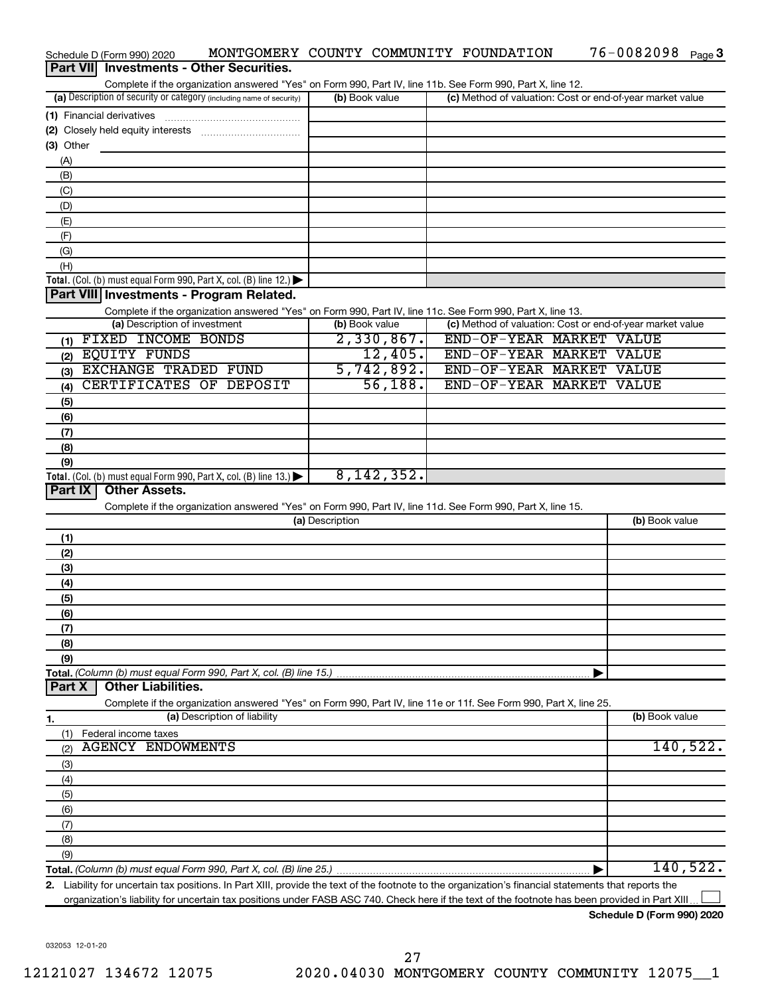|                  | Schedule D (Form 990) 2020                       | MONTGOMERY COUNTY COMMUNITY FOUNDATION                                                                                                               |                 |                |                                                           | $76 - 0082098$ Page 3 |          |
|------------------|--------------------------------------------------|------------------------------------------------------------------------------------------------------------------------------------------------------|-----------------|----------------|-----------------------------------------------------------|-----------------------|----------|
| <b>Part VIII</b> |                                                  | <b>Investments - Other Securities.</b>                                                                                                               |                 |                |                                                           |                       |          |
|                  |                                                  | Complete if the organization answered "Yes" on Form 990, Part IV, line 11b. See Form 990, Part X, line 12.                                           |                 |                |                                                           |                       |          |
|                  |                                                  | (a) Description of security or category (including name of security)                                                                                 |                 | (b) Book value | (c) Method of valuation: Cost or end-of-year market value |                       |          |
|                  | (1) Financial derivatives                        |                                                                                                                                                      |                 |                |                                                           |                       |          |
|                  |                                                  |                                                                                                                                                      |                 |                |                                                           |                       |          |
| (3) Other        |                                                  |                                                                                                                                                      |                 |                |                                                           |                       |          |
| (A)              |                                                  |                                                                                                                                                      |                 |                |                                                           |                       |          |
| (B)              |                                                  |                                                                                                                                                      |                 |                |                                                           |                       |          |
|                  |                                                  |                                                                                                                                                      |                 |                |                                                           |                       |          |
| (C)              |                                                  |                                                                                                                                                      |                 |                |                                                           |                       |          |
| (D)              |                                                  |                                                                                                                                                      |                 |                |                                                           |                       |          |
| (E)              |                                                  |                                                                                                                                                      |                 |                |                                                           |                       |          |
| (F)              |                                                  |                                                                                                                                                      |                 |                |                                                           |                       |          |
| (G)              |                                                  |                                                                                                                                                      |                 |                |                                                           |                       |          |
| (H)              |                                                  |                                                                                                                                                      |                 |                |                                                           |                       |          |
|                  |                                                  | Total. (Col. (b) must equal Form 990, Part X, col. (B) line 12.) $\blacktriangleright$                                                               |                 |                |                                                           |                       |          |
|                  |                                                  | Part VIII Investments - Program Related.                                                                                                             |                 |                |                                                           |                       |          |
|                  |                                                  | Complete if the organization answered "Yes" on Form 990, Part IV, line 11c. See Form 990, Part X, line 13.                                           |                 |                |                                                           |                       |          |
|                  | (a) Description of investment                    |                                                                                                                                                      |                 | (b) Book value | (c) Method of valuation: Cost or end-of-year market value |                       |          |
|                  | (1) FIXED INCOME BONDS                           |                                                                                                                                                      |                 | 2,330,867.     | END-OF-YEAR MARKET VALUE                                  |                       |          |
|                  | (2) EQUITY FUNDS                                 |                                                                                                                                                      |                 | 12,405.        | END-OF-YEAR MARKET VALUE                                  |                       |          |
|                  | (3) EXCHANGE TRADED FUND                         |                                                                                                                                                      |                 | 5,742,892.     | END-OF-YEAR MARKET VALUE                                  |                       |          |
| (4)              |                                                  | CERTIFICATES OF DEPOSIT                                                                                                                              |                 | 56,188.        | END-OF-YEAR MARKET VALUE                                  |                       |          |
| (5)              |                                                  |                                                                                                                                                      |                 |                |                                                           |                       |          |
| (6)              |                                                  |                                                                                                                                                      |                 |                |                                                           |                       |          |
|                  |                                                  |                                                                                                                                                      |                 |                |                                                           |                       |          |
| (7)              |                                                  |                                                                                                                                                      |                 |                |                                                           |                       |          |
| (8)              |                                                  |                                                                                                                                                      |                 |                |                                                           |                       |          |
| (9)              |                                                  |                                                                                                                                                      |                 | 8,142,352.     |                                                           |                       |          |
| Part IX          | <b>Other Assets.</b>                             | Total. (Col. (b) must equal Form 990, Part X, col. (B) line 13.) $\blacktriangleright$                                                               |                 |                |                                                           |                       |          |
|                  |                                                  |                                                                                                                                                      |                 |                |                                                           |                       |          |
|                  |                                                  | Complete if the organization answered "Yes" on Form 990, Part IV, line 11d. See Form 990, Part X, line 15.                                           |                 |                |                                                           |                       |          |
|                  |                                                  |                                                                                                                                                      | (a) Description |                |                                                           | (b) Book value        |          |
| (1)              |                                                  |                                                                                                                                                      |                 |                |                                                           |                       |          |
| (2)              |                                                  |                                                                                                                                                      |                 |                |                                                           |                       |          |
| (3)              |                                                  |                                                                                                                                                      |                 |                |                                                           |                       |          |
| (4)              |                                                  |                                                                                                                                                      |                 |                |                                                           |                       |          |
| (5)              |                                                  |                                                                                                                                                      |                 |                |                                                           |                       |          |
| (6)              |                                                  |                                                                                                                                                      |                 |                |                                                           |                       |          |
| (7)              |                                                  |                                                                                                                                                      |                 |                |                                                           |                       |          |
| (8)              |                                                  |                                                                                                                                                      |                 |                |                                                           |                       |          |
| (9)              |                                                  |                                                                                                                                                      |                 |                |                                                           |                       |          |
|                  |                                                  | Total. (Column (b) must equal Form 990, Part X, col. (B) line 15.)                                                                                   |                 |                |                                                           |                       |          |
| Part X           | <b>Other Liabilities.</b>                        |                                                                                                                                                      |                 |                |                                                           |                       |          |
|                  |                                                  | Complete if the organization answered "Yes" on Form 990, Part IV, line 11e or 11f. See Form 990, Part X, line 25.                                    |                 |                |                                                           |                       |          |
|                  |                                                  | (a) Description of liability                                                                                                                         |                 |                |                                                           | (b) Book value        |          |
| 1.               |                                                  |                                                                                                                                                      |                 |                |                                                           |                       |          |
| (1)              | Federal income taxes<br><b>AGENCY ENDOWMENTS</b> |                                                                                                                                                      |                 |                |                                                           |                       | 140,522. |
| (2)              |                                                  |                                                                                                                                                      |                 |                |                                                           |                       |          |
| (3)              |                                                  |                                                                                                                                                      |                 |                |                                                           |                       |          |
| (4)              |                                                  |                                                                                                                                                      |                 |                |                                                           |                       |          |
| (5)              |                                                  |                                                                                                                                                      |                 |                |                                                           |                       |          |
| (6)              |                                                  |                                                                                                                                                      |                 |                |                                                           |                       |          |
| (7)              |                                                  |                                                                                                                                                      |                 |                |                                                           |                       |          |
| (8)              |                                                  |                                                                                                                                                      |                 |                |                                                           |                       |          |
| (9)              |                                                  |                                                                                                                                                      |                 |                |                                                           |                       |          |
|                  |                                                  |                                                                                                                                                      |                 |                |                                                           |                       | 140,522. |
|                  |                                                  | 2. Liability for uncertain tax positions. In Part XIII, provide the text of the footnote to the organization's financial statements that reports the |                 |                |                                                           |                       |          |
|                  |                                                  | organization's liability for uncertain tax positions under FASB ASC 740. Check here if the text of the footnote has been provided in Part XIII.      |                 |                |                                                           |                       |          |

**Schedule D (Form 990) 2020**

76-0082098 Page 3

032053 12-01-20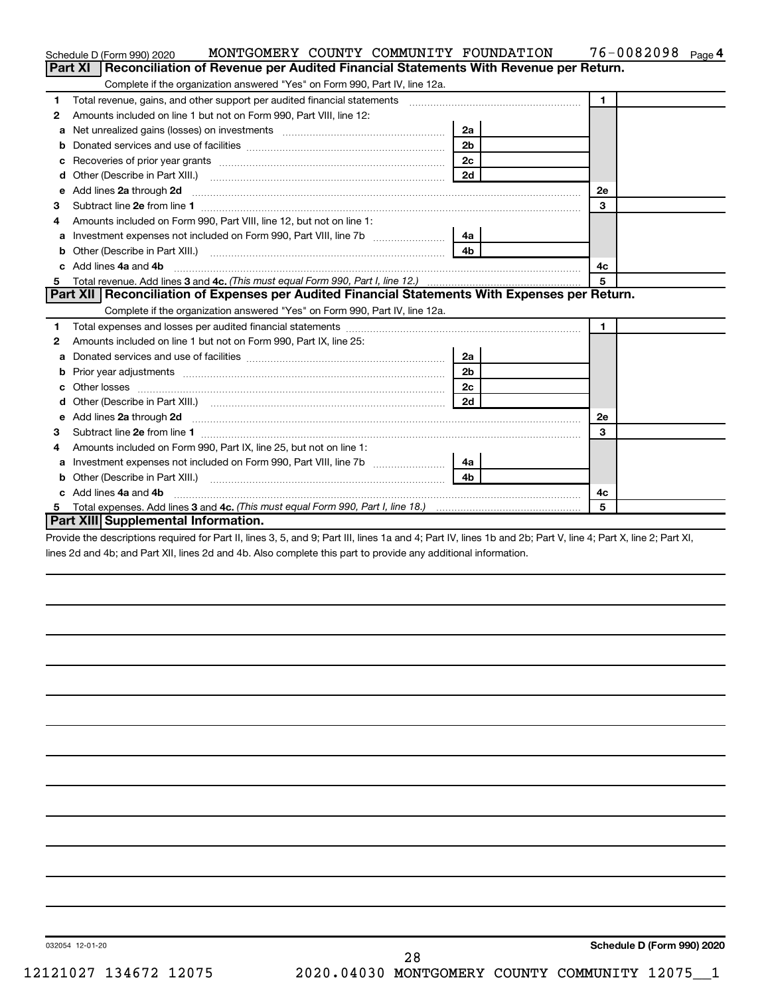|    | MONTGOMERY COUNTY COMMUNITY FOUNDATION<br>Schedule D (Form 990) 2020                                                                                         |                | $76 - 0082098$ Page 4 |
|----|--------------------------------------------------------------------------------------------------------------------------------------------------------------|----------------|-----------------------|
|    | Part XI   Reconciliation of Revenue per Audited Financial Statements With Revenue per Return.                                                                |                |                       |
|    | Complete if the organization answered "Yes" on Form 990, Part IV, line 12a.                                                                                  |                |                       |
| 1  | Total revenue, gains, and other support per audited financial statements [111] [11] Total revenue, gains, and other support per audited financial statements |                | $\mathbf{1}$          |
| 2  | Amounts included on line 1 but not on Form 990, Part VIII, line 12:                                                                                          |                |                       |
| a  | Net unrealized gains (losses) on investments [111] [12] matter and the unrealized gains (losses) on investments                                              | 2a             |                       |
|    |                                                                                                                                                              | 2 <sub>b</sub> |                       |
|    |                                                                                                                                                              |                |                       |
| d  |                                                                                                                                                              | 2d             |                       |
| е  | Add lines 2a through 2d                                                                                                                                      |                | 2е                    |
| 3  |                                                                                                                                                              |                | 3                     |
| 4  | Amounts included on Form 990, Part VIII, line 12, but not on line 1:                                                                                         |                |                       |
|    |                                                                                                                                                              | 4a             |                       |
| b  |                                                                                                                                                              |                |                       |
| c. | Add lines 4a and 4b                                                                                                                                          | 4с             |                       |
|    |                                                                                                                                                              |                | 5                     |
|    | Part XII   Reconciliation of Expenses per Audited Financial Statements With Expenses per Return.                                                             |                |                       |
|    | Complete if the organization answered "Yes" on Form 990, Part IV, line 12a.                                                                                  |                |                       |
| 1  |                                                                                                                                                              |                |                       |
|    |                                                                                                                                                              |                | $\mathbf{1}$          |
| 2  | Amounts included on line 1 but not on Form 990, Part IX, line 25:                                                                                            |                |                       |
| a  |                                                                                                                                                              | 2a             |                       |
| b  |                                                                                                                                                              | 2 <sub>b</sub> |                       |
| c  |                                                                                                                                                              | 2 <sub>c</sub> |                       |
|    |                                                                                                                                                              | 2d             |                       |
| е  |                                                                                                                                                              |                | 2е                    |
| 3  |                                                                                                                                                              |                | 3                     |
| 4  | Amounts included on Form 990, Part IX, line 25, but not on line 1:                                                                                           |                |                       |
| а  |                                                                                                                                                              | 4a l           |                       |
| b  |                                                                                                                                                              | 4b             |                       |
|    | Add lines 4a and 4b                                                                                                                                          |                | 4с                    |
|    | Part XIII Supplemental Information.                                                                                                                          |                | 5                     |

Provide the descriptions required for Part II, lines 3, 5, and 9; Part III, lines 1a and 4; Part IV, lines 1b and 2b; Part V, line 4; Part X, line 2; Part XI, lines 2d and 4b; and Part XII, lines 2d and 4b. Also complete this part to provide any additional information.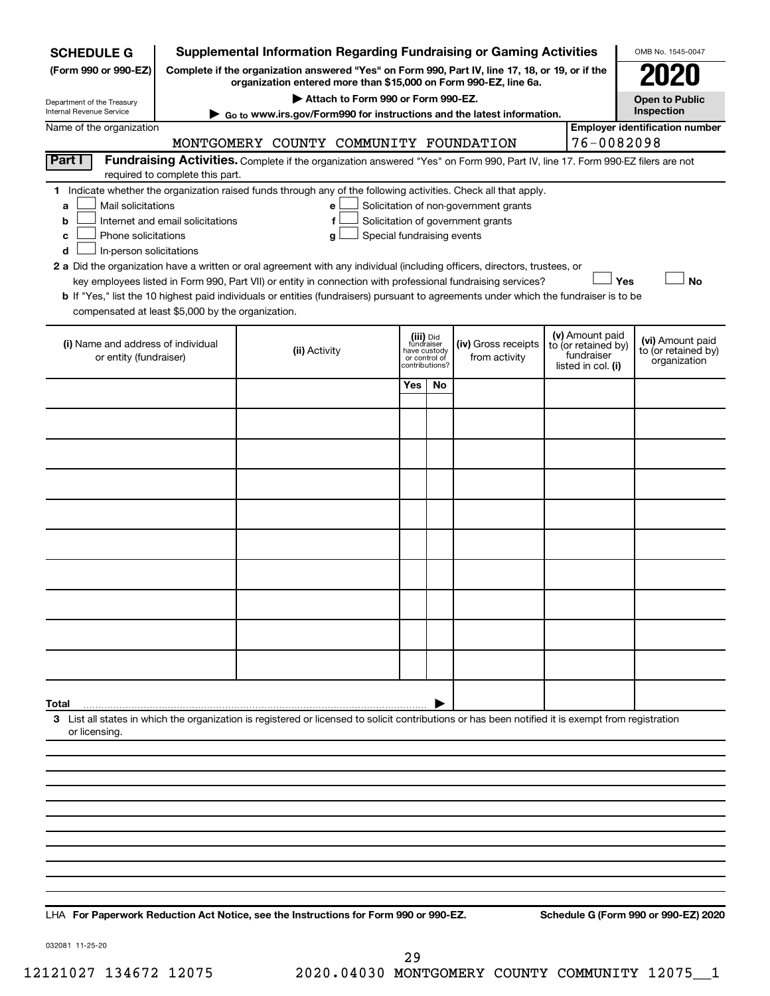| <b>Supplemental Information Regarding Fundraising or Gaming Activities</b><br>OMB No. 1545-0047<br><b>SCHEDULE G</b> |                                                                                                                                                                                     |                                                                                                                                                                     |                                                                            |     |                                      |  |                                                                            |                                                         |  |  |
|----------------------------------------------------------------------------------------------------------------------|-------------------------------------------------------------------------------------------------------------------------------------------------------------------------------------|---------------------------------------------------------------------------------------------------------------------------------------------------------------------|----------------------------------------------------------------------------|-----|--------------------------------------|--|----------------------------------------------------------------------------|---------------------------------------------------------|--|--|
| (Form 990 or 990-EZ)                                                                                                 |                                                                                                                                                                                     | Complete if the organization answered "Yes" on Form 990, Part IV, line 17, 18, or 19, or if the<br>organization entered more than \$15,000 on Form 990-EZ, line 6a. |                                                                            |     |                                      |  |                                                                            |                                                         |  |  |
| Department of the Treasury                                                                                           |                                                                                                                                                                                     | Attach to Form 990 or Form 990-EZ.                                                                                                                                  |                                                                            |     |                                      |  |                                                                            | <b>Open to Public</b>                                   |  |  |
| Internal Revenue Service                                                                                             |                                                                                                                                                                                     | ► Go to www.irs.gov/Form990 for instructions and the latest information.                                                                                            |                                                                            |     |                                      |  |                                                                            | Inspection                                              |  |  |
| Name of the organization                                                                                             |                                                                                                                                                                                     | MONTGOMERY COUNTY COMMUNITY FOUNDATION                                                                                                                              |                                                                            |     |                                      |  | 76-0082098                                                                 | <b>Employer identification number</b>                   |  |  |
| Part I                                                                                                               |                                                                                                                                                                                     | Fundraising Activities. Complete if the organization answered "Yes" on Form 990, Part IV, line 17. Form 990-EZ filers are not                                       |                                                                            |     |                                      |  |                                                                            |                                                         |  |  |
|                                                                                                                      | required to complete this part.                                                                                                                                                     |                                                                                                                                                                     |                                                                            |     |                                      |  |                                                                            |                                                         |  |  |
| a                                                                                                                    | 1 Indicate whether the organization raised funds through any of the following activities. Check all that apply.<br>Mail solicitations<br>Solicitation of non-government grants<br>е |                                                                                                                                                                     |                                                                            |     |                                      |  |                                                                            |                                                         |  |  |
| b                                                                                                                    | Internet and email solicitations<br>Solicitation of government grants<br>f                                                                                                          |                                                                                                                                                                     |                                                                            |     |                                      |  |                                                                            |                                                         |  |  |
| Phone solicitations<br>c                                                                                             |                                                                                                                                                                                     | Special fundraising events<br>g                                                                                                                                     |                                                                            |     |                                      |  |                                                                            |                                                         |  |  |
| In-person solicitations<br>d                                                                                         |                                                                                                                                                                                     | 2 a Did the organization have a written or oral agreement with any individual (including officers, directors, trustees, or                                          |                                                                            |     |                                      |  |                                                                            |                                                         |  |  |
|                                                                                                                      |                                                                                                                                                                                     | key employees listed in Form 990, Part VII) or entity in connection with professional fundraising services?                                                         |                                                                            |     |                                      |  | Yes                                                                        | <b>No</b>                                               |  |  |
|                                                                                                                      |                                                                                                                                                                                     | b If "Yes," list the 10 highest paid individuals or entities (fundraisers) pursuant to agreements under which the fundraiser is to be                               |                                                                            |     |                                      |  |                                                                            |                                                         |  |  |
| compensated at least \$5,000 by the organization.                                                                    |                                                                                                                                                                                     |                                                                                                                                                                     |                                                                            |     |                                      |  |                                                                            |                                                         |  |  |
| (i) Name and address of individual<br>or entity (fundraiser)                                                         |                                                                                                                                                                                     | (ii) Activity                                                                                                                                                       | (iii) Did<br>fundraiser<br>have custody<br>or control of<br>contributions? |     | (iv) Gross receipts<br>from activity |  | (v) Amount paid<br>to (or retained by)<br>fundraiser<br>listed in col. (i) | (vi) Amount paid<br>to (or retained by)<br>organization |  |  |
|                                                                                                                      |                                                                                                                                                                                     |                                                                                                                                                                     | Yes                                                                        | No. |                                      |  |                                                                            |                                                         |  |  |
|                                                                                                                      |                                                                                                                                                                                     |                                                                                                                                                                     |                                                                            |     |                                      |  |                                                                            |                                                         |  |  |
|                                                                                                                      |                                                                                                                                                                                     |                                                                                                                                                                     |                                                                            |     |                                      |  |                                                                            |                                                         |  |  |
|                                                                                                                      |                                                                                                                                                                                     |                                                                                                                                                                     |                                                                            |     |                                      |  |                                                                            |                                                         |  |  |
|                                                                                                                      |                                                                                                                                                                                     |                                                                                                                                                                     |                                                                            |     |                                      |  |                                                                            |                                                         |  |  |
|                                                                                                                      |                                                                                                                                                                                     |                                                                                                                                                                     |                                                                            |     |                                      |  |                                                                            |                                                         |  |  |
|                                                                                                                      |                                                                                                                                                                                     |                                                                                                                                                                     |                                                                            |     |                                      |  |                                                                            |                                                         |  |  |
|                                                                                                                      |                                                                                                                                                                                     |                                                                                                                                                                     |                                                                            |     |                                      |  |                                                                            |                                                         |  |  |
|                                                                                                                      |                                                                                                                                                                                     |                                                                                                                                                                     |                                                                            |     |                                      |  |                                                                            |                                                         |  |  |
|                                                                                                                      |                                                                                                                                                                                     |                                                                                                                                                                     |                                                                            |     |                                      |  |                                                                            |                                                         |  |  |
| Total                                                                                                                |                                                                                                                                                                                     |                                                                                                                                                                     |                                                                            |     |                                      |  |                                                                            |                                                         |  |  |
| or licensing.                                                                                                        |                                                                                                                                                                                     | 3 List all states in which the organization is registered or licensed to solicit contributions or has been notified it is exempt from registration                  |                                                                            |     |                                      |  |                                                                            |                                                         |  |  |
|                                                                                                                      |                                                                                                                                                                                     |                                                                                                                                                                     |                                                                            |     |                                      |  |                                                                            |                                                         |  |  |
|                                                                                                                      |                                                                                                                                                                                     |                                                                                                                                                                     |                                                                            |     |                                      |  |                                                                            |                                                         |  |  |
|                                                                                                                      |                                                                                                                                                                                     |                                                                                                                                                                     |                                                                            |     |                                      |  |                                                                            |                                                         |  |  |
|                                                                                                                      |                                                                                                                                                                                     |                                                                                                                                                                     |                                                                            |     |                                      |  |                                                                            |                                                         |  |  |
|                                                                                                                      |                                                                                                                                                                                     |                                                                                                                                                                     |                                                                            |     |                                      |  |                                                                            |                                                         |  |  |
|                                                                                                                      |                                                                                                                                                                                     |                                                                                                                                                                     |                                                                            |     |                                      |  |                                                                            |                                                         |  |  |
|                                                                                                                      |                                                                                                                                                                                     |                                                                                                                                                                     |                                                                            |     |                                      |  |                                                                            |                                                         |  |  |

**For Paperwork Reduction Act Notice, see the Instructions for Form 990 or 990-EZ. Schedule G (Form 990 or 990-EZ) 2020** LHA

032081 11-25-20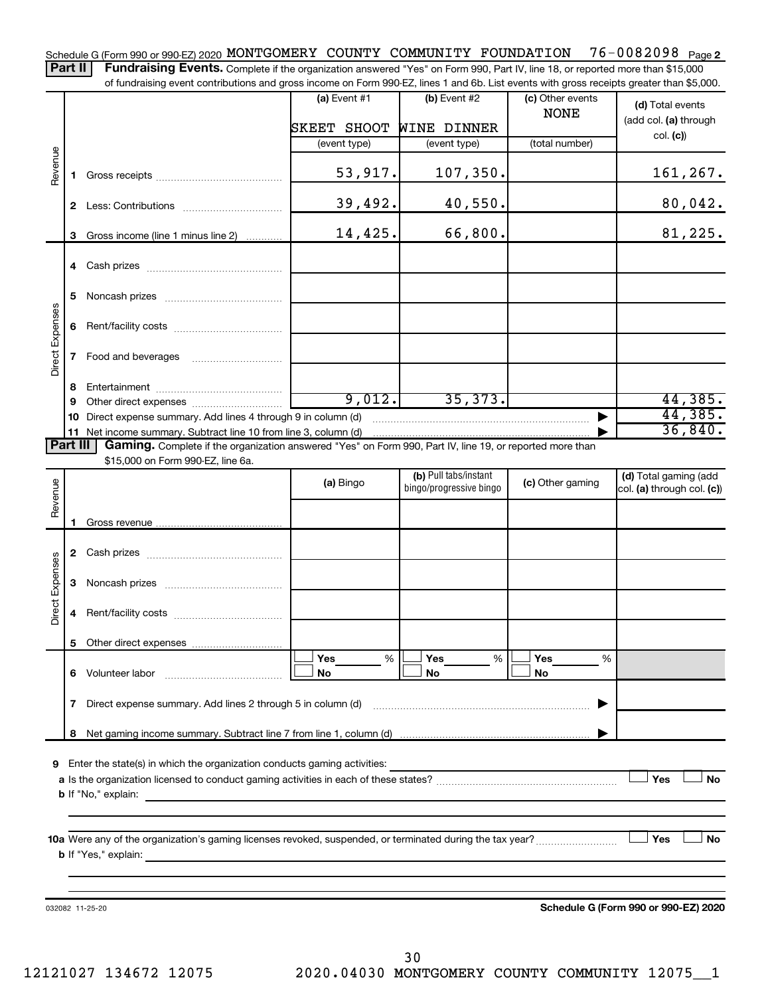76-0082098 Page 2 Schedule G (Form 990 or 990-EZ) 2020 MONTGOMERY COUNTY COMMUNITY FOUNDATION 76-0082098 Page Part II | Fundraising Events. Complete if the organization answered "Yes" on Form 990, Part IV, line 18, or reported more than \$15,000

of fundraising event contributions and gross income on Form 990-EZ, lines 1 and 6b. List events with gross receipts greater than \$5,000.

|                 |             |                                                                                                                                                                             | $(a)$ Event #1 | (b) Event #2                                     | (c) Other events | (d) Total events                                    |
|-----------------|-------------|-----------------------------------------------------------------------------------------------------------------------------------------------------------------------------|----------------|--------------------------------------------------|------------------|-----------------------------------------------------|
|                 |             |                                                                                                                                                                             |                |                                                  | <b>NONE</b>      | (add col. (a) through                               |
|                 |             |                                                                                                                                                                             | SKEET SHOOT    | <b>WINE DINNER</b>                               |                  | col. (c)                                            |
|                 |             |                                                                                                                                                                             | (event type)   | (event type)                                     | (total number)   |                                                     |
| Revenue         | $\mathbf 1$ |                                                                                                                                                                             | 53,917.        | 107,350.                                         |                  | 161,267.                                            |
|                 |             |                                                                                                                                                                             | 39,492.        | 40,550.                                          |                  | 80,042.                                             |
|                 | 3           | Gross income (line 1 minus line 2)                                                                                                                                          | 14,425.        | 66,800.                                          |                  | 81,225.                                             |
|                 |             |                                                                                                                                                                             |                |                                                  |                  |                                                     |
|                 | 5           |                                                                                                                                                                             |                |                                                  |                  |                                                     |
|                 | 6           |                                                                                                                                                                             |                |                                                  |                  |                                                     |
| Direct Expenses | 7           |                                                                                                                                                                             |                |                                                  |                  |                                                     |
|                 | 8           |                                                                                                                                                                             |                |                                                  |                  |                                                     |
|                 | 9           |                                                                                                                                                                             | 9,012.         | 35,373.                                          |                  | 44,385.                                             |
|                 | 10          | Direct expense summary. Add lines 4 through 9 in column (d)                                                                                                                 |                |                                                  |                  | 44,385.                                             |
| <b>Part III</b> |             | 11 Net income summary. Subtract line 10 from line 3, column (d)<br>Gaming. Complete if the organization answered "Yes" on Form 990, Part IV, line 19, or reported more than |                |                                                  |                  | 36,840.                                             |
|                 |             | \$15,000 on Form 990-EZ, line 6a.                                                                                                                                           |                |                                                  |                  |                                                     |
| Revenue         |             |                                                                                                                                                                             | (a) Bingo      | (b) Pull tabs/instant<br>bingo/progressive bingo | (c) Other gaming | (d) Total gaming (add<br>col. (a) through col. (c)) |
|                 |             |                                                                                                                                                                             |                |                                                  |                  |                                                     |
|                 | 1.          |                                                                                                                                                                             |                |                                                  |                  |                                                     |
|                 |             |                                                                                                                                                                             |                |                                                  |                  |                                                     |
| Direct Expenses | 3           |                                                                                                                                                                             |                |                                                  |                  |                                                     |
|                 | 4           |                                                                                                                                                                             |                |                                                  |                  |                                                     |
|                 |             |                                                                                                                                                                             |                |                                                  |                  |                                                     |
|                 |             |                                                                                                                                                                             | Yes<br>%       | Yes<br>%                                         | Yes<br>%         |                                                     |
|                 | 6           | Volunteer labor                                                                                                                                                             | No             | No                                               | No               |                                                     |
|                 | 7           | Direct expense summary. Add lines 2 through 5 in column (d)                                                                                                                 |                |                                                  |                  |                                                     |
|                 | 8           |                                                                                                                                                                             |                |                                                  |                  |                                                     |
|                 |             |                                                                                                                                                                             |                |                                                  |                  |                                                     |
| 9               |             | Enter the state(s) in which the organization conducts gaming activities:                                                                                                    |                |                                                  |                  | Yes<br><b>No</b>                                    |
|                 |             | <b>b</b> If "No," explain:                                                                                                                                                  |                |                                                  |                  |                                                     |
|                 |             |                                                                                                                                                                             |                |                                                  |                  |                                                     |
|                 |             |                                                                                                                                                                             |                |                                                  |                  |                                                     |
|                 |             |                                                                                                                                                                             |                |                                                  |                  | Yes<br>No                                           |
|                 |             | <b>b</b> If "Yes," explain:                                                                                                                                                 |                |                                                  |                  |                                                     |
|                 |             |                                                                                                                                                                             |                |                                                  |                  |                                                     |
|                 |             |                                                                                                                                                                             |                |                                                  |                  |                                                     |
|                 |             | 032082 11-25-20                                                                                                                                                             |                |                                                  |                  | Schedule G (Form 990 or 990-EZ) 2020                |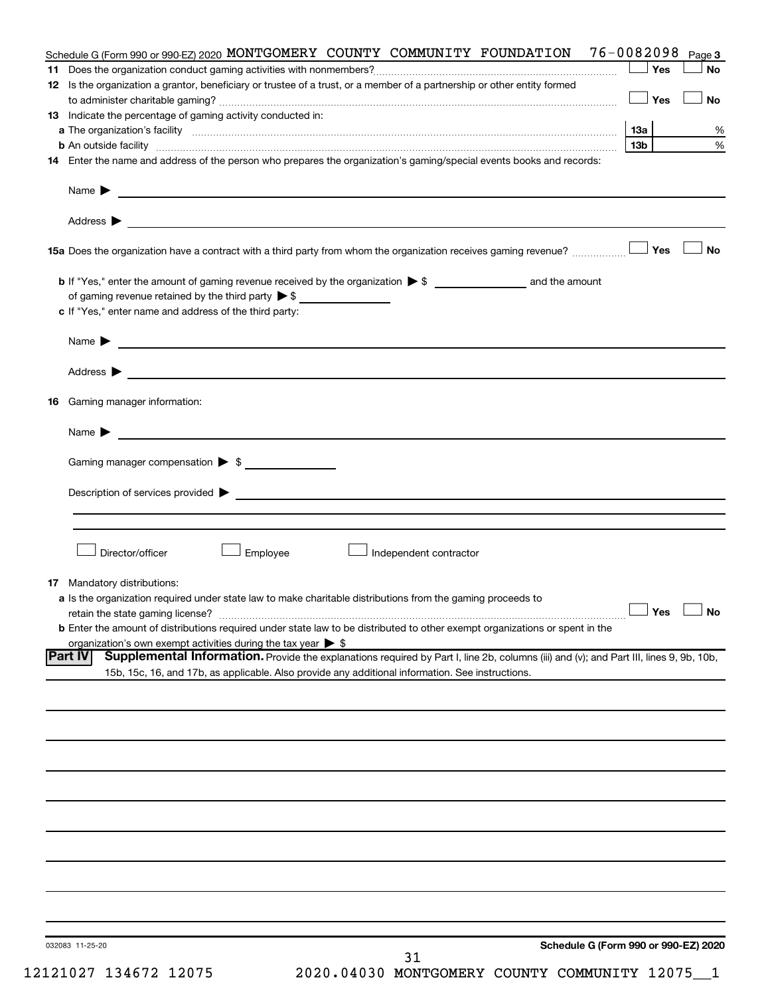|    | Schedule G (Form 990 or 990-EZ) 2020 MONTGOMERY COUNTY COMMUNITY FOUNDATION                                                                                                                                                                                  | 76-0082098      | Page 3               |
|----|--------------------------------------------------------------------------------------------------------------------------------------------------------------------------------------------------------------------------------------------------------------|-----------------|----------------------|
|    |                                                                                                                                                                                                                                                              | Yes             | <b>No</b>            |
|    | 12 Is the organization a grantor, beneficiary or trustee of a trust, or a member of a partnership or other entity formed                                                                                                                                     | Yes             | <b>No</b>            |
|    | 13 Indicate the percentage of gaming activity conducted in:                                                                                                                                                                                                  |                 |                      |
|    |                                                                                                                                                                                                                                                              | 13a             | %                    |
|    | <b>b</b> An outside facility <i>www.communicality www.communicality.communicality www.communicality www.communicality.communicality www.communicality.com</i>                                                                                                | 13 <sub>b</sub> | %                    |
|    | 14 Enter the name and address of the person who prepares the organization's gaming/special events books and records:                                                                                                                                         |                 |                      |
|    | Name $\blacktriangleright$<br><u> 1989 - Johann Barn, mars et al. (b. 1989)</u>                                                                                                                                                                              |                 |                      |
|    |                                                                                                                                                                                                                                                              |                 |                      |
|    |                                                                                                                                                                                                                                                              |                 | <b>No</b>            |
|    |                                                                                                                                                                                                                                                              |                 |                      |
|    | c If "Yes," enter name and address of the third party:                                                                                                                                                                                                       |                 |                      |
|    |                                                                                                                                                                                                                                                              |                 |                      |
|    | <u>and the contract of the contract of the contract of the contract of the contract of the contract of the contract of</u><br>Name $\blacktriangleright$                                                                                                     |                 |                      |
|    |                                                                                                                                                                                                                                                              |                 |                      |
| 16 | Gaming manager information:                                                                                                                                                                                                                                  |                 |                      |
|    | <u> 1989 - Johann Barbara, martin amerikan basal dan basal dan basal dan basal dan basal dan basal dan basal dan</u><br>Name $\blacktriangleright$                                                                                                           |                 |                      |
|    | Gaming manager compensation > \$                                                                                                                                                                                                                             |                 |                      |
|    | Description of services provided states and the contract of the contract of the contract of the contract of the contract of the contract of the contract of the contract of the contract of the contract of the contract of th                               |                 |                      |
|    |                                                                                                                                                                                                                                                              |                 |                      |
|    |                                                                                                                                                                                                                                                              |                 |                      |
|    | Director/officer<br>Employee<br>Independent contractor                                                                                                                                                                                                       |                 |                      |
|    | <b>17</b> Mandatory distributions:                                                                                                                                                                                                                           |                 |                      |
|    | a Is the organization required under state law to make charitable distributions from the gaming proceeds to                                                                                                                                                  |                 |                      |
|    | retain the state gaming license?                                                                                                                                                                                                                             |                 | $\Box$ Yes $\Box$ No |
|    | <b>b</b> Enter the amount of distributions required under state law to be distributed to other exempt organizations or spent in the                                                                                                                          |                 |                      |
|    | organization's own exempt activities during the tax year $\triangleright$ \$                                                                                                                                                                                 |                 |                      |
|    | <b>Part IV</b><br>Supplemental Information. Provide the explanations required by Part I, line 2b, columns (iii) and (v); and Part III, lines 9, 9b, 10b,<br>15b, 15c, 16, and 17b, as applicable. Also provide any additional information. See instructions. |                 |                      |
|    |                                                                                                                                                                                                                                                              |                 |                      |
|    |                                                                                                                                                                                                                                                              |                 |                      |
|    |                                                                                                                                                                                                                                                              |                 |                      |
|    |                                                                                                                                                                                                                                                              |                 |                      |
|    |                                                                                                                                                                                                                                                              |                 |                      |
|    |                                                                                                                                                                                                                                                              |                 |                      |
|    |                                                                                                                                                                                                                                                              |                 |                      |
|    |                                                                                                                                                                                                                                                              |                 |                      |
|    |                                                                                                                                                                                                                                                              |                 |                      |
|    |                                                                                                                                                                                                                                                              |                 |                      |
|    | Schedule G (Form 990 or 990-EZ) 2020<br>032083 11-25-20<br>31                                                                                                                                                                                                |                 |                      |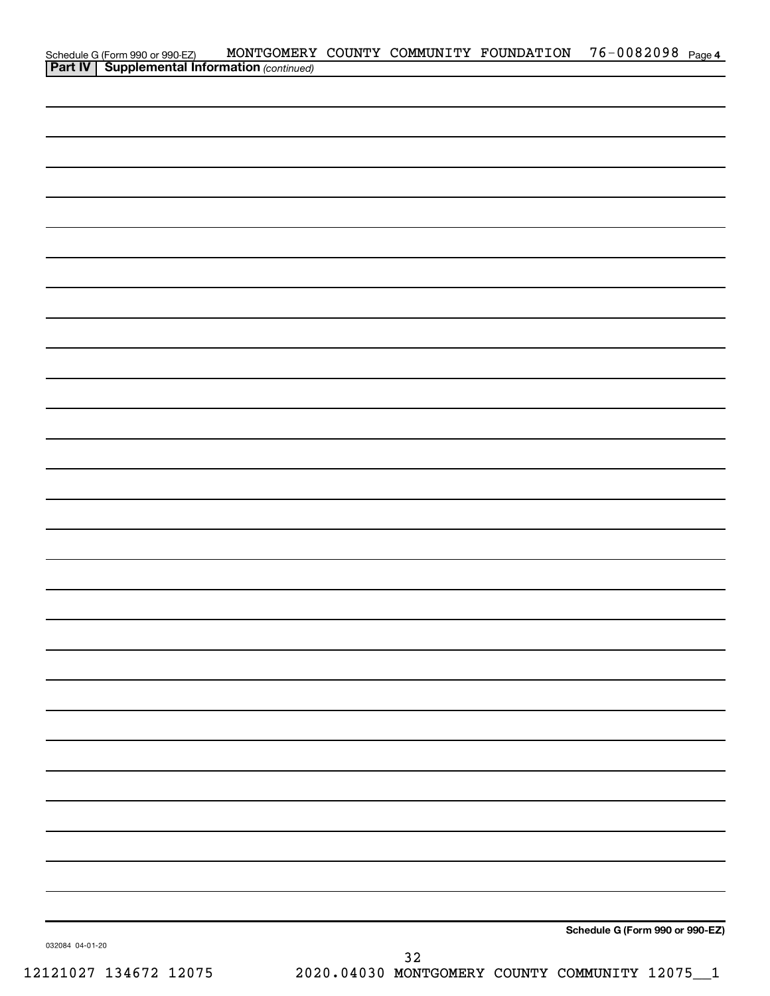|                 | Schedule G (Form 990 or 990-EZ) MONTGOMERY<br><b>Part IV   Supplemental Information</b> (continued) |  | MONTGOMERY COUNTY COMMUNITY FOUNDATION | 76-0082098 Page 4               |  |
|-----------------|-----------------------------------------------------------------------------------------------------|--|----------------------------------------|---------------------------------|--|
|                 |                                                                                                     |  |                                        |                                 |  |
|                 |                                                                                                     |  |                                        |                                 |  |
|                 |                                                                                                     |  |                                        |                                 |  |
|                 |                                                                                                     |  |                                        |                                 |  |
|                 |                                                                                                     |  |                                        |                                 |  |
|                 |                                                                                                     |  |                                        |                                 |  |
|                 |                                                                                                     |  |                                        |                                 |  |
|                 |                                                                                                     |  |                                        |                                 |  |
|                 |                                                                                                     |  |                                        |                                 |  |
|                 |                                                                                                     |  |                                        |                                 |  |
|                 |                                                                                                     |  |                                        |                                 |  |
|                 |                                                                                                     |  |                                        |                                 |  |
|                 |                                                                                                     |  |                                        |                                 |  |
|                 |                                                                                                     |  |                                        |                                 |  |
|                 |                                                                                                     |  |                                        |                                 |  |
|                 |                                                                                                     |  |                                        |                                 |  |
|                 |                                                                                                     |  |                                        |                                 |  |
|                 |                                                                                                     |  |                                        |                                 |  |
|                 |                                                                                                     |  |                                        |                                 |  |
|                 |                                                                                                     |  |                                        |                                 |  |
|                 |                                                                                                     |  |                                        |                                 |  |
|                 |                                                                                                     |  |                                        |                                 |  |
|                 |                                                                                                     |  |                                        |                                 |  |
|                 |                                                                                                     |  |                                        |                                 |  |
|                 |                                                                                                     |  |                                        |                                 |  |
|                 |                                                                                                     |  |                                        |                                 |  |
|                 |                                                                                                     |  |                                        |                                 |  |
|                 |                                                                                                     |  |                                        |                                 |  |
|                 |                                                                                                     |  |                                        |                                 |  |
|                 |                                                                                                     |  |                                        |                                 |  |
|                 |                                                                                                     |  |                                        |                                 |  |
|                 |                                                                                                     |  |                                        |                                 |  |
|                 |                                                                                                     |  |                                        |                                 |  |
|                 |                                                                                                     |  |                                        |                                 |  |
|                 |                                                                                                     |  |                                        |                                 |  |
|                 |                                                                                                     |  |                                        |                                 |  |
|                 |                                                                                                     |  |                                        |                                 |  |
|                 |                                                                                                     |  |                                        | Schedule G (Form 990 or 990-EZ) |  |
| 032084 04-01-20 |                                                                                                     |  |                                        |                                 |  |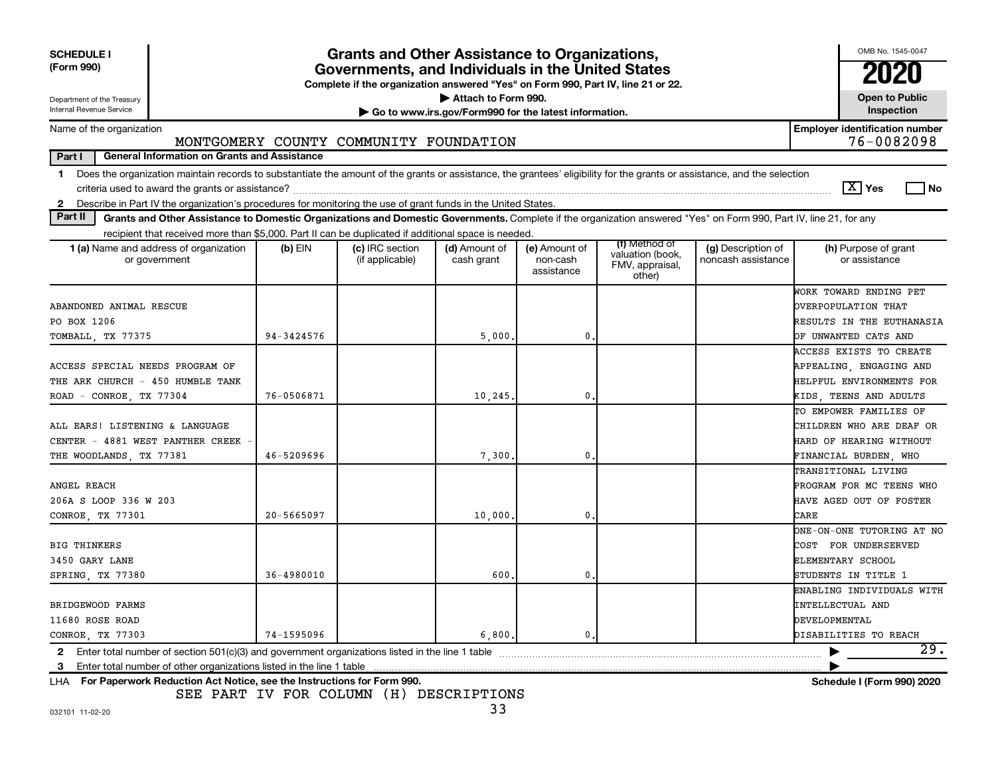| <b>SCHEDULE I</b><br>(Form 990)<br>Department of the Treasury<br>Internal Revenue Service                                                                                                                                                                                                                                 |                | <b>Grants and Other Assistance to Organizations,</b><br>Governments, and Individuals in the United States<br>Complete if the organization answered "Yes" on Form 990, Part IV, line 21 or 22. | Attach to Form 990.<br>Go to www.irs.gov/Form990 for the latest information. |                                         |                                                                |                                          | OMB No. 1545-0047<br>2020<br><b>Open to Public</b><br>Inspection                               |
|---------------------------------------------------------------------------------------------------------------------------------------------------------------------------------------------------------------------------------------------------------------------------------------------------------------------------|----------------|-----------------------------------------------------------------------------------------------------------------------------------------------------------------------------------------------|------------------------------------------------------------------------------|-----------------------------------------|----------------------------------------------------------------|------------------------------------------|------------------------------------------------------------------------------------------------|
| Name of the organization                                                                                                                                                                                                                                                                                                  |                |                                                                                                                                                                                               |                                                                              |                                         |                                                                |                                          | <b>Employer identification number</b>                                                          |
|                                                                                                                                                                                                                                                                                                                           |                | MONTGOMERY COUNTY COMMUNITY FOUNDATION                                                                                                                                                        |                                                                              |                                         |                                                                |                                          | 76-0082098                                                                                     |
| Part I<br>General Information on Grants and Assistance                                                                                                                                                                                                                                                                    |                |                                                                                                                                                                                               |                                                                              |                                         |                                                                |                                          |                                                                                                |
| Does the organization maintain records to substantiate the amount of the grants or assistance, the grantees' eligibility for the grants or assistance, and the selection<br>$\mathbf{1}$<br>Describe in Part IV the organization's procedures for monitoring the use of grant funds in the United States.<br>$\mathbf{2}$ |                |                                                                                                                                                                                               |                                                                              |                                         |                                                                |                                          | $\boxed{\text{X}}$ Yes<br>$\sqcap$ No                                                          |
| Part II<br>Grants and Other Assistance to Domestic Organizations and Domestic Governments. Complete if the organization answered "Yes" on Form 990, Part IV, line 21, for any                                                                                                                                             |                |                                                                                                                                                                                               |                                                                              |                                         |                                                                |                                          |                                                                                                |
| recipient that received more than \$5,000. Part II can be duplicated if additional space is needed                                                                                                                                                                                                                        |                |                                                                                                                                                                                               |                                                                              |                                         |                                                                |                                          |                                                                                                |
| 1 (a) Name and address of organization<br>or government                                                                                                                                                                                                                                                                   | $(b)$ EIN      | (c) IRC section<br>(if applicable)                                                                                                                                                            | (d) Amount of<br>cash grant                                                  | (e) Amount of<br>non-cash<br>assistance | (f) Method of<br>valuation (book,<br>FMV, appraisal,<br>other) | (g) Description of<br>noncash assistance | (h) Purpose of grant<br>or assistance                                                          |
| ABANDONED ANIMAL RESCUE<br>PO BOX 1206                                                                                                                                                                                                                                                                                    |                |                                                                                                                                                                                               |                                                                              |                                         |                                                                |                                          | WORK TOWARD ENDING PET<br>OVERPOPULATION THAT<br>RESULTS IN THE EUTHANASIA                     |
| TOMBALL, TX 77375                                                                                                                                                                                                                                                                                                         | $94 - 3424576$ |                                                                                                                                                                                               | 5,000                                                                        | $\mathbf{0}$                            |                                                                |                                          | OF UNWANTED CATS AND<br>ACCESS EXISTS TO CREATE                                                |
| ACCESS SPECIAL NEEDS PROGRAM OF<br>THE ARK CHURCH - 450 HUMBLE TANK                                                                                                                                                                                                                                                       | 76-0506871     |                                                                                                                                                                                               | 10, 245                                                                      | $\mathbf 0$                             |                                                                |                                          | APPEALING, ENGAGING AND<br>HELPFUL ENVIRONMENTS FOR<br>KIDS, TEENS AND ADULTS                  |
| ROAD - CONROE, TX 77304                                                                                                                                                                                                                                                                                                   |                |                                                                                                                                                                                               |                                                                              |                                         |                                                                |                                          | TO EMPOWER FAMILIES OF                                                                         |
| ALL EARS! LISTENING & LANGUAGE<br>CENTER - 4881 WEST PANTHER CREEK<br>THE WOODLANDS, TX 77381                                                                                                                                                                                                                             | 46-5209696     |                                                                                                                                                                                               | 7,300                                                                        | 0                                       |                                                                |                                          | CHILDREN WHO ARE DEAF OR<br>HARD OF HEARING WITHOUT<br>FINANCIAL BURDEN, WHO                   |
| ANGEL REACH<br>206A S LOOP 336 W 203<br>CONROE TX 77301                                                                                                                                                                                                                                                                   | 20-5665097     |                                                                                                                                                                                               | 10,000                                                                       | $\mathbf{0}$                            |                                                                |                                          | TRANSITIONAL LIVING<br>PROGRAM FOR MC TEENS WHO<br>HAVE AGED OUT OF FOSTER<br>CARE             |
| <b>BIG THINKERS</b><br>3450 GARY LANE<br>SPRING, TX 77380                                                                                                                                                                                                                                                                 | 36-4980010     |                                                                                                                                                                                               | 600                                                                          | 0                                       |                                                                |                                          | ONE-ON-ONE TUTORING AT NO<br>COST FOR UNDERSERVED<br>ELEMENTARY SCHOOL<br>STUDENTS IN TITLE 1  |
| BRIDGEWOOD FARMS<br>11680 ROSE ROAD<br>CONROE, TX 77303                                                                                                                                                                                                                                                                   | 74-1595096     |                                                                                                                                                                                               | 6,800.                                                                       | $\mathbf{0}$                            |                                                                |                                          | ENABLING INDIVIDUALS WITH<br>INTELLECTUAL AND<br><b>DEVELOPMENTAL</b><br>DISABILITIES TO REACH |
| Enter total number of section $501(c)(3)$ and government organizations listed in the line 1 table<br>2                                                                                                                                                                                                                    |                |                                                                                                                                                                                               |                                                                              |                                         |                                                                |                                          | 29.                                                                                            |
| 3<br>LHA For Paperwork Reduction Act Notice, see the Instructions for Form 990.                                                                                                                                                                                                                                           |                |                                                                                                                                                                                               |                                                                              |                                         |                                                                |                                          | Schedule I (Form 990) 2020                                                                     |

SEE PART IV FOR COLUMN (H) DESCRIPTIONS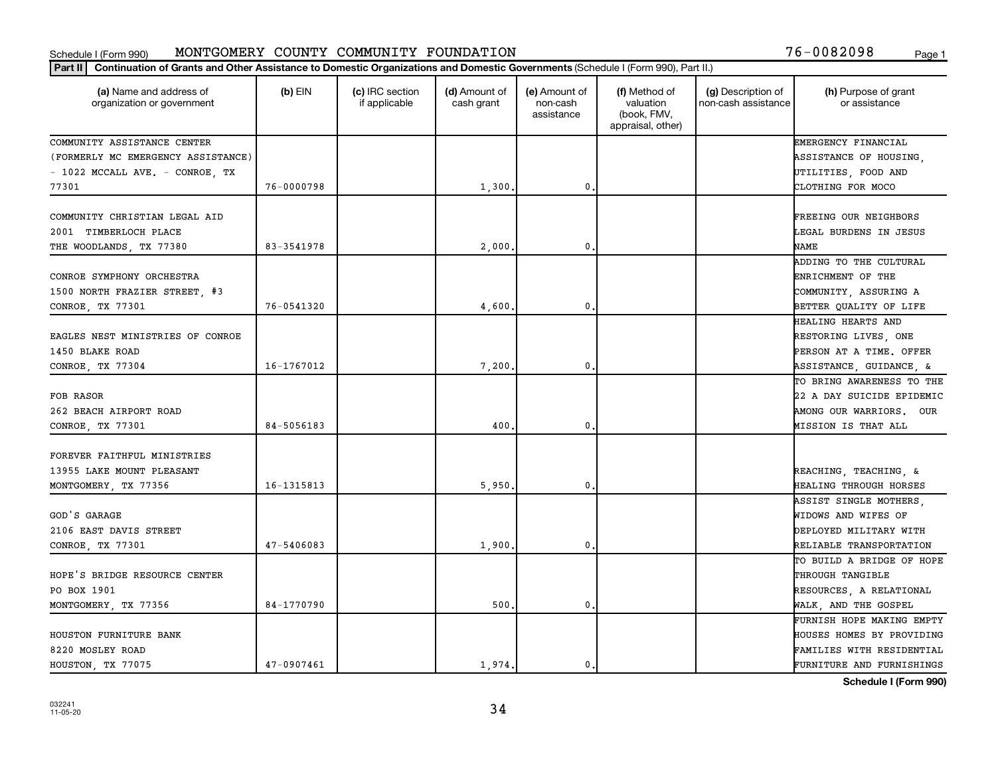#### Schedule I (Form 990) MONTGOMERY COUNTY COMMUNITY FOUNDATION Page 1 MONTGOMERY COUNTY COMMUNITY FOUNDATION 76-0082098

|  |  |  |  | 76-0082098 |  | Page |
|--|--|--|--|------------|--|------|
|--|--|--|--|------------|--|------|

| Part II   Continuation of Grants and Other Assistance to Domestic Organizations and Domestic Governments (Schedule I (Form 990), Part II.) |            |                                  |                             |                                         |                                                                |                                           |                                                                                                          |
|--------------------------------------------------------------------------------------------------------------------------------------------|------------|----------------------------------|-----------------------------|-----------------------------------------|----------------------------------------------------------------|-------------------------------------------|----------------------------------------------------------------------------------------------------------|
| (a) Name and address of<br>organization or government                                                                                      | $(b)$ EIN  | (c) IRC section<br>if applicable | (d) Amount of<br>cash grant | (e) Amount of<br>non-cash<br>assistance | (f) Method of<br>valuation<br>(book, FMV,<br>appraisal, other) | (g) Description of<br>non-cash assistance | (h) Purpose of grant<br>or assistance                                                                    |
| COMMUNITY ASSISTANCE CENTER                                                                                                                |            |                                  |                             |                                         |                                                                |                                           | EMERGENCY FINANCIAL                                                                                      |
| (FORMERLY MC EMERGENCY ASSISTANCE)                                                                                                         |            |                                  |                             |                                         |                                                                |                                           | ASSISTANCE OF HOUSING,                                                                                   |
| - 1022 MCCALL AVE. - CONROE, TX                                                                                                            |            |                                  |                             |                                         |                                                                |                                           | UTILITIES, FOOD AND                                                                                      |
| 77301                                                                                                                                      | 76-0000798 |                                  | 1,300                       | $\mathbf 0$                             |                                                                |                                           | CLOTHING FOR MOCO                                                                                        |
| COMMUNITY CHRISTIAN LEGAL AID<br>2001 TIMBERLOCH PLACE                                                                                     |            |                                  |                             |                                         |                                                                |                                           | <b>FREEING OUR NEIGHBORS</b><br>LEGAL BURDENS IN JESUS                                                   |
| THE WOODLANDS, TX 77380                                                                                                                    | 83-3541978 |                                  | 2,000                       | $\mathbf{0}$                            |                                                                |                                           | <b>NAME</b>                                                                                              |
| CONROE SYMPHONY ORCHESTRA<br>1500 NORTH FRAZIER STREET, #3                                                                                 |            |                                  |                             |                                         |                                                                |                                           | ADDING TO THE CULTURAL<br>ENRICHMENT OF THE<br>COMMUNITY, ASSURING A                                     |
| CONROE, TX 77301                                                                                                                           | 76-0541320 |                                  | 4,600                       | $\mathbf{0}$                            |                                                                |                                           | BETTER QUALITY OF LIFE                                                                                   |
| EAGLES NEST MINISTRIES OF CONROE<br>1450 BLAKE ROAD                                                                                        |            |                                  |                             |                                         |                                                                |                                           | HEALING HEARTS AND<br>RESTORING LIVES, ONE<br>PERSON AT A TIME. OFFER                                    |
| CONROE, TX 77304                                                                                                                           | 16-1767012 |                                  | 7,200                       | $\mathbf{0}$                            |                                                                |                                           | ASSISTANCE, GUIDANCE, &                                                                                  |
| FOB RASOR<br>262 BEACH AIRPORT ROAD<br>CONROE, TX 77301                                                                                    | 84-5056183 |                                  | 400                         | $\mathbf 0$                             |                                                                |                                           | TO BRING AWARENESS TO THE<br>22 A DAY SUICIDE EPIDEMIC<br>AMONG OUR WARRIORS. OUR<br>MISSION IS THAT ALL |
| FOREVER FAITHFUL MINISTRIES                                                                                                                |            |                                  |                             |                                         |                                                                |                                           |                                                                                                          |
| 13955 LAKE MOUNT PLEASANT<br>MONTGOMERY, TX 77356                                                                                          | 16-1315813 |                                  | 5,950                       | $\mathbf 0$                             |                                                                |                                           | REACHING, TEACHING, &<br>HEALING THROUGH HORSES                                                          |
| GOD'S GARAGE<br>2106 EAST DAVIS STREET<br>CONROE, TX 77301                                                                                 | 47-5406083 |                                  | 1,900                       | 0.                                      |                                                                |                                           | ASSIST SINGLE MOTHERS,<br>WIDOWS AND WIFES OF<br>DEPLOYED MILITARY WITH<br>RELIABLE TRANSPORTATION       |
| HOPE'S BRIDGE RESOURCE CENTER                                                                                                              |            |                                  |                             |                                         |                                                                |                                           | TO BUILD A BRIDGE OF HOPE<br>THROUGH TANGIBLE                                                            |
| PO BOX 1901                                                                                                                                |            |                                  |                             |                                         |                                                                |                                           | RESOURCES, A RELATIONAL                                                                                  |
| MONTGOMERY, TX 77356                                                                                                                       | 84-1770790 |                                  | 500                         | $\mathbf 0$                             |                                                                |                                           | WALK, AND THE GOSPEL                                                                                     |
|                                                                                                                                            |            |                                  |                             |                                         |                                                                |                                           | FURNISH HOPE MAKING EMPTY                                                                                |
| HOUSTON FURNITURE BANK                                                                                                                     |            |                                  |                             |                                         |                                                                |                                           | HOUSES HOMES BY PROVIDING                                                                                |
| 8220 MOSLEY ROAD                                                                                                                           |            |                                  |                             |                                         |                                                                |                                           | FAMILIES WITH RESIDENTIAL                                                                                |
| HOUSTON, TX 77075                                                                                                                          | 47-0907461 |                                  | 1.974.                      | 0.                                      |                                                                |                                           | FURNITURE AND FURNISHINGS                                                                                |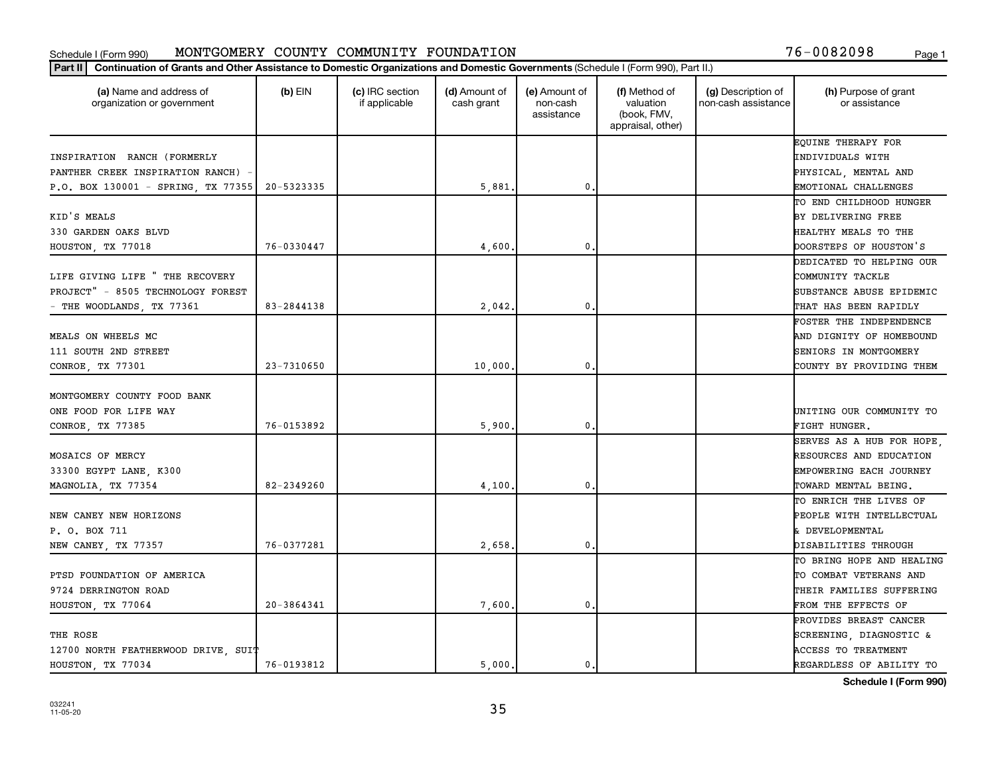#### Schedule I (Form 990) MONTGOMERY COUNTY COMMUNITY FOUNDATION Page 1 MONTGOMERY COUNTY COMMUNITY FOUNDATION 76-0082098

| (a) Name and address of<br>organization or government | $(b)$ EIN      | (c) IRC section<br>if applicable | (d) Amount of<br>cash grant | (e) Amount of<br>non-cash<br>assistance | (f) Method of<br>valuation<br>(book, FMV,<br>appraisal, other) | (g) Description of<br>non-cash assistance | (h) Purpose of grant<br>or assistance |
|-------------------------------------------------------|----------------|----------------------------------|-----------------------------|-----------------------------------------|----------------------------------------------------------------|-------------------------------------------|---------------------------------------|
|                                                       |                |                                  |                             |                                         |                                                                |                                           | EQUINE THERAPY FOR                    |
| INSPIRATION RANCH (FORMERLY                           |                |                                  |                             |                                         |                                                                |                                           | INDIVIDUALS WITH                      |
| PANTHER CREEK INSPIRATION RANCH)                      |                |                                  |                             |                                         |                                                                |                                           | PHYSICAL, MENTAL AND                  |
| P.O. BOX 130001 - SPRING, TX 77355                    | 20-5323335     |                                  | 5,881                       | $\mathbf{0}$                            |                                                                |                                           | EMOTIONAL CHALLENGES                  |
|                                                       |                |                                  |                             |                                         |                                                                |                                           | TO END CHILDHOOD HUNGER               |
| KID'S MEALS                                           |                |                                  |                             |                                         |                                                                |                                           | BY DELIVERING FREE                    |
| 330 GARDEN OAKS BLVD                                  |                |                                  |                             |                                         |                                                                |                                           | HEALTHY MEALS TO THE                  |
| HOUSTON, TX 77018                                     | 76-0330447     |                                  | 4,600                       | $\mathbf 0$                             |                                                                |                                           | DOORSTEPS OF HOUSTON'S                |
|                                                       |                |                                  |                             |                                         |                                                                |                                           | DEDICATED TO HELPING OUR              |
| LIFE GIVING LIFE " THE RECOVERY                       |                |                                  |                             |                                         |                                                                |                                           | COMMUNITY TACKLE                      |
| PROJECT" - 8505 TECHNOLOGY FOREST                     |                |                                  |                             |                                         |                                                                |                                           | SUBSTANCE ABUSE EPIDEMIC              |
| - THE WOODLANDS, TX 77361                             | 83-2844138     |                                  | 2,042                       | 0.                                      |                                                                |                                           | THAT HAS BEEN RAPIDLY                 |
|                                                       |                |                                  |                             |                                         |                                                                |                                           | FOSTER THE INDEPENDENCE               |
| MEALS ON WHEELS MC                                    |                |                                  |                             |                                         |                                                                |                                           | AND DIGNITY OF HOMEBOUND              |
| 111 SOUTH 2ND STREET                                  |                |                                  |                             |                                         |                                                                |                                           | SENIORS IN MONTGOMERY                 |
| CONROE, TX 77301                                      | 23-7310650     |                                  | 10,000                      | 0.                                      |                                                                |                                           | COUNTY BY PROVIDING THEM              |
| MONTGOMERY COUNTY FOOD BANK                           |                |                                  |                             |                                         |                                                                |                                           |                                       |
| ONE FOOD FOR LIFE WAY                                 |                |                                  |                             |                                         |                                                                |                                           | UNITING OUR COMMUNITY TO              |
| CONROE, TX 77385                                      | 76-0153892     |                                  | 5,900                       | $\mathbf 0$                             |                                                                |                                           | FIGHT HUNGER.                         |
|                                                       |                |                                  |                             |                                         |                                                                |                                           | SERVES AS A HUB FOR HOPE,             |
| MOSAICS OF MERCY                                      |                |                                  |                             |                                         |                                                                |                                           | RESOURCES AND EDUCATION               |
| 33300 EGYPT LANE, K300                                |                |                                  |                             |                                         |                                                                |                                           | EMPOWERING EACH JOURNEY               |
| MAGNOLIA, TX 77354                                    | 82-2349260     |                                  | 4,100                       | $\mathbf{0}$                            |                                                                |                                           | TOWARD MENTAL BEING.                  |
|                                                       |                |                                  |                             |                                         |                                                                |                                           | TO ENRICH THE LIVES OF                |
| NEW CANEY NEW HORIZONS                                |                |                                  |                             |                                         |                                                                |                                           | PEOPLE WITH INTELLECTUAL              |
| P. O. BOX 711                                         |                |                                  |                             |                                         |                                                                |                                           | & DEVELOPMENTAL                       |
| NEW CANEY, TX 77357                                   | 76-0377281     |                                  | 2,658                       | $\mathbf{0}$ .                          |                                                                |                                           | DISABILITIES THROUGH                  |
|                                                       |                |                                  |                             |                                         |                                                                |                                           | TO BRING HOPE AND HEALING             |
| PTSD FOUNDATION OF AMERICA                            |                |                                  |                             |                                         |                                                                |                                           | TO COMBAT VETERANS AND                |
| 9724 DERRINGTON ROAD                                  |                |                                  |                             |                                         |                                                                |                                           | THEIR FAMILIES SUFFERING              |
| HOUSTON, TX 77064                                     | $20 - 3864341$ |                                  | 7,600                       | $\mathbf{0}$                            |                                                                |                                           | FROM THE EFFECTS OF                   |
|                                                       |                |                                  |                             |                                         |                                                                |                                           | PROVIDES BREAST CANCER                |
| THE ROSE                                              |                |                                  |                             |                                         |                                                                |                                           | SCREENING, DIAGNOSTIC &               |
| 12700 NORTH FEATHERWOOD DRIVE, SUIT                   |                |                                  |                             |                                         |                                                                |                                           | ACCESS TO TREATMENT                   |
| HOUSTON, TX 77034                                     | 76-0193812     |                                  | 5000.                       | $\mathbf{0}$ .                          |                                                                |                                           | REGARDLESS OF ABILITY TO              |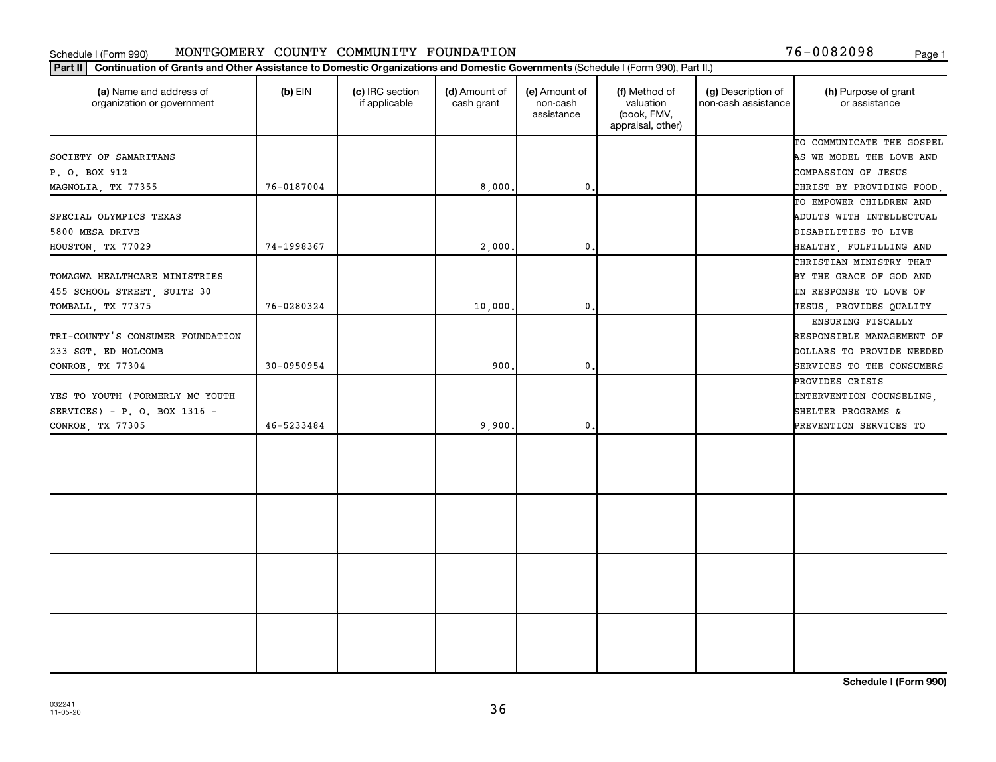### **Part III Continuation of Grants and Other Assistance to Domestic Organizations and Domestic Governments (Schedule LGG)** Schedule I (Form 990) MONTGOMERY COUNTY COMMUNITY FOUNDATION 76-0082098 <sub>Page 1</sub>

|  | 76-0082098 |  | Page |
|--|------------|--|------|
|  |            |  |      |

| (h) Purpose of grant<br>or assistance |
|---------------------------------------|
| TO COMMUNICATE THE GOSPEL             |
| AS WE MODEL THE LOVE AND              |
| COMPASSION OF JESUS                   |
| CHRIST BY PROVIDING FOOD,             |
| TO EMPOWER CHILDREN AND               |
| ADULTS WITH INTELLECTUAL              |
| DISABILITIES TO LIVE                  |
| HEALTHY, FULFILLING AND               |
| CHRISTIAN MINISTRY THAT               |
| BY THE GRACE OF GOD AND               |
| IN RESPONSE TO LOVE OF                |
| JESUS, PROVIDES QUALITY               |
| ENSURING FISCALLY                     |
| RESPONSIBLE MANAGEMENT OF             |
| DOLLARS TO PROVIDE NEEDED             |
| SERVICES TO THE CONSUMERS             |
|                                       |
| INTERVENTION COUNSELING,              |
| SHELTER PROGRAMS &                    |
| PREVENTION SERVICES TO                |
|                                       |
|                                       |
|                                       |
|                                       |
|                                       |
|                                       |
|                                       |
|                                       |
|                                       |
|                                       |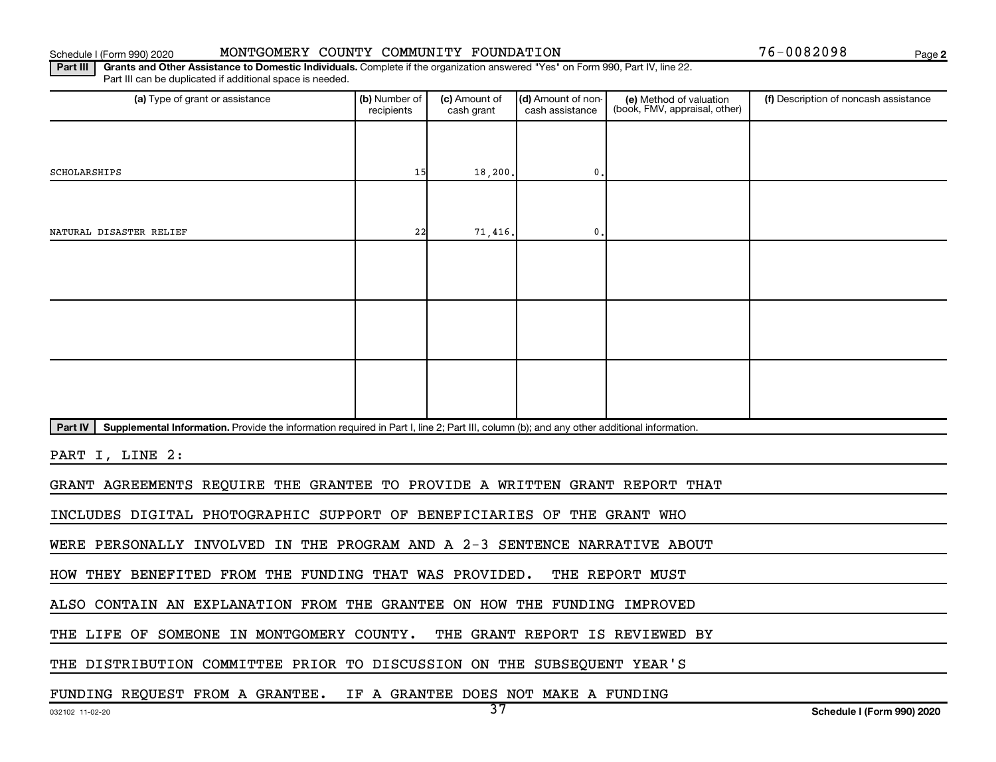### Schedule I (Form 990) 2020 MONTGOMERY COUNTY COMMUNITY FOUNDATION 76-0082098 Page

**2**

Part III | Grants and Other Assistance to Domestic Individuals. Complete if the organization answered "Yes" on Form 990, Part IV, line 22. Part III can be duplicated if additional space is needed.

| (a) Type of grant or assistance                                                                                                                      | (b) Number of<br>recipients | (c) Amount of<br>cash grant | (d) Amount of non-<br>cash assistance | (e) Method of valuation<br>(book, FMV, appraisal, other) | (f) Description of noncash assistance |
|------------------------------------------------------------------------------------------------------------------------------------------------------|-----------------------------|-----------------------------|---------------------------------------|----------------------------------------------------------|---------------------------------------|
|                                                                                                                                                      |                             |                             |                                       |                                                          |                                       |
| SCHOLARSHIPS                                                                                                                                         | 15                          | 18,200                      | $\mathbf 0$                           |                                                          |                                       |
|                                                                                                                                                      |                             |                             |                                       |                                                          |                                       |
| NATURAL DISASTER RELIEF                                                                                                                              | 22                          | 71,416.                     | $\mathbf 0$                           |                                                          |                                       |
|                                                                                                                                                      |                             |                             |                                       |                                                          |                                       |
|                                                                                                                                                      |                             |                             |                                       |                                                          |                                       |
|                                                                                                                                                      |                             |                             |                                       |                                                          |                                       |
|                                                                                                                                                      |                             |                             |                                       |                                                          |                                       |
|                                                                                                                                                      |                             |                             |                                       |                                                          |                                       |
|                                                                                                                                                      |                             |                             |                                       |                                                          |                                       |
| Supplemental Information. Provide the information required in Part I, line 2; Part III, column (b); and any other additional information.<br>Part IV |                             |                             |                                       |                                                          |                                       |
| PART I, LINE 2:                                                                                                                                      |                             |                             |                                       |                                                          |                                       |
| GRANT AGREEMENTS REQUIRE THE GRANTEE TO PROVIDE A WRITTEN GRANT REPORT THAT                                                                          |                             |                             |                                       |                                                          |                                       |
| INCLUDES DIGITAL PHOTOGRAPHIC SUPPORT OF BENEFICIARIES OF THE GRANT WHO                                                                              |                             |                             |                                       |                                                          |                                       |
| WERE PERSONALLY INVOLVED IN THE PROGRAM AND A 2-3 SENTENCE NARRATIVE ABOUT                                                                           |                             |                             |                                       |                                                          |                                       |
| THEY BENEFITED FROM THE FUNDING THAT WAS PROVIDED.<br>HOW                                                                                            |                             |                             |                                       | THE REPORT MUST                                          |                                       |
| ALSO CONTAIN AN EXPLANATION FROM THE GRANTEE ON HOW THE FUNDING IMPROVED                                                                             |                             |                             |                                       |                                                          |                                       |
| THE LIFE OF SOMEONE IN MONTGOMERY COUNTY.                                                                                                            |                             |                             |                                       | THE GRANT REPORT IS REVIEWED BY                          |                                       |
| THE DISTRIBUTION COMMITTEE PRIOR TO DISCUSSION ON THE SUBSEQUENT YEAR'S                                                                              |                             |                             |                                       |                                                          |                                       |
|                                                                                                                                                      |                             |                             |                                       |                                                          |                                       |

FUNDING REQUEST FROM A GRANTEE. IF A GRANTEE DOES NOT MAKE A FUNDING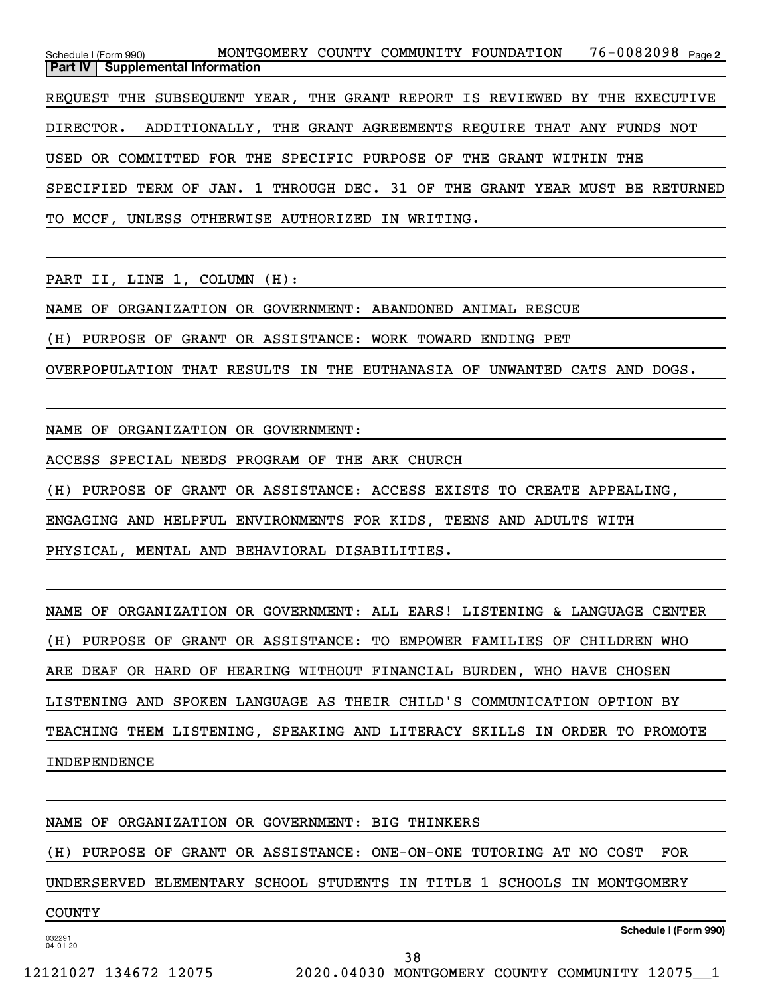76-0082098 Page 2 Schedule I (Form 990) MONTGOMERY COUNTY COMMUNITY FOUNDATION 76-0082098 Page **Part IV Supplemental Information** REQUEST THE SUBSEQUENT YEAR, THE GRANT REPORT IS REVIEWED BY THE EXECUTIVE DIRECTOR. ADDITIONALLY, THE GRANT AGREEMENTS REQUIRE THAT ANY FUNDS NOT USED OR COMMITTED FOR THE SPECIFIC PURPOSE OF THE GRANT WITHIN THE SPECIFIED TERM OF JAN. 1 THROUGH DEC. 31 OF THE GRANT YEAR MUST BE RETURNED TO MCCF, UNLESS OTHERWISE AUTHORIZED IN WRITING.

PART II, LINE 1, COLUMN (H):

NAME OF ORGANIZATION OR GOVERNMENT: ABANDONED ANIMAL RESCUE

(H) PURPOSE OF GRANT OR ASSISTANCE: WORK TOWARD ENDING PET

OVERPOPULATION THAT RESULTS IN THE EUTHANASIA OF UNWANTED CATS AND DOGS.

NAME OF ORGANIZATION OR GOVERNMENT:

ACCESS SPECIAL NEEDS PROGRAM OF THE ARK CHURCH

(H) PURPOSE OF GRANT OR ASSISTANCE: ACCESS EXISTS TO CREATE APPEALING,

ENGAGING AND HELPFUL ENVIRONMENTS FOR KIDS, TEENS AND ADULTS WITH

PHYSICAL, MENTAL AND BEHAVIORAL DISABILITIES.

NAME OF ORGANIZATION OR GOVERNMENT: ALL EARS! LISTENING & LANGUAGE CENTER

(H) PURPOSE OF GRANT OR ASSISTANCE: TO EMPOWER FAMILIES OF CHILDREN WHO

ARE DEAF OR HARD OF HEARING WITHOUT FINANCIAL BURDEN, WHO HAVE CHOSEN

LISTENING AND SPOKEN LANGUAGE AS THEIR CHILD'S COMMUNICATION OPTION BY

TEACHING THEM LISTENING, SPEAKING AND LITERACY SKILLS IN ORDER TO PROMOTE INDEPENDENCE

NAME OF ORGANIZATION OR GOVERNMENT: BIG THINKERS

(H) PURPOSE OF GRANT OR ASSISTANCE: ONE-ON-ONE TUTORING AT NO COST FOR

UNDERSERVED ELEMENTARY SCHOOL STUDENTS IN TITLE 1 SCHOOLS IN MONTGOMERY

38

COUNTY

032291 04-01-20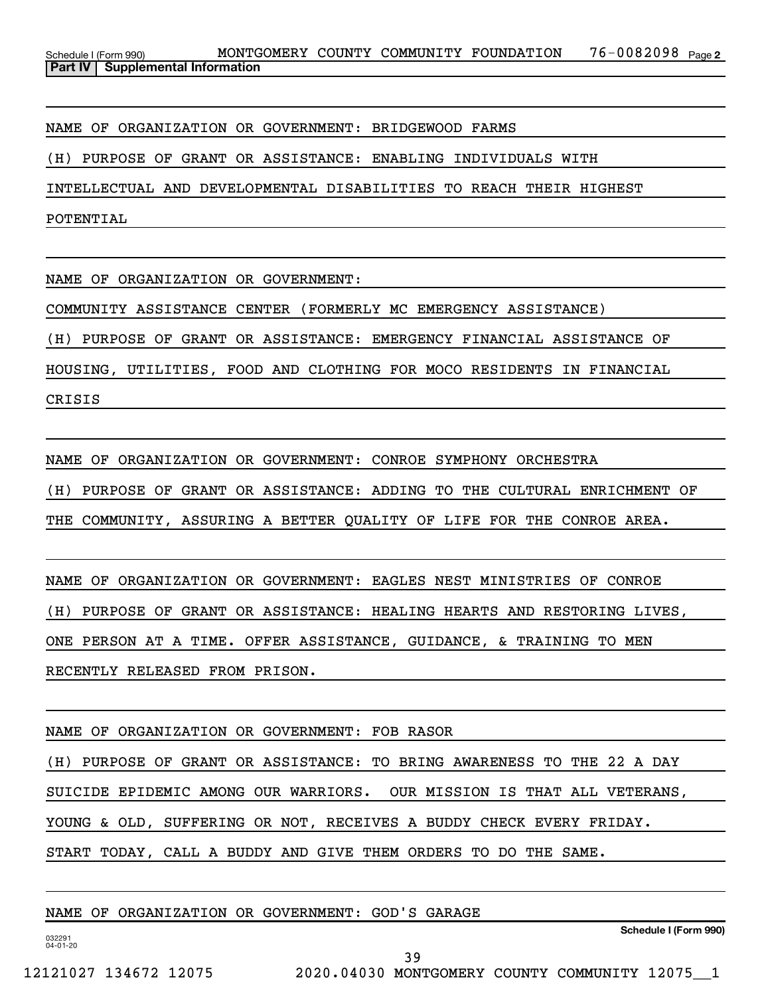NAME OF ORGANIZATION OR GOVERNMENT: BRIDGEWOOD FARMS

(H) PURPOSE OF GRANT OR ASSISTANCE: ENABLING INDIVIDUALS WITH

INTELLECTUAL AND DEVELOPMENTAL DISABILITIES TO REACH THEIR HIGHEST

POTENTIAL

NAME OF ORGANIZATION OR GOVERNMENT:

COMMUNITY ASSISTANCE CENTER (FORMERLY MC EMERGENCY ASSISTANCE)

(H) PURPOSE OF GRANT OR ASSISTANCE: EMERGENCY FINANCIAL ASSISTANCE OF

HOUSING, UTILITIES, FOOD AND CLOTHING FOR MOCO RESIDENTS IN FINANCIAL

CRISIS

NAME OF ORGANIZATION OR GOVERNMENT: CONROE SYMPHONY ORCHESTRA (H) PURPOSE OF GRANT OR ASSISTANCE: ADDING TO THE CULTURAL ENRICHMENT OF THE COMMUNITY, ASSURING A BETTER QUALITY OF LIFE FOR THE CONROE AREA.

NAME OF ORGANIZATION OR GOVERNMENT: EAGLES NEST MINISTRIES OF CONROE (H) PURPOSE OF GRANT OR ASSISTANCE: HEALING HEARTS AND RESTORING LIVES, ONE PERSON AT A TIME. OFFER ASSISTANCE, GUIDANCE, & TRAINING TO MEN RECENTLY RELEASED FROM PRISON.

NAME OF ORGANIZATION OR GOVERNMENT: FOB RASOR

(H) PURPOSE OF GRANT OR ASSISTANCE: TO BRING AWARENESS TO THE 22 A DAY

SUICIDE EPIDEMIC AMONG OUR WARRIORS. OUR MISSION IS THAT ALL VETERANS,

YOUNG & OLD, SUFFERING OR NOT, RECEIVES A BUDDY CHECK EVERY FRIDAY.

START TODAY, CALL A BUDDY AND GIVE THEM ORDERS TO DO THE SAME.

NAME OF ORGANIZATION OR GOVERNMENT: GOD'S GARAGE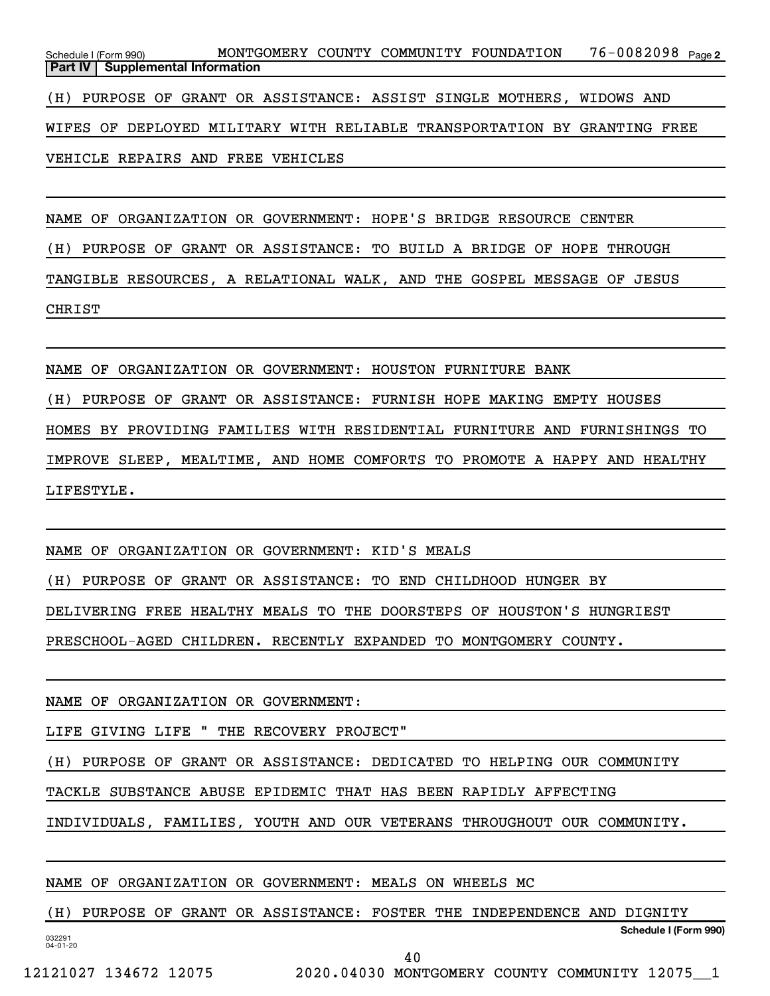76-0082098 Page 2 Schedule I (Form 990) MONTGOMERY COUNTY COMMUNITY FOUNDATION 76-0082098 Page **Part IV Supplemental Information** (H) PURPOSE OF GRANT OR ASSISTANCE: ASSIST SINGLE MOTHERS, WIDOWS AND

WIFES OF DEPLOYED MILITARY WITH RELIABLE TRANSPORTATION BY GRANTING FREE

VEHICLE REPAIRS AND FREE VEHICLES

NAME OF ORGANIZATION OR GOVERNMENT: HOPE'S BRIDGE RESOURCE CENTER (H) PURPOSE OF GRANT OR ASSISTANCE: TO BUILD A BRIDGE OF HOPE THROUGH TANGIBLE RESOURCES, A RELATIONAL WALK, AND THE GOSPEL MESSAGE OF JESUS CHRIST

NAME OF ORGANIZATION OR GOVERNMENT: HOUSTON FURNITURE BANK

(H) PURPOSE OF GRANT OR ASSISTANCE: FURNISH HOPE MAKING EMPTY HOUSES

HOMES BY PROVIDING FAMILIES WITH RESIDENTIAL FURNITURE AND FURNISHINGS TO

IMPROVE SLEEP, MEALTIME, AND HOME COMFORTS TO PROMOTE A HAPPY AND HEALTHY LIFESTYLE.

NAME OF ORGANIZATION OR GOVERNMENT: KID'S MEALS

(H) PURPOSE OF GRANT OR ASSISTANCE: TO END CHILDHOOD HUNGER BY

DELIVERING FREE HEALTHY MEALS TO THE DOORSTEPS OF HOUSTON'S HUNGRIEST

PRESCHOOL-AGED CHILDREN. RECENTLY EXPANDED TO MONTGOMERY COUNTY.

NAME OF ORGANIZATION OR GOVERNMENT:

LIFE GIVING LIFE " THE RECOVERY PROJECT"

(H) PURPOSE OF GRANT OR ASSISTANCE: DEDICATED TO HELPING OUR COMMUNITY

TACKLE SUBSTANCE ABUSE EPIDEMIC THAT HAS BEEN RAPIDLY AFFECTING

INDIVIDUALS, FAMILIES, YOUTH AND OUR VETERANS THROUGHOUT OUR COMMUNITY.

NAME OF ORGANIZATION OR GOVERNMENT: MEALS ON WHEELS MC

032291 04-01-20 **Schedule I (Form 990)** (H) PURPOSE OF GRANT OR ASSISTANCE: FOSTER THE INDEPENDENCE AND DIGNITY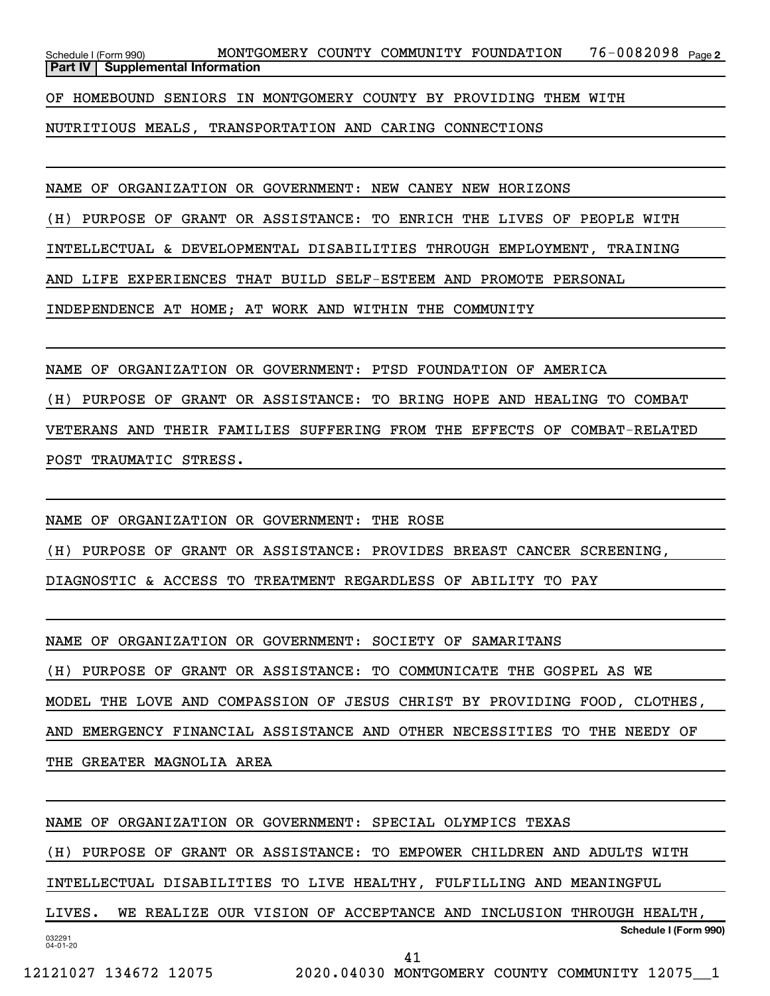76-0082098 Page 2 Schedule I (Form 990) MONTGOMERY COUNTY COMMUNITY FOUNDATION 76-0082098 Page **Part IV** | Supplemental Information

OF HOMEBOUND SENIORS IN MONTGOMERY COUNTY BY PROVIDING THEM WITH

NUTRITIOUS MEALS, TRANSPORTATION AND CARING CONNECTIONS

NAME OF ORGANIZATION OR GOVERNMENT: NEW CANEY NEW HORIZONS

(H) PURPOSE OF GRANT OR ASSISTANCE: TO ENRICH THE LIVES OF PEOPLE WITH

INTELLECTUAL & DEVELOPMENTAL DISABILITIES THROUGH EMPLOYMENT, TRAINING

AND LIFE EXPERIENCES THAT BUILD SELF-ESTEEM AND PROMOTE PERSONAL

INDEPENDENCE AT HOME; AT WORK AND WITHIN THE COMMUNITY

NAME OF ORGANIZATION OR GOVERNMENT: PTSD FOUNDATION OF AMERICA

(H) PURPOSE OF GRANT OR ASSISTANCE: TO BRING HOPE AND HEALING TO COMBAT VETERANS AND THEIR FAMILIES SUFFERING FROM THE EFFECTS OF COMBAT-RELATED POST TRAUMATIC STRESS.

NAME OF ORGANIZATION OR GOVERNMENT: THE ROSE

(H) PURPOSE OF GRANT OR ASSISTANCE: PROVIDES BREAST CANCER SCREENING,

DIAGNOSTIC & ACCESS TO TREATMENT REGARDLESS OF ABILITY TO PAY

NAME OF ORGANIZATION OR GOVERNMENT: SOCIETY OF SAMARITANS

(H) PURPOSE OF GRANT OR ASSISTANCE: TO COMMUNICATE THE GOSPEL AS WE

MODEL THE LOVE AND COMPASSION OF JESUS CHRIST BY PROVIDING FOOD, CLOTHES,

AND EMERGENCY FINANCIAL ASSISTANCE AND OTHER NECESSITIES TO THE NEEDY OF

THE GREATER MAGNOLIA AREA

NAME OF ORGANIZATION OR GOVERNMENT: SPECIAL OLYMPICS TEXAS

(H) PURPOSE OF GRANT OR ASSISTANCE: TO EMPOWER CHILDREN AND ADULTS WITH

INTELLECTUAL DISABILITIES TO LIVE HEALTHY, FULFILLING AND MEANINGFUL

032291 04-01-20 **Schedule I (Form 990)** LIVES. WE REALIZE OUR VISION OF ACCEPTANCE AND INCLUSION THROUGH HEALTH,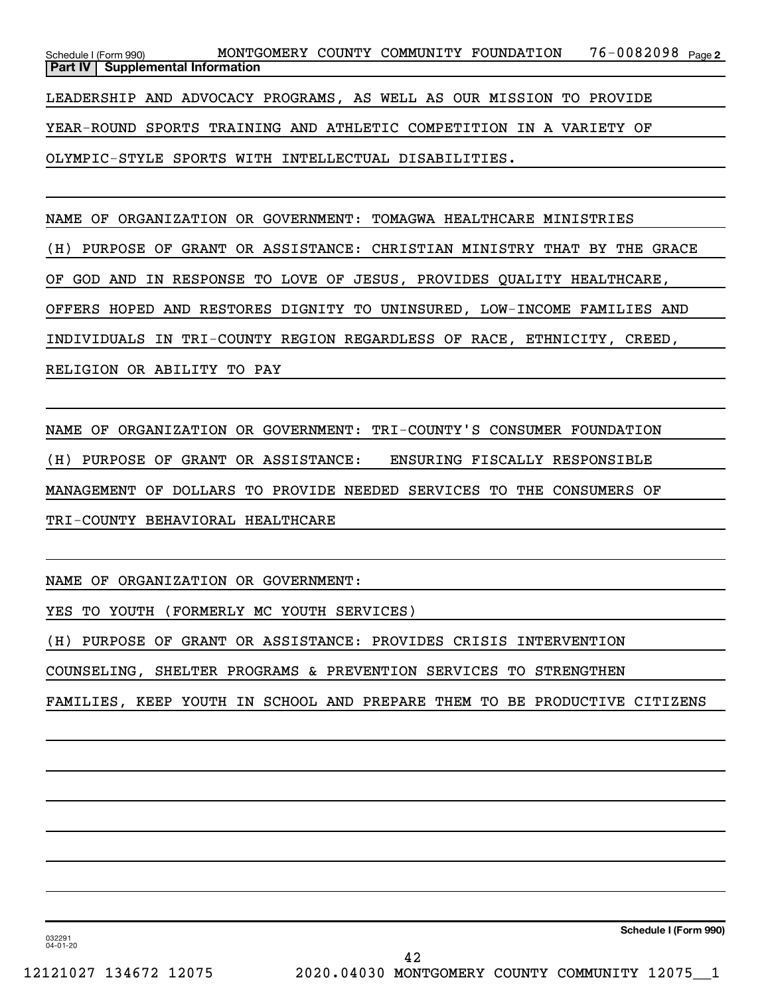76-0082098 Page 2 Schedule I (Form 990) MONTGOMERY COUNTY COMMUNITY FOUNDATION 76-0082098 Page **Part IV** | Supplemental Information

LEADERSHIP AND ADVOCACY PROGRAMS, AS WELL AS OUR MISSION TO PROVIDE

YEAR-ROUND SPORTS TRAINING AND ATHLETIC COMPETITION IN A VARIETY OF

OLYMPIC-STYLE SPORTS WITH INTELLECTUAL DISABILITIES.

NAME OF ORGANIZATION OR GOVERNMENT: TOMAGWA HEALTHCARE MINISTRIES

(H) PURPOSE OF GRANT OR ASSISTANCE: CHRISTIAN MINISTRY THAT BY THE GRACE

OF GOD AND IN RESPONSE TO LOVE OF JESUS, PROVIDES QUALITY HEALTHCARE,

OFFERS HOPED AND RESTORES DIGNITY TO UNINSURED, LOW-INCOME FAMILIES AND

INDIVIDUALS IN TRI-COUNTY REGION REGARDLESS OF RACE, ETHNICITY, CREED,

RELIGION OR ABILITY TO PAY

NAME OF ORGANIZATION OR GOVERNMENT: TRI-COUNTY'S CONSUMER FOUNDATION (H) PURPOSE OF GRANT OR ASSISTANCE: ENSURING FISCALLY RESPONSIBLE MANAGEMENT OF DOLLARS TO PROVIDE NEEDED SERVICES TO THE CONSUMERS OF TRI-COUNTY BEHAVIORAL HEALTHCARE

NAME OF ORGANIZATION OR GOVERNMENT:

YES TO YOUTH (FORMERLY MC YOUTH SERVICES)

(H) PURPOSE OF GRANT OR ASSISTANCE: PROVIDES CRISIS INTERVENTION

COUNSELING, SHELTER PROGRAMS & PREVENTION SERVICES TO STRENGTHEN

FAMILIES, KEEP YOUTH IN SCHOOL AND PREPARE THEM TO BE PRODUCTIVE CITIZENS

**Schedule I (Form 990)**

032291 04-01-20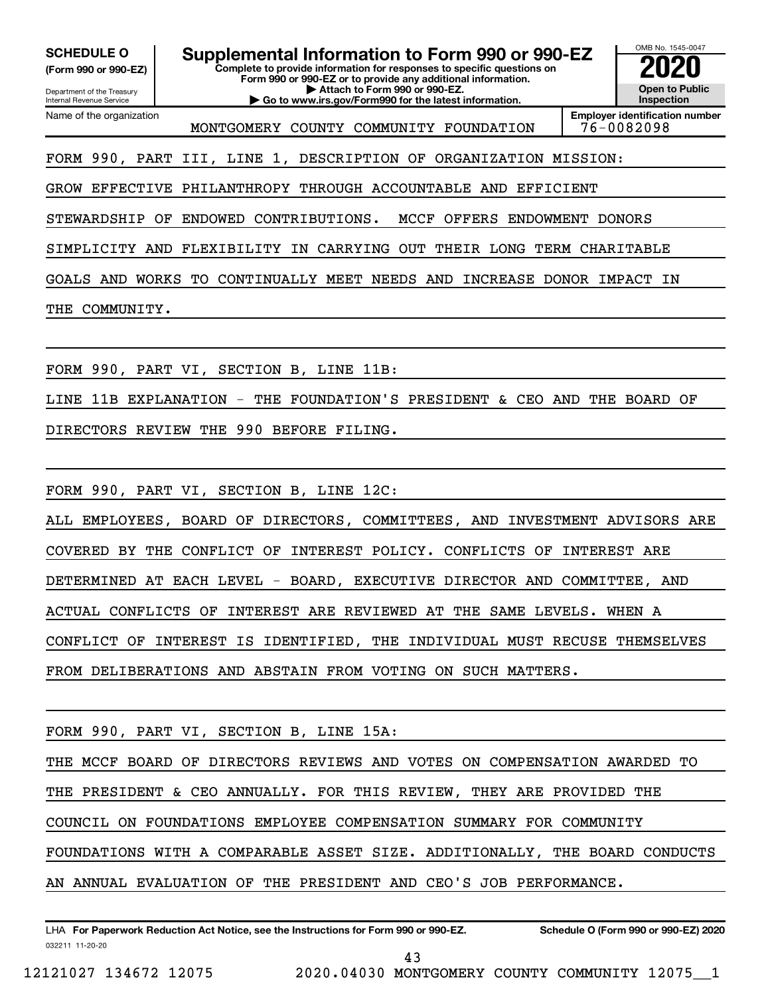Department of the Treasury **(Form 990 or 990-EZ)**

Name of the organization

Internal Revenue Service

**SCHEDULE O Supplemental Information to Form 990 or 990-EZ 2020**<br>(Form 990 or 990-EZ) Complete to provide information for responses to specific questions on

**Complete to provide information for responses to specific questions on Form 990 or 990-EZ or to provide any additional information. | Attach to Form 990 or 990-EZ.**

**| Go to www.irs.gov/Form990 for the latest information.**



MONTGOMERY COUNTY COMMUNITY FOUNDATION | 76-0082098

**Employer identification number**

FORM 990, PART III, LINE 1, DESCRIPTION OF ORGANIZATION MISSION:

GROW EFFECTIVE PHILANTHROPY THROUGH ACCOUNTABLE AND EFFICIENT

STEWARDSHIP OF ENDOWED CONTRIBUTIONS. MCCF OFFERS ENDOWMENT DONORS

SIMPLICITY AND FLEXIBILITY IN CARRYING OUT THEIR LONG TERM CHARITABLE

GOALS AND WORKS TO CONTINUALLY MEET NEEDS AND INCREASE DONOR IMPACT IN

THE COMMUNITY.

FORM 990, PART VI, SECTION B, LINE 11B:

LINE 11B EXPLANATION - THE FOUNDATION'S PRESIDENT & CEO AND THE BOARD OF

DIRECTORS REVIEW THE 990 BEFORE FILING.

FORM 990, PART VI, SECTION B, LINE 12C:

ALL EMPLOYEES, BOARD OF DIRECTORS, COMMITTEES, AND INVESTMENT ADVISORS ARE COVERED BY THE CONFLICT OF INTEREST POLICY. CONFLICTS OF INTEREST ARE DETERMINED AT EACH LEVEL - BOARD, EXECUTIVE DIRECTOR AND COMMITTEE, AND ACTUAL CONFLICTS OF INTEREST ARE REVIEWED AT THE SAME LEVELS. WHEN A CONFLICT OF INTEREST IS IDENTIFIED, THE INDIVIDUAL MUST RECUSE THEMSELVES FROM DELIBERATIONS AND ABSTAIN FROM VOTING ON SUCH MATTERS.

FORM 990, PART VI, SECTION B, LINE 15A:

THE MCCF BOARD OF DIRECTORS REVIEWS AND VOTES ON COMPENSATION AWARDED TO

THE PRESIDENT & CEO ANNUALLY. FOR THIS REVIEW, THEY ARE PROVIDED THE

COUNCIL ON FOUNDATIONS EMPLOYEE COMPENSATION SUMMARY FOR COMMUNITY

FOUNDATIONS WITH A COMPARABLE ASSET SIZE. ADDITIONALLY, THE BOARD CONDUCTS

AN ANNUAL EVALUATION OF THE PRESIDENT AND CEO'S JOB PERFORMANCE.

032211 11-20-20 **For Paperwork Reduction Act Notice, see the Instructions for Form 990 or 990-EZ. Schedule O (Form 990 or 990-EZ) 2020** LHA